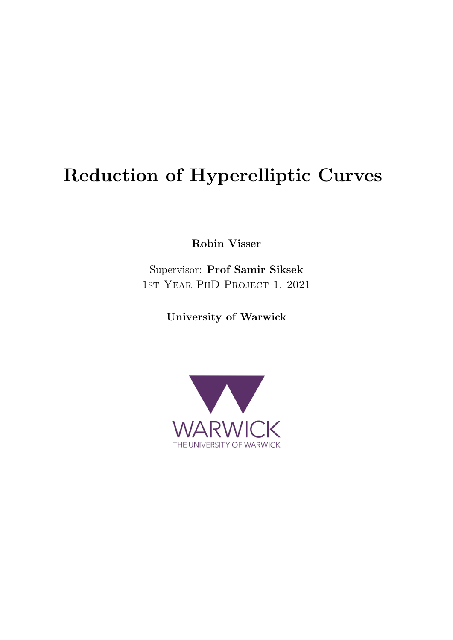# Reduction of Hyperelliptic Curves

Robin Visser

Supervisor: Prof Samir Siksek 1st Year PhD Project 1, 2021

University of Warwick

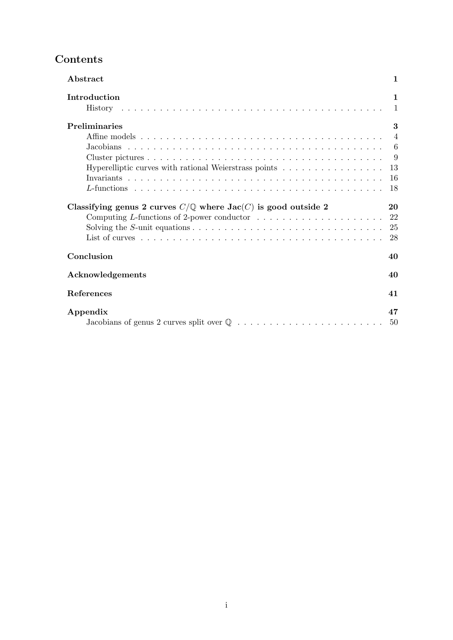# Contents

| Abstract                                                                                               | 1                              |
|--------------------------------------------------------------------------------------------------------|--------------------------------|
| Introduction                                                                                           | $\mathbf{1}$<br>$\overline{1}$ |
| Preliminaries                                                                                          | 3                              |
|                                                                                                        | $\overline{4}$                 |
|                                                                                                        |                                |
|                                                                                                        | - 9                            |
| Hyperelliptic curves with rational Weierstrass points                                                  | 13                             |
|                                                                                                        | 16<br>18                       |
| Classifying genus 2 curves $C/\mathbb{Q}$ where $Jac(C)$ is good outside 2                             | 20                             |
| Computing L-functions of 2-power conductor $\dots \dots \dots \dots \dots \dots \dots$                 | 22                             |
| Solving the S-unit equations $\dots \dots \dots \dots \dots \dots \dots \dots \dots \dots \dots \dots$ | 25                             |
|                                                                                                        | 28                             |
| Conclusion                                                                                             | 40                             |
|                                                                                                        |                                |
| Acknowledgements                                                                                       | 40                             |
| References                                                                                             | 41                             |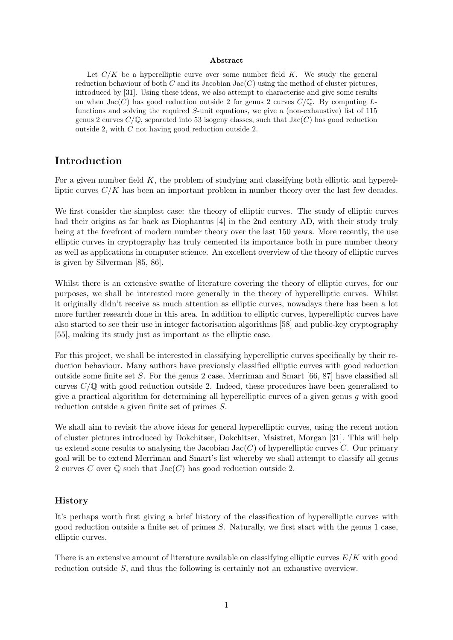#### Abstract

Let  $C/K$  be a hyperelliptic curve over some number field K. We study the general reduction behaviour of both C and its Jacobian Jac $(C)$  using the method of cluster pictures, introduced by [31]. Using these ideas, we also attempt to characterise and give some results on when  $Jac(C)$  has good reduction outside 2 for genus 2 curves  $C/\mathbb{Q}$ . By computing Lfunctions and solving the required  $S$ -unit equations, we give a (non-exhaustive) list of 115 genus 2 curves  $C/\mathbb{Q}$ , separated into 53 isogeny classes, such that  $Jac(C)$  has good reduction outside 2, with C not having good reduction outside 2.

### Introduction

For a given number field  $K$ , the problem of studying and classifying both elliptic and hyperelliptic curves  $C/K$  has been an important problem in number theory over the last few decades.

We first consider the simplest case: the theory of elliptic curves. The study of elliptic curves had their origins as far back as Diophantus [4] in the 2nd century AD, with their study truly being at the forefront of modern number theory over the last 150 years. More recently, the use elliptic curves in cryptography has truly cemented its importance both in pure number theory as well as applications in computer science. An excellent overview of the theory of elliptic curves is given by Silverman [85, 86].

Whilst there is an extensive swathe of literature covering the theory of elliptic curves, for our purposes, we shall be interested more generally in the theory of hyperelliptic curves. Whilst it originally didn't receive as much attention as elliptic curves, nowadays there has been a lot more further research done in this area. In addition to elliptic curves, hyperelliptic curves have also started to see their use in integer factorisation algorithms [58] and public-key cryptography [55], making its study just as important as the elliptic case.

For this project, we shall be interested in classifying hyperelliptic curves specifically by their reduction behaviour. Many authors have previously classified elliptic curves with good reduction outside some finite set S. For the genus 2 case, Merriman and Smart [66, 87] have classified all curves  $C/\mathbb{Q}$  with good reduction outside 2. Indeed, these procedures have been generalised to give a practical algorithm for determining all hyperelliptic curves of a given genus  $q$  with good reduction outside a given finite set of primes S.

We shall aim to revisit the above ideas for general hyperelliptic curves, using the recent notion of cluster pictures introduced by Dokchitser, Dokchitser, Maistret, Morgan [31]. This will help us extend some results to analysing the Jacobian  $Jac(C)$  of hyperelliptic curves C. Our primary goal will be to extend Merriman and Smart's list whereby we shall attempt to classify all genus 2 curves C over  $\mathbb Q$  such that  $Jac(C)$  has good reduction outside 2.

#### History

It's perhaps worth first giving a brief history of the classification of hyperelliptic curves with good reduction outside a finite set of primes S. Naturally, we first start with the genus 1 case, elliptic curves.

There is an extensive amount of literature available on classifying elliptic curves  $E/K$  with good reduction outside S, and thus the following is certainly not an exhaustive overview.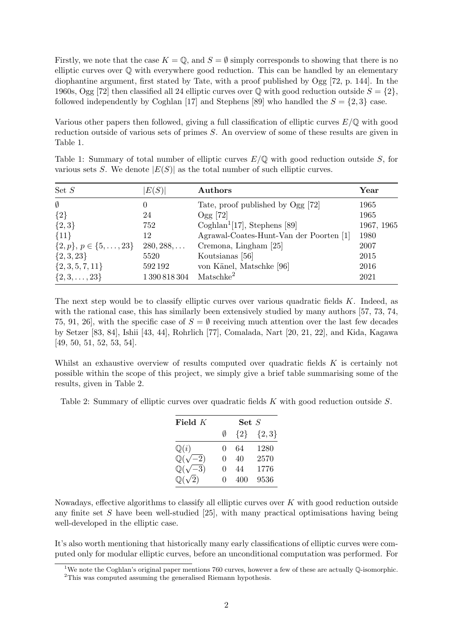Firstly, we note that the case  $K = \mathbb{Q}$ , and  $S = \emptyset$  simply corresponds to showing that there is no elliptic curves over Q with everywhere good reduction. This can be handled by an elementary diophantine argument, first stated by Tate, with a proof published by Ogg [72, p. 144]. In the 1960s, Ogg [72] then classified all 24 elliptic curves over  $\mathbb Q$  with good reduction outside  $S = \{2\}$ , followed independently by Coghlan [17] and Stephens [89] who handled the  $S = \{2, 3\}$  case.

Various other papers then followed, giving a full classification of elliptic curves  $E/\mathbb{Q}$  with good reduction outside of various sets of primes S. An overview of some of these results are given in Table 1.

|         | various sets S. We denote $ E(S) $ as the total number of such elliptic curves. |         |  |      |  |  |  |
|---------|---------------------------------------------------------------------------------|---------|--|------|--|--|--|
| Set $S$ | E(S)                                                                            | Authors |  | Year |  |  |  |

Table 1: Summary of total number of elliptic curves  $E/\mathbb{Q}$  with good reduction outside S, for

| Set $S$                          | E(S)               | Authors                                  | $\operatorname{Year}$ |
|----------------------------------|--------------------|------------------------------------------|-----------------------|
| $\emptyset$                      |                    | Tate, proof published by Ogg [72]        | 1965                  |
| ${2}$                            | 24                 | $Ogg$ [72]                               | 1965                  |
| $\{2,3\}$                        | 752                | Coghlan <sup>1</sup> [17], Stephens [89] | 1967, 1965            |
| ${11}$                           | 12                 | Agrawal-Coates-Hunt-Van der Poorten [1]  | 1980                  |
| $\{2,p\}, p \in \{5,\ldots,23\}$ | $280, 288, \ldots$ | Cremona, Lingham [25]                    | 2007                  |
| $\{2,3,23\}$                     | 5520               | Koutsianas [56]                          | 2015                  |
| $\{2,3,5,7,11\}$                 | 592192             | von Känel, Matschke [96]                 | 2016                  |
| $\{2,3,\ldots,23\}$              | 1 390 818 304      | Matschke <sup>2</sup>                    | 2021                  |

The next step would be to classify elliptic curves over various quadratic fields  $K$ . Indeed, as with the rational case, this has similarly been extensively studied by many authors [57, 73, 74, 75, 91, 26, with the specific case of  $S = \emptyset$  receiving much attention over the last few decades by Setzer [83, 84], Ishii [43, 44], Rohrlich [77], Comalada, Nart [20, 21, 22], and Kida, Kagawa [49, 50, 51, 52, 53, 54].

Whilst an exhaustive overview of results computed over quadratic fields K is certainly not possible within the scope of this project, we simply give a brief table summarising some of the results, given in Table 2.

Table 2: Summary of elliptic curves over quadratic fields K with good reduction outside S.

| Field $K$               | $\mathbf{Set}\ S$ |         |           |  |  |
|-------------------------|-------------------|---------|-----------|--|--|
|                         | Ø                 | $\{2\}$ | $\{2,3\}$ |  |  |
| $\mathbb{Q}(i)$         | $\mathbf{0}$      | 64      | 1280      |  |  |
| $\mathbb{Q}(\sqrt{-2})$ | $\mathbf{0}$      | 40      | 2570      |  |  |
| $\mathbb{Q}(\sqrt{-3})$ | $\mathbf{0}$      | 44      | 1776      |  |  |
| $\mathbb{Q}(\sqrt{2})$  | $\mathbf{\Omega}$ | 400     | 9536      |  |  |

Nowadays, effective algorithms to classify all elliptic curves over  $K$  with good reduction outside any finite set  $S$  have been well-studied [25], with many practical optimisations having being well-developed in the elliptic case.

It's also worth mentioning that historically many early classifications of elliptic curves were computed only for modular elliptic curves, before an unconditional computation was performed. For

<sup>&</sup>lt;sup>1</sup>We note the Coghlan's original paper mentions 760 curves, however a few of these are actually  $\mathbb{Q}$ -isomorphic.

<sup>2</sup>This was computed assuming the generalised Riemann hypothesis.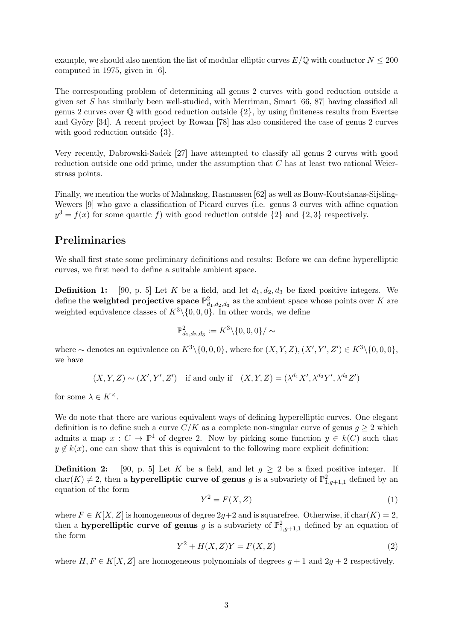example, we should also mention the list of modular elliptic curves  $E/\mathbb{Q}$  with conductor  $N \leq 200$ computed in 1975, given in [6].

The corresponding problem of determining all genus 2 curves with good reduction outside a given set S has similarly been well-studied, with Merriman, Smart  $[66, 87]$  having classified all genus 2 curves over  $\mathbb Q$  with good reduction outside  $\{2\}$ , by using finiteness results from Evertse and Győry [34]. A recent project by Rowan [78] has also considered the case of genus 2 curves with good reduction outside  $\{3\}$ .

Very recently, Dabrowski-Sadek [27] have attempted to classify all genus 2 curves with good reduction outside one odd prime, under the assumption that C has at least two rational Weierstrass points.

Finally, we mention the works of Malmskog, Rasmussen [62] as well as Bouw-Koutsianas-Sijsling-Wewers [9] who gave a classification of Picard curves (i.e. genus 3 curves with affine equation  $y^3 = f(x)$  for some quartic f) with good reduction outside  $\{2\}$  and  $\{2,3\}$  respectively.

### Preliminaries

We shall first state some preliminary definitions and results: Before we can define hyperelliptic curves, we first need to define a suitable ambient space.

**Definition 1:** [90, p. 5] Let K be a field, and let  $d_1, d_2, d_3$  be fixed positive integers. We define the weighted projective space  $\mathbb{P}^2_{d_1,d_2,d_3}$  as the ambient space whose points over K are weighted equivalence classes of  $K^3 \setminus \{0, 0, 0\}$ . In other words, we define

$$
\mathbb{P}^2_{d_1,d_2,d_3}:= K^3\backslash \{0,0,0\}/\sim
$$

where ~ denotes an equivalence on  $K^3 \setminus \{0,0,0\}$ , where for  $(X, Y, Z), (X', Y', Z') \in K^3 \setminus \{0,0,0\}$ , we have

 $(X, Y, Z) \sim (X', Y', Z')$  if and only if  $(X, Y, Z) = (\lambda^{d_1} X', \lambda^{d_2} Y', \lambda^{d_3} Z')$ 

for some  $\lambda \in K^{\times}$ .

We do note that there are various equivalent ways of defining hyperelliptic curves. One elegant definition is to define such a curve  $C/K$  as a complete non-singular curve of genus  $g \geq 2$  which admits a map  $x : C \to \mathbb{P}^1$  of degree 2. Now by picking some function  $y \in k(C)$  such that  $y \notin k(x)$ , one can show that this is equivalent to the following more explicit definition:

**Definition 2:** [90, p. 5] Let K be a field, and let  $g \geq 2$  be a fixed positive integer. If char(K)  $\neq$  2, then a **hyperelliptic curve of genus** g is a subvariety of  $\mathbb{P}^2_{1,g+1,1}$  defined by an equation of the form

$$
Y^2 = F(X, Z) \tag{1}
$$

where  $F \in K[X, Z]$  is homogeneous of degree  $2g+2$  and is squarefree. Otherwise, if  $char(K) = 2$ , then a **hyperelliptic curve of genus** g is a subvariety of  $\mathbb{P}^2_{1,g+1,1}$  defined by an equation of the form

$$
Y^2 + H(X, Z)Y = F(X, Z)
$$
\n<sup>(2)</sup>

where  $H, F \in K[X, Z]$  are homogeneous polynomials of degrees  $g + 1$  and  $2g + 2$  respectively.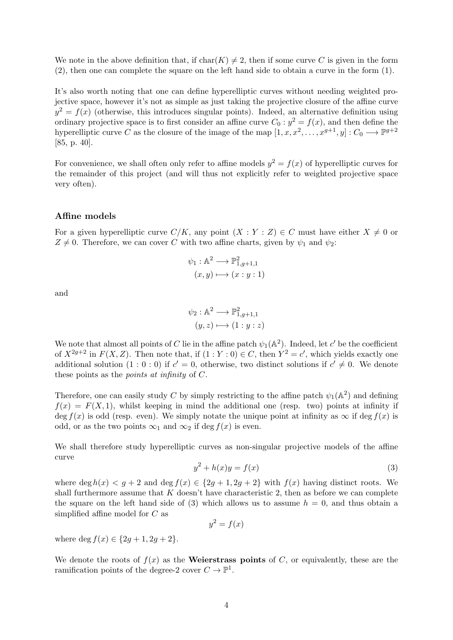We note in the above definition that, if  $char(K) \neq 2$ , then if some curve C is given in the form (2), then one can complete the square on the left hand side to obtain a curve in the form (1).

It's also worth noting that one can define hyperelliptic curves without needing weighted projective space, however it's not as simple as just taking the projective closure of the affine curve  $y^2 = f(x)$  (otherwise, this introduces singular points). Indeed, an alternative definition using ordinary projective space is to first consider an affine curve  $C_0: y^2 = f(x)$ , and then define the hyperelliptic curve C as the closure of the image of the map  $[1, x, x^2, \ldots, x^{g+1}, y] : C_0 \longrightarrow \mathbb{P}^{g+2}$ [85, p. 40].

For convenience, we shall often only refer to affine models  $y^2 = f(x)$  of hyperelliptic curves for the remainder of this project (and will thus not explicitly refer to weighted projective space very often).

#### Affine models

For a given hyperelliptic curve  $C/K$ , any point  $(X:Y:Z) \in C$  must have either  $X \neq 0$  or  $Z \neq 0$ . Therefore, we can cover C with two affine charts, given by  $\psi_1$  and  $\psi_2$ :

$$
\psi_1 : \mathbb{A}^2 \longrightarrow \mathbb{P}^2_{1,g+1,1}
$$

$$
(x,y) \longmapsto (x:y:1)
$$

and

$$
\psi_2 : \mathbb{A}^2 \longrightarrow \mathbb{P}^2_{1,g+1,1}
$$

$$
(y, z) \longmapsto (1 : y : z)
$$

We note that almost all points of C lie in the affine patch  $\psi_1(\mathbb{A}^2)$ . Indeed, let c' be the coefficient of  $X^{2g+2}$  in  $F(X, Z)$ . Then note that, if  $(1 : Y : 0) \in C$ , then  $Y^2 = c'$ , which yields exactly one additional solution  $(1:0:0)$  if  $c' = 0$ , otherwise, two distinct solutions if  $c' \neq 0$ . We denote these points as the points at infinity of C.

Therefore, one can easily study C by simply restricting to the affine patch  $\psi_1(\mathbb{A}^2)$  and defining  $f(x) = F(X, 1)$ , whilst keeping in mind the additional one (resp. two) points at infinity if deg  $f(x)$  is odd (resp. even). We simply notate the unique point at infinity as  $\infty$  if deg  $f(x)$  is odd, or as the two points  $\infty_1$  and  $\infty_2$  if deg  $f(x)$  is even.

We shall therefore study hyperelliptic curves as non-singular projective models of the affine curve

$$
y^2 + h(x)y = f(x) \tag{3}
$$

where deg  $h(x) < g + 2$  and deg  $f(x) \in \{2g + 1, 2g + 2\}$  with  $f(x)$  having distinct roots. We shall furthermore assume that  $K$  doesn't have characteristic 2, then as before we can complete the square on the left hand side of (3) which allows us to assume  $h = 0$ , and thus obtain a simplified affine model for C as

$$
y^2 = f(x)
$$

where deg  $f(x) \in \{2g + 1, 2g + 2\}.$ 

We denote the roots of  $f(x)$  as the **Weierstrass points** of C, or equivalently, these are the ramification points of the degree-2 cover  $C \to \mathbb{P}^1$ .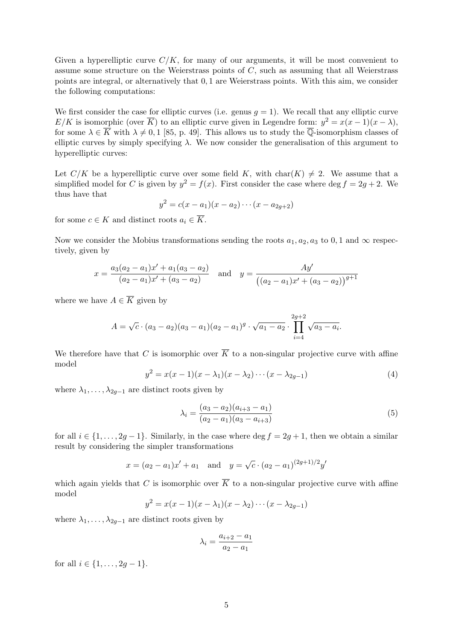Given a hyperelliptic curve  $C/K$ , for many of our arguments, it will be most convenient to assume some structure on the Weierstrass points of C, such as assuming that all Weierstrass points are integral, or alternatively that 0, 1 are Weierstrass points. With this aim, we consider the following computations:

We first consider the case for elliptic curves (i.e. genus  $g = 1$ ). We recall that any elliptic curve E/K is isomorphic (over  $\overline{K}$ ) to an elliptic curve given in Legendre form:  $y^2 = x(x-1)(x-\lambda)$ , for some  $\lambda \in \overline{K}$  with  $\lambda \neq 0, 1$  [85, p. 49]. This allows us to study the  $\overline{\mathbb{Q}}$ -isomorphism classes of elliptic curves by simply specifying  $\lambda$ . We now consider the generalisation of this argument to hyperelliptic curves:

Let  $C/K$  be a hyperelliptic curve over some field K, with char(K)  $\neq$  2. We assume that a simplified model for C is given by  $y^2 = f(x)$ . First consider the case where deg  $f = 2g + 2$ . We thus have that

$$
y^2 = c(x - a_1)(x - a_2) \cdots (x - a_{2g+2})
$$

for some  $c \in K$  and distinct roots  $a_i \in \overline{K}$ .

Now we consider the Mobius transformations sending the roots  $a_1, a_2, a_3$  to 0, 1 and  $\infty$  respectively, given by

$$
x = \frac{a_3(a_2 - a_1)x' + a_1(a_3 - a_2)}{(a_2 - a_1)x' + (a_3 - a_2)} \quad \text{and} \quad y = \frac{Ay'}{((a_2 - a_1)x' + (a_3 - a_2))^{g+1}}
$$

where we have  $A \in \overline{K}$  given by

$$
A = \sqrt{c} \cdot (a_3 - a_2)(a_3 - a_1)(a_2 - a_1)^g \cdot \sqrt{a_1 - a_2} \cdot \prod_{i=4}^{2g+2} \sqrt{a_3 - a_i}.
$$

We therefore have that C is isomorphic over  $\overline{K}$  to a non-singular projective curve with affine model

$$
y^{2} = x(x - 1)(x - \lambda_{1})(x - \lambda_{2}) \cdots (x - \lambda_{2g - 1})
$$
\n(4)

where  $\lambda_1, \ldots, \lambda_{2g-1}$  are distinct roots given by

$$
\lambda_i = \frac{(a_3 - a_2)(a_{i+3} - a_1)}{(a_2 - a_1)(a_3 - a_{i+3})}
$$
\n(5)

for all  $i \in \{1, \ldots, 2g-1\}$ . Similarly, in the case where deg  $f = 2g + 1$ , then we obtain a similar result by considering the simpler transformations

$$
x = (a_2 - a_1)x' + a_1
$$
 and  $y = \sqrt{c} \cdot (a_2 - a_1)^{(2g+1)/2}y'$ 

which again yields that C is isomorphic over  $\overline{K}$  to a non-singular projective curve with affine model

$$
y^2 = x(x-1)(x-\lambda_1)(x-\lambda_2)\cdots(x-\lambda_{2g-1})
$$

where  $\lambda_1, \ldots, \lambda_{2q-1}$  are distinct roots given by

$$
\lambda_i = \frac{a_{i+2} - a_1}{a_2 - a_1}
$$

for all  $i \in \{1, \ldots, 2g - 1\}.$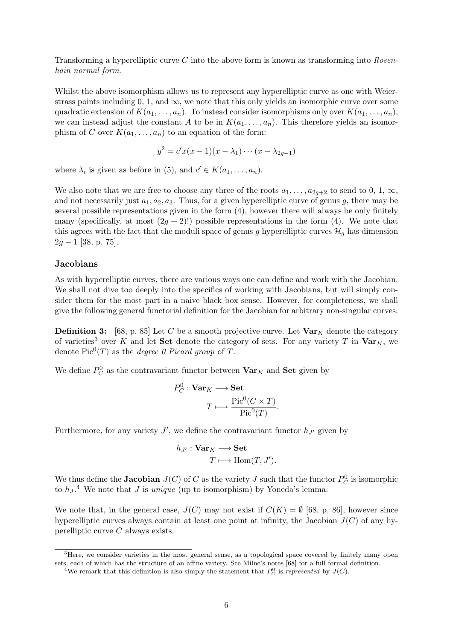Transforming a hyperelliptic curve C into the above form is known as transforming into Rosenhain normal form.

Whilst the above isomorphism allows us to represent any hyperelliptic curve as one with Weierstrass points including 0, 1, and  $\infty$ , we note that this only yields an isomorphic curve over some quadratic extension of  $K(a_1, \ldots, a_n)$ . To instead consider isomorphisms only over  $K(a_1, \ldots, a_n)$ , we can instead adjust the constant A to be in  $K(a_1, \ldots, a_n)$ . This therefore yields an isomorphism of C over  $K(a_1, \ldots, a_n)$  to an equation of the form:

$$
y^{2} = c'x(x-1)(x - \lambda_{1}) \cdots (x - \lambda_{2g-1})
$$

where  $\lambda_i$  is given as before in (5), and  $c' \in K(a_1, \ldots, a_n)$ .

We also note that we are free to choose any three of the roots  $a_1, \ldots, a_{2g+2}$  to send to 0, 1,  $\infty$ , and not necessarily just  $a_1, a_2, a_3$ . Thus, for a given hyperelliptic curve of genus g, there may be several possible representations given in the form (4), however there will always be only finitely many (specifically, at most  $(2q + 2)!$ ) possible representations in the form (4). We note that this agrees with the fact that the moduli space of genus g hyperelliptic curves  $\mathcal{H}_q$  has dimension  $2g - 1$  [38, p. 75].

#### **Jacobians**

As with hyperelliptic curves, there are various ways one can define and work with the Jacobian. We shall not dive too deeply into the specifics of working with Jacobians, but will simply consider them for the most part in a naive black box sense. However, for completeness, we shall give the following general functorial definition for the Jacobian for arbitrary non-singular curves:

**Definition 3:** [68, p. 85] Let C be a smooth projective curve. Let  $\text{Var}_K$  denote the category of varieties<sup>3</sup> over K and let **Set** denote the category of sets. For any variety T in  $\mathbf{Var}_K$ , we denote  $Pic^0(T)$  as the *degree 0 Picard group* of T.

We define  $P_C^0$  as the contravariant functor between  $\textbf{Var}_K$  and  $\textbf{Set}$  given by

$$
P_C^0 : \mathbf{Var}_K \longrightarrow \mathbf{Set}
$$

$$
T \longmapsto \frac{\text{Pic}^0(C \times T)}{\text{Pic}^0(T)}
$$

.

Furthermore, for any variety  $J'$ , we define the contravariant functor  $h_{J'}$  given by

$$
h_{J'}: \mathbf{Var}_K \longrightarrow \mathbf{Set} \\ T \longmapsto \mathrm{Hom}(T, J').
$$

We thus define the **Jacobian**  $J(C)$  of C as the variety J such that the functor  $P_C^0$  is isomorphic to  $h_J$ .<sup>4</sup> We note that J is *unique* (up to isomorphism) by Yoneda's lemma.

We note that, in the general case,  $J(C)$  may not exist if  $C(K) = \emptyset$  [68, p. 86], however since hyperelliptic curves always contain at least one point at infinity, the Jacobian  $J(C)$  of any hyperelliptic curve C always exists.

<sup>&</sup>lt;sup>3</sup>Here, we consider varieties in the most general sense, as a topological space covered by finitely many open sets, each of which has the structure of an affine variety. See Milne's notes [68] for a full formal definition.

<sup>&</sup>lt;sup>4</sup>We remark that this definition is also simply the statement that  $P_C^0$  is represented by  $J(C)$ .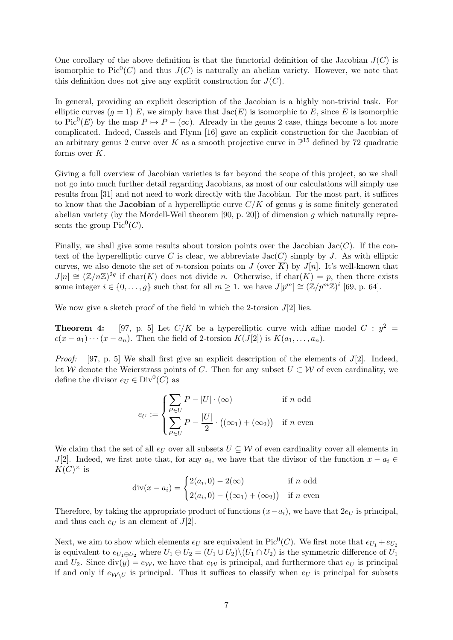One corollary of the above definition is that the functorial definition of the Jacobian  $J(C)$  is isomorphic to  $Pic^0(C)$  and thus  $J(C)$  is naturally an abelian variety. However, we note that this definition does not give any explicit construction for  $J(C)$ .

In general, providing an explicit description of the Jacobian is a highly non-trivial task. For elliptic curves  $(g = 1)$  E, we simply have that  $Jac(E)$  is isomorphic to E, since E is isomorphic to Pic<sup>0</sup>(E) by the map  $P \mapsto P - (\infty)$ . Already in the genus 2 case, things become a lot more complicated. Indeed, Cassels and Flynn [16] gave an explicit construction for the Jacobian of an arbitrary genus 2 curve over K as a smooth projective curve in  $\mathbb{P}^{15}$  defined by 72 quadratic forms over  $K$ .

Giving a full overview of Jacobian varieties is far beyond the scope of this project, so we shall not go into much further detail regarding Jacobians, as most of our calculations will simply use results from [31] and not need to work directly with the Jacobian. For the most part, it suffices to know that the **Jacobian** of a hyperelliptic curve  $C/K$  of genus g is some finitely generated abelian variety (by the Mordell-Weil theorem [90, p. 20]) of dimension g which naturally represents the group  $Pic^0(C)$ .

Finally, we shall give some results about torsion points over the Jacobian Jac $(C)$ . If the context of the hyperelliptic curve C is clear, we abbreviate  $Jac(C)$  simply by J. As with elliptic curves, we also denote the set of *n*-torsion points on J (over K) by  $J[n]$ . It's well-known that  $J[n] \cong (\mathbb{Z}/n\mathbb{Z})^{2g}$  if char $(K)$  does not divide n. Otherwise, if char $(K) = p$ , then there exists some integer  $i \in \{0, \ldots, g\}$  such that for all  $m \geq 1$ . we have  $J[p^m] \cong (\mathbb{Z}/p^m \mathbb{Z})^i$  [69, p. 64].

We now give a sketch proof of the field in which the 2-torsion  $J[2]$  lies.

**Theorem 4:** [97, p. 5] Let  $C/K$  be a hyperelliptic curve with affine model  $C : y^2 =$  $c(x-a_1)\cdots(x-a_n)$ . Then the field of 2-torsion  $K(J[2])$  is  $K(a_1,\ldots,a_n)$ .

*Proof:* [97, p. 5] We shall first give an explicit description of the elements of  $J(2)$ . Indeed, let W denote the Weierstrass points of C. Then for any subset  $U \subset W$  of even cardinality, we define the divisor  $e_U \in Div^0(C)$  as

$$
e_U := \begin{cases} \sum_{P \in U} P - |U| \cdot (\infty) & \text{if } n \text{ odd} \\ \sum_{P \in U} P - \frac{|U|}{2} \cdot ((\infty_1) + (\infty_2)) & \text{if } n \text{ even} \end{cases}
$$

We claim that the set of all  $e_U$  over all subsets  $U \subseteq W$  of even cardinality cover all elements in J[2]. Indeed, we first note that, for any  $a_i$ , we have that the divisor of the function  $x - a_i \in$  $K(C)^{\times}$  is

$$
\operatorname{div}(x - a_i) = \begin{cases} 2(a_i, 0) - 2(\infty) & \text{if } n \text{ odd} \\ 2(a_i, 0) - ((\infty_1) + (\infty_2)) & \text{if } n \text{ even} \end{cases}
$$

Therefore, by taking the appropriate product of functions  $(x-a_i)$ , we have that  $2e_U$  is principal, and thus each  $e_U$  is an element of  $J[2]$ .

Next, we aim to show which elements  $e_U$  are equivalent in Pic<sup>0</sup>(*C*). We first note that  $e_{U_1} + e_{U_2}$ is equivalent to  $e_{U_1\ominus U_2}$  where  $U_1\ominus U_2=(U_1\cup U_2)\setminus (U_1\cap U_2)$  is the symmetric difference of  $U_1$ and  $U_2$ . Since  $div(y) = e_W$ , we have that  $e_W$  is principal, and furthermore that  $e_U$  is principal if and only if  $e_{\mathcal{W}\setminus U}$  is principal. Thus it suffices to classify when  $e_U$  is principal for subsets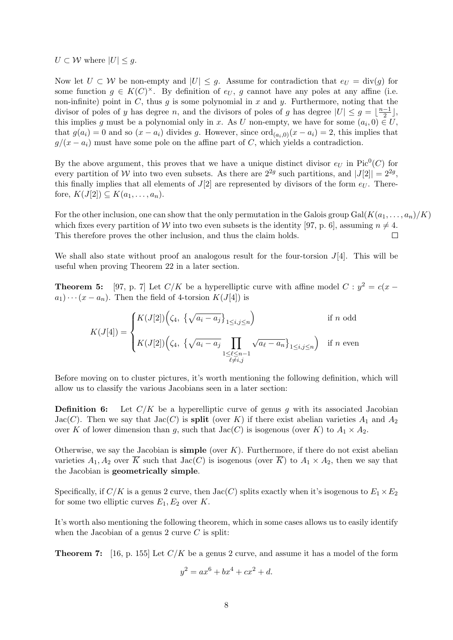$U \subset \mathcal{W}$  where  $|U| \leq g$ .

Now let  $U \subset W$  be non-empty and  $|U| \leq g$ . Assume for contradiction that  $e_U = \text{div}(g)$  for some function  $g \in K(C)^{\times}$ . By definition of  $e_U$ , g cannot have any poles at any affine (i.e. non-infinite) point in  $C$ , thus  $g$  is some polynomial in  $x$  and  $y$ . Furthermore, noting that the divisor of poles of y has degree n, and the divisors of poles of g has degree  $|U| \leq g = \frac{n-1}{2}$  $\frac{-1}{2}$ , this implies g must be a polynomial only in x. As U non-empty, we have for some  $(a_i, 0) \in U$ , that  $g(a_i) = 0$  and so  $(x - a_i)$  divides g. However, since  $\text{ord}_{(a_i,0)}(x - a_i) = 2$ , this implies that  $g/(x-a_i)$  must have some pole on the affine part of C, which yields a contradiction.

By the above argument, this proves that we have a unique distinct divisor  $e_U$  in Pic<sup>0</sup>(C) for every partition of W into two even subsets. As there are  $2^{2g}$  such partitions, and  $|J[2]| = 2^{2g}$ , this finally implies that all elements of  $J[2]$  are represented by divisors of the form  $e_U$ . Therefore,  $K(J[2]) \subseteq K(a_1,\ldots,a_n)$ .

For the other inclusion, one can show that the only permutation in the Galois group Gal( $K(a_1, \ldots, a_n)/K$ ) which fixes every partition of W into two even subsets is the identity [97, p. 6], assuming  $n \neq 4$ . This therefore proves the other inclusion, and thus the claim holds.  $\Box$ 

We shall also state without proof an analogous result for the four-torsion  $J[4]$ . This will be useful when proving Theorem 22 in a later section.

**Theorem 5:** [97, p. 7] Let  $C/K$  be a hyperelliptic curve with affine model  $C : y^2 = c(x$  $a_1\cdots (x-a_n)$ . Then the field of 4-torsion  $K(J[4])$  is

$$
K(J[4]) = \begin{cases} K(J[2])\Big(\zeta_4, \ \{\sqrt{a_i - a_j}\}_{1 \le i,j \le n}\Big) & \text{if } n \text{ odd} \\ K(J[2])\Big(\zeta_4, \ \{\sqrt{a_i - a_j}\prod_{\substack{1 \le \ell \le n-1 \\ \ell \ne i,j}} \sqrt{a_\ell - a_n}\}_{1 \le i,j \le n}\Big) & \text{if } n \text{ even} \end{cases}
$$

Before moving on to cluster pictures, it's worth mentioning the following definition, which will allow us to classify the various Jacobians seen in a later section:

**Definition 6:** Let  $C/K$  be a hyperelliptic curve of genus g with its associated Jacobian Jac(C). Then we say that  $Jac(C)$  is split (over K) if there exist abelian varieties  $A_1$  and  $A_2$ over K of lower dimension than g, such that  $Jac(C)$  is isogenous (over K) to  $A_1 \times A_2$ .

Otherwise, we say the Jacobian is **simple** (over  $K$ ). Furthermore, if there do not exist abelian varieties  $A_1, A_2$  over  $\overline{K}$  such that  $Jac(C)$  is isogenous (over  $\overline{K}$ ) to  $A_1 \times A_2$ , then we say that the Jacobian is geometrically simple.

Specifically, if  $C/K$  is a genus 2 curve, then  $Jac(C)$  splits exactly when it's isogenous to  $E_1 \times E_2$ for some two elliptic curves  $E_1, E_2$  over K.

It's worth also mentioning the following theorem, which in some cases allows us to easily identify when the Jacobian of a genus 2 curve  $C$  is split:

**Theorem 7:** [16, p. 155] Let  $C/K$  be a genus 2 curve, and assume it has a model of the form

$$
y^2 = ax^6 + bx^4 + cx^2 + d.
$$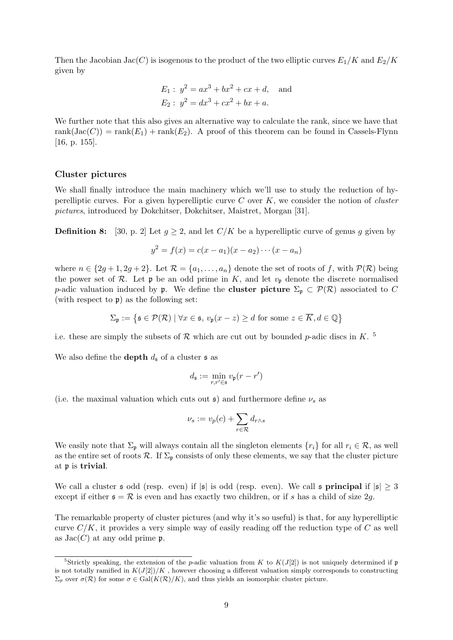Then the Jacobian Jac(C) is isogenous to the product of the two elliptic curves  $E_1/K$  and  $E_2/K$ given by

$$
E_1: y^2 = ax^3 + bx^2 + cx + d, \text{ and}
$$
  

$$
E_2: y^2 = dx^3 + cx^2 + bx + a.
$$

We further note that this also gives an alternative way to calculate the rank, since we have that rank $(\text{Jac}(C)) = \text{rank}(E_1) + \text{rank}(E_2)$ . A proof of this theorem can be found in Cassels-Flynn [16, p. 155].

#### Cluster pictures

We shall finally introduce the main machinery which we'll use to study the reduction of hyperelliptic curves. For a given hyperelliptic curve  $C$  over  $K$ , we consider the notion of *cluster* pictures, introduced by Dokchitser, Dokchitser, Maistret, Morgan [31].

**Definition 8:** [30, p. 2] Let  $g \geq 2$ , and let  $C/K$  be a hyperelliptic curve of genus g given by

$$
y^{2} = f(x) = c(x - a_{1})(x - a_{2}) \cdots (x - a_{n})
$$

where  $n \in \{2g+1, 2g+2\}$ . Let  $\mathcal{R} = \{a_1, \ldots, a_n\}$  denote the set of roots of f, with  $\mathcal{P}(\mathcal{R})$  being the power set of  $\mathcal R$ . Let  $\mathfrak p$  be an odd prime in K, and let  $v_{\mathfrak p}$  denote the discrete normalised p-adic valuation induced by **p**. We define the **cluster picture**  $\Sigma_p \subset \mathcal{P}(\mathcal{R})$  associated to C (with respect to  $\mathfrak{p}$ ) as the following set:

$$
\Sigma_{\mathfrak{p}} := \{ \mathfrak{s} \in \mathcal{P}(\mathcal{R}) \mid \forall x \in \mathfrak{s}, \, v_{\mathfrak{p}}(x - z) \ge d \text{ for some } z \in \overline{K}, d \in \mathbb{Q} \}
$$

i.e. these are simply the subsets of  $R$  which are cut out by bounded p-adic discs in K.<sup>5</sup>

We also define the **depth**  $d_{\mathfrak{s}}$  of a cluster  $\mathfrak{s}$  as

$$
d_{\mathfrak{s}} := \min_{r,r' \in \mathfrak{s}} v_{\mathfrak{p}}(r - r')
$$

(i.e. the maximal valuation which cuts out  $\mathfrak{s}$ ) and furthermore define  $\nu_s$  as

$$
\nu_s := v_p(c) + \sum_{r \in \mathcal{R}} d_{r \wedge s}
$$

We easily note that  $\Sigma_{\mathfrak{p}}$  will always contain all the singleton elements  $\{r_i\}$  for all  $r_i \in \mathcal{R}$ , as well as the entire set of roots  $\mathcal{R}$ . If  $\Sigma_{\mathfrak{p}}$  consists of only these elements, we say that the cluster picture at p is trivial.

We call a cluster  $\mathfrak s$  odd (resp. even) if  $|\mathfrak s|$  is odd (resp. even). We call  $\mathfrak s$  principal if  $|\mathfrak s| \geq 3$ except if either  $\mathfrak{s} = \mathcal{R}$  is even and has exactly two children, or if s has a child of size 2g.

The remarkable property of cluster pictures (and why it's so useful) is that, for any hyperelliptic curve  $C/K$ , it provides a very simple way of easily reading off the reduction type of C as well as  $Jac(C)$  at any odd prime  $\mathfrak{p}$ .

<sup>&</sup>lt;sup>5</sup>Strictly speaking, the extension of the p-adic valuation from K to  $K(J(2))$  is not uniquely determined if p is not totally ramified in  $K(J[2])/K$ , however choosing a different valuation simply corresponds to constructing  $\Sigma_p$  over  $\sigma(\mathcal{R})$  for some  $\sigma \in \text{Gal}(K(\mathcal{R})/K)$ , and thus yields an isomorphic cluster picture.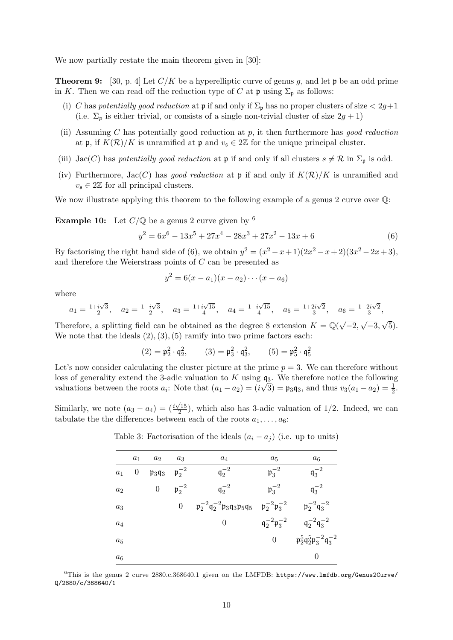We now partially restate the main theorem given in [30]:

**Theorem 9:** [30, p. 4] Let  $C/K$  be a hyperelliptic curve of genus q, and let p be an odd prime in K. Then we can read off the reduction type of C at  $\mathfrak p$  using  $\Sigma_{\mathfrak p}$  as follows:

- (i) C has potentially good reduction at  $\mathfrak p$  if and only if  $\Sigma_{\mathfrak p}$  has no proper clusters of size  $\langle 2g+1\rangle$ (i.e.  $\Sigma_p$  is either trivial, or consists of a single non-trivial cluster of size  $2g + 1$ )
- (ii) Assuming C has potentially good reduction at  $p$ , it then furthermore has good reduction at p, if  $K(\mathcal{R})/K$  is unramified at p and  $v_s \in 2\mathbb{Z}$  for the unique principal cluster.
- (iii) Jac(C) has potentially good reduction at  $\mathfrak p$  if and only if all clusters  $s \neq \mathcal R$  in  $\Sigma_{\mathfrak p}$  is odd.
- (iv) Furthermore, Jac(C) has good reduction at  $\mathfrak p$  if and only if  $K(\mathcal R)/K$  is unramified and  $v_{\mathfrak{s}} \in 2\mathbb{Z}$  for all principal clusters.

We now illustrate applying this theorem to the following example of a genus 2 curve over  $\mathbb{Q}$ :

**Example 10:** Let  $C/\mathbb{Q}$  be a genus 2 curve given by <sup>6</sup>

$$
y^2 = 6x^6 - 13x^5 + 27x^4 - 28x^3 + 27x^2 - 13x + 6
$$
 (6)

By factorising the right hand side of (6), we obtain  $y^2 = (x^2 - x + 1)(2x^2 - x + 2)(3x^2 - 2x + 3)$ , and therefore the Weierstrass points of C can be presented as

$$
y^2 = 6(x - a_1)(x - a_2) \cdots (x - a_6)
$$

where

$$
a_1 = \frac{1+i\sqrt{3}}{2}
$$
,  $a_2 = \frac{1-i\sqrt{3}}{2}$ ,  $a_3 = \frac{1+i\sqrt{15}}{4}$ ,  $a_4 = \frac{1-i\sqrt{15}}{4}$ ,  $a_5 = \frac{1+2i\sqrt{2}}{3}$ ,  $a_6 = \frac{1-2i\sqrt{2}}{3}$ ,

Therefore, a splitting field can be obtained as the degree 8 extension  $K = \mathbb{Q}(\sqrt{\mathbb{Q}})$  $\overline{-2},$  $\overline{-3},$ 5). We note that the ideals  $(2), (3), (5)$  ramify into two prime factors each:

$$
(2) = \mathfrak{p}_2^2 \cdot \mathfrak{q}_2^2, \qquad (3) = \mathfrak{p}_3^2 \cdot \mathfrak{q}_3^2, \qquad (5) = \mathfrak{p}_5^2 \cdot \mathfrak{q}_5^2
$$

Let's now consider calculating the cluster picture at the prime  $p = 3$ . We can therefore without loss of generality extend the 3-adic valuation to K using  $\mathfrak{q}_3$ . We therefore notice the following valuations between the roots  $a_i$ : Note that  $(a_1 - a_2) = (i\sqrt{3}) = \mathfrak{p}_3 \mathfrak{q}_3$ , and thus  $v_3(a_1 - a_2) = \frac{1}{2}$ .

Similarly, we note  $(a_3 - a_4) = (\frac{i\sqrt{15}}{2})$  $\frac{(15)}{2}$ , which also has 3-adic valuation of 1/2. Indeed, we can tabulate the the differences between each of the roots  $a_1, \ldots, a_6$ :

|       | $a_1$            | a <sub>2</sub>                                       | $a_3$            | $a_4$                                              | $a_5$                                     | $a_6$                                                                       |
|-------|------------------|------------------------------------------------------|------------------|----------------------------------------------------|-------------------------------------------|-----------------------------------------------------------------------------|
| $a_1$ | $\boldsymbol{0}$ | $\mathfrak{p}_3\mathfrak{q}_3$ $\mathfrak{p}_2^{-2}$ |                  | $\mathfrak{q}_2^{-2}$                              | $\mathfrak{p}_3^{-2}$                     | $\mathfrak{q}_3^{-2}$                                                       |
| $a_2$ |                  | $\boldsymbol{0}$                                     | $p_2^{-2}$       | $\mathfrak{q}_2^{-2}$                              | $p_3^{-2}$                                | $q_3^{-2}$                                                                  |
| $a_3$ |                  |                                                      | $\boldsymbol{0}$ | $-p_2^{-2}q_2^{-2}p_3q_3p_5q_5$ $p_2^{-2}p_3^{-2}$ |                                           | $p_2^{-2}q_3^{-2}$                                                          |
| $a_4$ |                  |                                                      |                  | $\overline{0}$                                     | $\mathfrak{q}_2^{-2} \mathfrak{p}_3^{-2}$ | $q_2^{-2}q_3^{-2}$                                                          |
| $a_5$ |                  |                                                      |                  |                                                    | $\overline{0}$                            | $\mathfrak{p}_2^5 \mathfrak{q}_2^5 \mathfrak{p}_3^{-2} \mathfrak{q}_3^{-2}$ |
| $a_6$ |                  |                                                      |                  |                                                    |                                           | 0                                                                           |

Table 3: Factorisation of the ideals  $(a_i - a_j)$  (i.e. up to units)

 $6$ This is the genus 2 curve 2880.c.368640.1 given on the LMFDB: https://www.lmfdb.org/Genus2Curve/ Q/2880/c/368640/1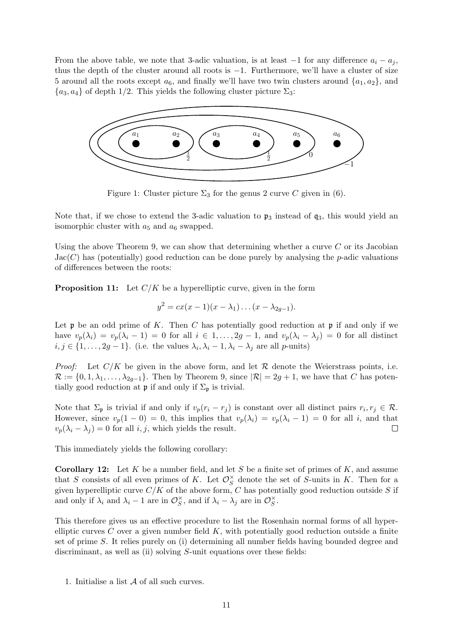From the above table, we note that 3-adic valuation, is at least  $-1$  for any difference  $a_i - a_j$ , thus the depth of the cluster around all roots is −1. Furthermore, we'll have a cluster of size 5 around all the roots except  $a_6$ , and finally we'll have two twin clusters around  $\{a_1, a_2\}$ , and  ${a_3, a_4}$  of depth 1/2. This yields the following cluster picture  $\Sigma_3$ :



Figure 1: Cluster picture  $\Sigma_3$  for the genus 2 curve C given in (6).

Note that, if we chose to extend the 3-adic valuation to  $\mathfrak{p}_3$  instead of  $\mathfrak{q}_3$ , this would yield an isomorphic cluster with  $a_5$  and  $a_6$  swapped.

Using the above Theorem 9, we can show that determining whether a curve  $C$  or its Jacobian  $Jac(C)$  has (potentially) good reduction can be done purely by analysing the p-adic valuations of differences between the roots:

**Proposition 11:** Let  $C/K$  be a hyperelliptic curve, given in the form

$$
y^{2} = cx(x-1)(x - \lambda_{1}) \dots (x - \lambda_{2g-1}).
$$

Let  $\mathfrak p$  be an odd prime of K. Then C has potentially good reduction at  $\mathfrak p$  if and only if we have  $v_p(\lambda_i) = v_p(\lambda_i - 1) = 0$  for all  $i \in 1, \ldots, 2g - 1$ , and  $v_p(\lambda_i - \lambda_j) = 0$  for all distinct  $i, j \in \{1, \ldots, 2g - 1\}$ . (i.e. the values  $\lambda_i, \lambda_i - 1, \lambda_i - \lambda_j$  are all p-units)

*Proof:* Let  $C/K$  be given in the above form, and let  $\mathcal R$  denote the Weierstrass points, i.e.  $\mathcal{R} := \{0, 1, \lambda_1, \ldots, \lambda_{2g-1}\}.$  Then by Theorem 9, since  $|\mathcal{R}| = 2g + 1$ , we have that C has potentially good reduction at  $\mathfrak p$  if and only if  $\Sigma_{\mathfrak p}$  is trivial.

Note that  $\Sigma_p$  is trivial if and only if  $v_p(r_i - r_j)$  is constant over all distinct pairs  $r_i, r_j \in \mathcal{R}$ . However, since  $v_p(1-0) = 0$ , this implies that  $v_p(\lambda_i) = v_p(\lambda_i - 1) = 0$  for all i, and that  $v_p(\lambda_i - \lambda_j) = 0$  for all i, j, which yields the result.  $\Box$ 

This immediately yields the following corollary:

**Corollary 12:** Let K be a number field, and let S be a finite set of primes of K, and assume that S consists of all even primes of K. Let  $\mathcal{O}_S^{\times}$  $\int_{S}^{\infty}$  denote the set of S-units in K. Then for a given hyperelliptic curve  $C/K$  of the above form, C has potentially good reduction outside S if and only if  $\lambda_i$  and  $\lambda_i - 1$  are in  $\mathcal{O}_S^{\times}$  $\mathcal{S}_S^{\times}$ , and if  $\lambda_i - \lambda_j$  are in  $\mathcal{O}_S^{\times}$  $^{\times}_S$  .

This therefore gives us an effective procedure to list the Rosenhain normal forms of all hyperelliptic curves  $C$  over a given number field  $K$ , with potentially good reduction outside a finite set of prime S. It relies purely on (i) determining all number fields having bounded degree and discriminant, as well as (ii) solving S-unit equations over these fields:

1. Initialise a list A of all such curves.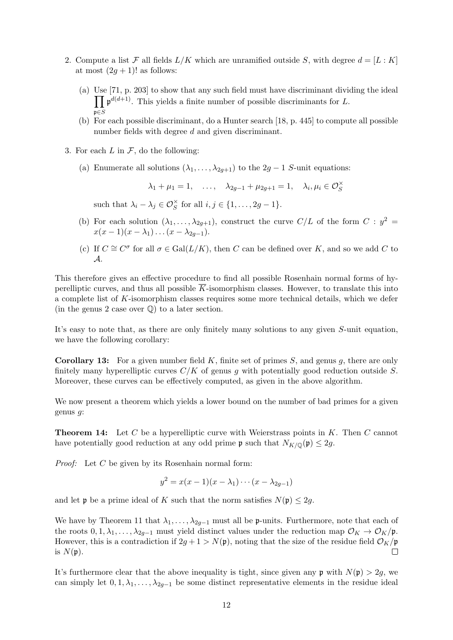- 2. Compute a list  $\mathcal F$  all fields  $L/K$  which are unramified outside S, with degree  $d = [L : K]$ at most  $(2g + 1)!$  as follows:
	- (a) Use [71, p. 203] to show that any such field must have discriminant dividing the ideal  $\prod_{i} \mathfrak{p}^{d(d+1)}$ . This yields a finite number of possible discriminants for L.  $\mathfrak{p{\in}}S$
	- (b) For each possible discriminant, do a Hunter search [18, p. 445] to compute all possible number fields with degree d and given discriminant.
- 3. For each  $L$  in  $\mathcal{F}$ , do the following:
	- (a) Enumerate all solutions  $(\lambda_1, \ldots, \lambda_{2q+1})$  to the  $2q-1$  S-unit equations:

 $\lambda_1 + \mu_1 = 1, \quad \dots, \quad \lambda_{2g-1} + \mu_{2g+1} = 1, \quad \lambda_i, \mu_i \in \mathcal{O}_S^{\times}$ 

such that  $\lambda_i - \lambda_j \in \mathcal{O}_S^{\times}$  for all  $i, j \in \{1, ..., 2g - 1\}.$ 

- (b) For each solution  $(\lambda_1, \ldots, \lambda_{2g+1})$ , construct the curve  $C/L$  of the form  $C : y^2 =$  $x(x-1)(x-\lambda_1)\ldots(x-\lambda_{2g-1}).$
- (c) If  $C \cong C^{\sigma}$  for all  $\sigma \in \text{Gal}(L/K)$ , then C can be defined over K, and so we add C to A.

This therefore gives an effective procedure to find all possible Rosenhain normal forms of hyperelliptic curves, and thus all possible  $\overline{K}$ -isomorphism classes. However, to translate this into a complete list of K-isomorphism classes requires some more technical details, which we defer (in the genus 2 case over  $\mathbb{Q}$ ) to a later section.

It's easy to note that, as there are only finitely many solutions to any given S-unit equation, we have the following corollary:

**Corollary 13:** For a given number field K, finite set of primes S, and genus q, there are only finitely many hyperelliptic curves  $C/K$  of genus g with potentially good reduction outside S. Moreover, these curves can be effectively computed, as given in the above algorithm.

We now present a theorem which yields a lower bound on the number of bad primes for a given genus g:

**Theorem 14:** Let C be a hyperelliptic curve with Weierstrass points in  $K$ . Then C cannot have potentially good reduction at any odd prime  $\mathfrak{p}$  such that  $N_{K/\mathbb{Q}}(\mathfrak{p}) \leq 2g$ .

*Proof:* Let  $C$  be given by its Rosenhain normal form:

$$
y^2 = x(x-1)(x-\lambda_1)\cdots(x-\lambda_{2g-1})
$$

and let **p** be a prime ideal of K such that the norm satisfies  $N(\mathfrak{p}) \leq 2g$ .

We have by Theorem 11 that  $\lambda_1, \ldots, \lambda_{2g-1}$  must all be p-units. Furthermore, note that each of the roots  $0, 1, \lambda_1, \ldots, \lambda_{2q-1}$  must yield distinct values under the reduction map  $\mathcal{O}_K \to \mathcal{O}_K/\mathfrak{p}$ . However, this is a contradiction if  $2g + 1 > N(\mathfrak{p})$ , noting that the size of the residue field  $\mathcal{O}_K/\mathfrak{p}$ is  $N(\mathfrak{p})$ .  $\Box$ 

It's furthermore clear that the above inequality is tight, since given any  $\mathfrak{p}$  with  $N(\mathfrak{p}) > 2g$ , we can simply let  $0, 1, \lambda_1, \ldots, \lambda_{2g-1}$  be some distinct representative elements in the residue ideal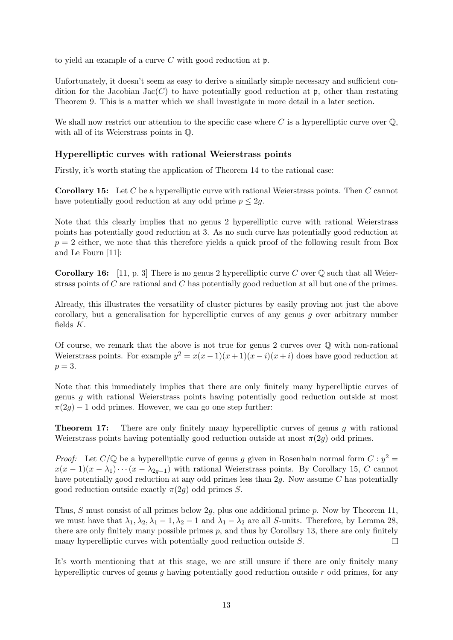to yield an example of a curve  $C$  with good reduction at  $\mathfrak{p}$ .

Unfortunately, it doesn't seem as easy to derive a similarly simple necessary and sufficient condition for the Jacobian Jac(C) to have potentially good reduction at  $\mathfrak{p}$ , other than restating Theorem 9. This is a matter which we shall investigate in more detail in a later section.

We shall now restrict our attention to the specific case where  $C$  is a hyperelliptic curve over  $\mathbb{Q}$ , with all of its Weierstrass points in Q.

### Hyperelliptic curves with rational Weierstrass points

Firstly, it's worth stating the application of Theorem 14 to the rational case:

Corollary 15: Let C be a hyperelliptic curve with rational Weierstrass points. Then C cannot have potentially good reduction at any odd prime  $p \leq 2g$ .

Note that this clearly implies that no genus 2 hyperelliptic curve with rational Weierstrass points has potentially good reduction at 3. As no such curve has potentially good reduction at  $p = 2$  either, we note that this therefore yields a quick proof of the following result from Box and Le Fourn [11]:

**Corollary 16:** [11, p. 3] There is no genus 2 hyperelliptic curve C over  $\mathbb{O}$  such that all Weierstrass points of C are rational and C has potentially good reduction at all but one of the primes.

Already, this illustrates the versatility of cluster pictures by easily proving not just the above corollary, but a generalisation for hyperelliptic curves of any genus g over arbitrary number fields K.

Of course, we remark that the above is not true for genus 2 curves over  $\mathbb O$  with non-rational Weierstrass points. For example  $y^2 = x(x-1)(x+1)(x-i)(x+i)$  does have good reduction at  $p=3$ .

Note that this immediately implies that there are only finitely many hyperelliptic curves of genus g with rational Weierstrass points having potentially good reduction outside at most  $\pi(2q) - 1$  odd primes. However, we can go one step further:

**Theorem 17:** There are only finitely many hyperelliptic curves of genus  $g$  with rational Weierstrass points having potentially good reduction outside at most  $\pi(2q)$  odd primes.

*Proof:* Let  $C/\mathbb{Q}$  be a hyperelliptic curve of genus g given in Rosenhain normal form  $C : y^2 =$  $x(x-1)(x-\lambda_1)\cdots(x-\lambda_{2q-1})$  with rational Weierstrass points. By Corollary 15, C cannot have potentially good reduction at any odd primes less than 2q. Now assume C has potentially good reduction outside exactly  $\pi(2g)$  odd primes S.

Thus, S must consist of all primes below 2g, plus one additional prime p. Now by Theorem 11, we must have that  $\lambda_1, \lambda_2, \lambda_1 - 1, \lambda_2 - 1$  and  $\lambda_1 - \lambda_2$  are all S-units. Therefore, by Lemma 28, there are only finitely many possible primes  $p$ , and thus by Corollary 13, there are only finitely many hyperelliptic curves with potentially good reduction outside S.  $\Box$ 

It's worth mentioning that at this stage, we are still unsure if there are only finitely many hyperelliptic curves of genus q having potentially good reduction outside  $r$  odd primes, for any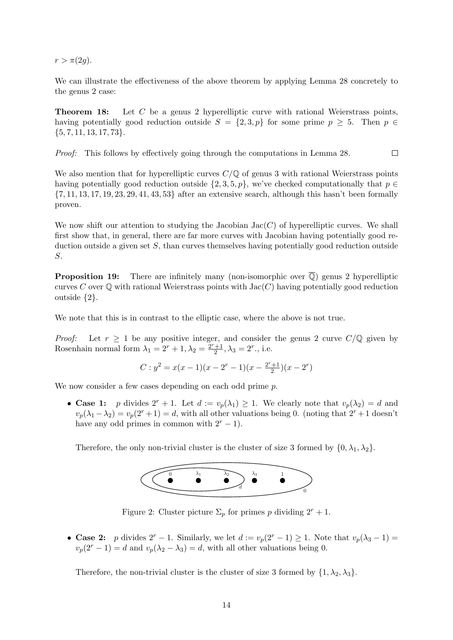$r > \pi(2g)$ .

We can illustrate the effectiveness of the above theorem by applying Lemma 28 concretely to the genus 2 case:

Theorem 18: Let C be a genus 2 hyperelliptic curve with rational Weierstrass points, having potentially good reduction outside  $S = \{2, 3, p\}$  for some prime  $p \geq 5$ . Then  $p \in$  $\{5, 7, 11, 13, 17, 73\}.$ 

Proof: This follows by effectively going through the computations in Lemma 28.  $\Box$ 

We also mention that for hyperelliptic curves  $C/\mathbb{Q}$  of genus 3 with rational Weierstrass points having potentially good reduction outside  $\{2, 3, 5, p\}$ , we've checked computationally that  $p \in$  $\{7, 11, 13, 17, 19, 23, 29, 41, 43, 53\}$  after an extensive search, although this hasn't been formally proven.

We now shift our attention to studying the Jacobian  $Jac(C)$  of hyperelliptic curves. We shall first show that, in general, there are far more curves with Jacobian having potentially good reduction outside a given set  $S$ , than curves themselves having potentially good reduction outside S.

**Proposition 19:** There are infinitely many (non-isomorphic over  $\overline{Q}$ ) genus 2 hyperelliptic curves C over  $\mathbb Q$  with rational Weierstrass points with  $Jac(C)$  having potentially good reduction outside {2}.

We note that this is in contrast to the elliptic case, where the above is not true.

*Proof:* Let  $r \geq 1$  be any positive integer, and consider the genus 2 curve  $C/\mathbb{Q}$  given by Rosenhain normal form  $\lambda_1 = 2^r + 1, \lambda_2 = \frac{2^r + 1}{2}$  $\frac{+1}{2}, \lambda_3 = 2^r.$ , i.e.

$$
C: y^{2} = x(x-1)(x - 2^{r} - 1)(x - \frac{2^{r} + 1}{2})(x - 2^{r})
$$

We now consider a few cases depending on each odd prime  $p$ .

• Case 1: p divides  $2^r + 1$ . Let  $d := v_p(\lambda_1) \geq 1$ . We clearly note that  $v_p(\lambda_2) = d$  and  $v_p(\lambda_1 - \lambda_2) = v_p(2^r + 1) = d$ , with all other valuations being 0. (noting that  $2^r + 1$  doesn't have any odd primes in common with  $2^r - 1$ ).

Therefore, the only non-trivial cluster is the cluster of size 3 formed by  $\{0, \lambda_1, \lambda_2\}$ .



Figure 2: Cluster picture  $\Sigma_p$  for primes p dividing  $2^r + 1$ .

• Case 2: p divides  $2^r - 1$ . Similarly, we let  $d := v_p(2^r - 1) \ge 1$ . Note that  $v_p(\lambda_3 - 1) =$  $v_p(2^r - 1) = d$  and  $v_p(\lambda_2 - \lambda_3) = d$ , with all other valuations being 0.

Therefore, the non-trivial cluster is the cluster of size 3 formed by  $\{1, \lambda_2, \lambda_3\}$ .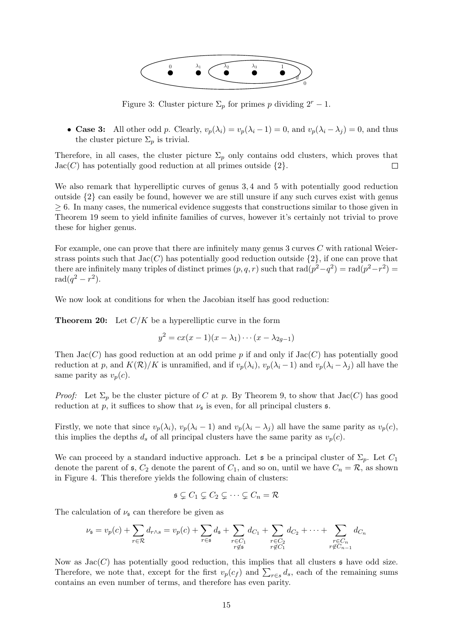

Figure 3: Cluster picture  $\Sigma_p$  for primes p dividing  $2^r - 1$ .

• Case 3: All other odd p. Clearly,  $v_p(\lambda_i) = v_p(\lambda_i - 1) = 0$ , and  $v_p(\lambda_i - \lambda_j) = 0$ , and thus the cluster picture  $\Sigma_p$  is trivial.

Therefore, in all cases, the cluster picture  $\Sigma_p$  only contains odd clusters, which proves that  $Jac(C)$  has potentially good reduction at all primes outside  $\{2\}$ .  $\Box$ 

We also remark that hyperelliptic curves of genus 3,4 and 5 with potentially good reduction outside  $\{2\}$  can easily be found, however we are still unsure if any such curves exist with genus  $\geq 6$ . In many cases, the numerical evidence suggests that constructions similar to those given in Theorem 19 seem to yield infinite families of curves, however it's certainly not trivial to prove these for higher genus.

For example, one can prove that there are infinitely many genus  $3$  curves  $C$  with rational Weierstrass points such that  $Jac(C)$  has potentially good reduction outside  $\{2\}$ , if one can prove that there are infinitely many triples of distinct primes  $(p, q, r)$  such that  $rad(p^2 - q^2) = rad(p^2 - r^2)$  $rad(q^2 - r^2).$ 

We now look at conditions for when the Jacobian itself has good reduction:

**Theorem 20:** Let  $C/K$  be a hyperelliptic curve in the form

$$
y^2 = cx(x-1)(x-\lambda_1)\cdots(x-\lambda_{2g-1})
$$

Then  $Jac(C)$  has good reduction at an odd prime p if and only if  $Jac(C)$  has potentially good reduction at p, and  $K(\mathcal{R})/K$  is unramified, and if  $v_p(\lambda_i)$ ,  $v_p(\lambda_i - 1)$  and  $v_p(\lambda_i - \lambda_j)$  all have the same parity as  $v_p(c)$ .

*Proof:* Let  $\Sigma_p$  be the cluster picture of C at p. By Theorem 9, to show that  $Jac(C)$  has good reduction at p, it suffices to show that  $\nu_{\mathfrak{s}}$  is even, for all principal clusters  $\mathfrak{s}$ .

Firstly, we note that since  $v_p(\lambda_i)$ ,  $v_p(\lambda_i - 1)$  and  $v_p(\lambda_i - \lambda_j)$  all have the same parity as  $v_p(c)$ , this implies the depths  $d_s$  of all principal clusters have the same parity as  $v_p(c)$ .

We can proceed by a standard inductive approach. Let s be a principal cluster of  $\Sigma_p$ . Let  $C_1$ denote the parent of  $\mathfrak{s}, C_2$  denote the parent of  $C_1$ , and so on, until we have  $C_n = \mathcal{R}$ , as shown in Figure 4. This therefore yields the following chain of clusters:

$$
\mathfrak{s} \subsetneq C_1 \subsetneq C_2 \subsetneq \cdots \subsetneq C_n = \mathcal{R}
$$

The calculation of  $\nu_{\mathfrak{s}}$  can therefore be given as

$$
\nu_{\mathfrak{s}} = v_p(c) + \sum_{r \in \mathcal{R}} d_{r \wedge s} = v_p(c) + \sum_{r \in \mathfrak{s}} d_{\mathfrak{s}} + \sum_{\substack{r \in C_1 \\ r \notin s}} d_{C_1} + \sum_{\substack{r \in C_2 \\ r \notin C_1}} d_{C_2} + \dots + \sum_{\substack{r \in C_n \\ r \notin C_{n-1}}} d_{C_n}
$$

Now as  $Jac(C)$  has potentially good reduction, this implies that all clusters  $\mathfrak s$  have odd size. Therefore, we note that, except for the first  $v_p(c_f)$  and  $\sum_{r \in s} d_s$ , each of the remaining sums contains an even number of terms, and therefore has even parity.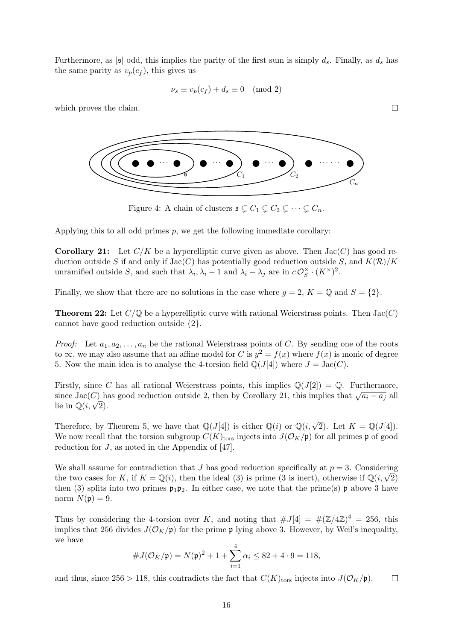Furthermore, as  $|\mathfrak{s}|$  odd, this implies the parity of the first sum is simply  $d_s$ . Finally, as  $d_s$  has the same parity as  $v_p(c_f)$ , this gives us

$$
\nu_s \equiv v_p(c_f) + d_s \equiv 0 \pmod{2}
$$

which proves the claim.



Figure 4: A chain of clusters  $\mathfrak{s} \subsetneq C_1 \subsetneq C_2 \subsetneq \cdots \subsetneq C_n$ .

Applying this to all odd primes  $p$ , we get the following immediate corollary:

**Corollary 21:** Let  $C/K$  be a hyperelliptic curve given as above. Then  $Jac(C)$  has good reduction outside S if and only if  $Jac(C)$  has potentially good reduction outside S, and  $K(\mathcal{R})/K$ unramified outside S, and such that  $\lambda_i, \lambda_i - 1$  and  $\lambda_i - \lambda_j$  are in  $c\mathcal{O}_S^{\times}$  $\iota_S^\times \cdot (K^\times)^2$ .

Finally, we show that there are no solutions in the case where  $g = 2$ ,  $K = \mathbb{Q}$  and  $S = \{2\}$ .

**Theorem 22:** Let  $C/\mathbb{Q}$  be a hyperelliptic curve with rational Weierstrass points. Then  $Jac(C)$ cannot have good reduction outside {2}.

*Proof:* Let  $a_1, a_2, \ldots, a_n$  be the rational Weierstrass points of C. By sending one of the roots to  $\infty$ , we may also assume that an affine model for C is  $y^2 = f(x)$  where  $f(x)$  is monic of degree 5. Now the main idea is to analyse the 4-torsion field  $\mathbb{Q}(J[4])$  where  $J = \text{Jac}(C)$ .

Firstly, since C has all rational Weierstrass points, this implies  $\mathbb{Q}(J[2]) = \mathbb{Q}$ . Furthermore, since Jac(C) has good reduction outside 2, then by Corollary 21, this implies that  $\sqrt{a_i - a_j}$  all since  $\text{Jac}(C)$  in<br>lie in  $\mathbb{Q}(i,\sqrt{2})$ .

Therefore, by Theorem 5, we have that  $\mathbb{Q}(J[4])$  is either  $\mathbb{Q}(i)$  or  $\mathbb{Q}(i,\sqrt{2})$ . Let  $K = \mathbb{Q}(J[4])$ . We now recall that the torsion subgroup  $C(K)_{\text{tors}}$  injects into  $J(\mathcal{O}_K/\mathfrak{p})$  for all primes p of good reduction for J, as noted in the Appendix of [47].

We shall assume for contradiction that J has good reduction specifically at  $p = 3$ . Considering we shall assume for contradiction that J has good reduction specifically at  $p = 3$ . Considering the two cases for K, if  $K = \mathbb{Q}(i)$ , then the ideal (3) is prime (3 is inert), otherwise if  $\mathbb{Q}(i, \sqrt{2})$ then (3) splits into two primes  $\mathfrak{p}_1 \mathfrak{p}_2$ . In either case, we note that the prime(s)  $\mathfrak{p}$  above 3 have norm  $N(\mathfrak{p})=9$ .

Thus by considering the 4-torsion over K, and noting that  $\#J[4] = \#(\mathbb{Z}/4\mathbb{Z})^4 = 256$ , this implies that 256 divides  $J(\mathcal{O}_K/\mathfrak{p})$  for the prime  $\mathfrak{p}$  lying above 3. However, by Weil's inequality, we have

$$
#J(\mathcal{O}_K/\mathfrak{p}) = N(\mathfrak{p})^2 + 1 + \sum_{i=1}^4 \alpha_i \le 82 + 4 \cdot 9 = 118,
$$

and thus, since 256 > 118, this contradicts the fact that  $C(K)_{\text{tors}}$  injects into  $J(\mathcal{O}_K/\mathfrak{p})$ .  $\Box$ 

 $\Box$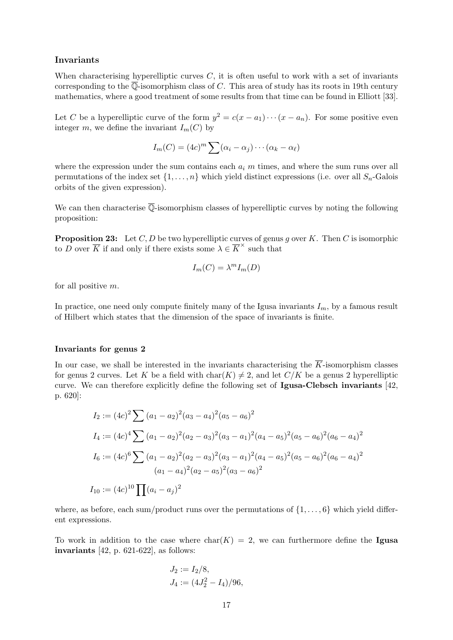#### Invariants

When characterising hyperelliptic curves  $C$ , it is often useful to work with a set of invariants corresponding to the  $\overline{\mathbb{Q}}$ -isomorphism class of C. This area of study has its roots in 19th century mathematics, where a good treatment of some results from that time can be found in Elliott [33].

Let C be a hyperelliptic curve of the form  $y^2 = c(x - a_1) \cdots (x - a_n)$ . For some positive even integer m, we define the invariant  $I_m(C)$  by

$$
I_m(C) = (4c)^m \sum (\alpha_i - \alpha_j) \cdots (\alpha_k - \alpha_\ell)
$$

where the expression under the sum contains each  $a_i$  m times, and where the sum runs over all permutations of the index set  $\{1, \ldots, n\}$  which yield distinct expressions (i.e. over all  $S_n$ -Galois orbits of the given expression).

We can then characterise  $\overline{\mathbb{Q}}$ -isomorphism classes of hyperelliptic curves by noting the following proposition:

**Proposition 23:** Let C, D be two hyperelliptic curves of genus q over K. Then C is isomorphic to D over  $\overline{K}$  if and only if there exists some  $\lambda \in \overline{K}^{\times}$  such that

$$
I_m(C) = \lambda^m I_m(D)
$$

for all positive m.

In practice, one need only compute finitely many of the Igusa invariants  $I_m$ , by a famous result of Hilbert which states that the dimension of the space of invariants is finite.

#### Invariants for genus 2

In our case, we shall be interested in the invariants characterising the  $\overline{K}$ -isomorphism classes for genus 2 curves. Let K be a field with  $char(K) \neq 2$ , and let  $C/K$  be a genus 2 hyperelliptic curve. We can therefore explicitly define the following set of Igusa-Clebsch invariants [42, p. 620]:

$$
I_2 := (4c)^2 \sum (a_1 - a_2)^2 (a_3 - a_4)^2 (a_5 - a_6)^2
$$
  
\n
$$
I_4 := (4c)^4 \sum (a_1 - a_2)^2 (a_2 - a_3)^2 (a_3 - a_1)^2 (a_4 - a_5)^2 (a_5 - a_6)^2 (a_6 - a_4)^2
$$
  
\n
$$
I_6 := (4c)^6 \sum (a_1 - a_2)^2 (a_2 - a_3)^2 (a_3 - a_1)^2 (a_4 - a_5)^2 (a_5 - a_6)^2 (a_6 - a_4)^2
$$
  
\n
$$
(a_1 - a_4)^2 (a_2 - a_5)^2 (a_3 - a_6)^2
$$
  
\n
$$
I_{10} := (4c)^{10} \prod (a_i - a_j)^2
$$

where, as before, each sum/product runs over the permutations of  $\{1, \ldots, 6\}$  which yield different expressions.

To work in addition to the case where  $char(K) = 2$ , we can furthermore define the Igusa invariants [42, p. 621-622], as follows:

$$
J_2 := I_2/8,
$$
  
\n $J_4 := (4J_2^2 - I_4)/96,$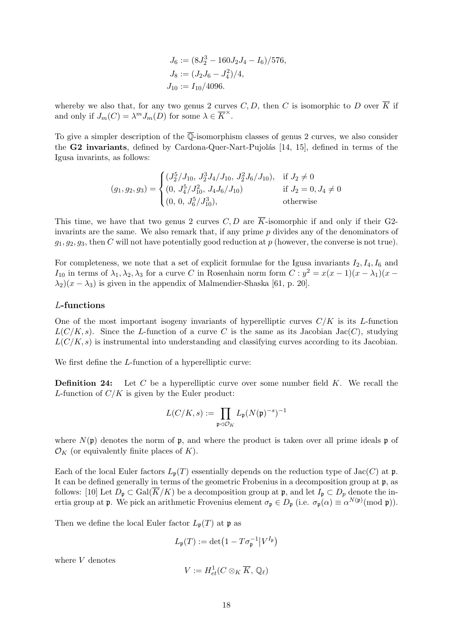$$
J_6 := (8J_2^3 - 160J_2J_4 - I_6)/576,
$$
  
\n
$$
J_8 := (J_2J_6 - J_4^2)/4,
$$
  
\n
$$
J_{10} := I_{10}/4096.
$$

whereby we also that, for any two genus 2 curves C, D, then C is isomorphic to D over  $\overline{K}$  if and only if  $J_m(C) = \lambda^m J_m(D)$  for some  $\lambda \in \overline{K}^{\times}$ .

To give a simpler description of the  $\overline{\mathbb{Q}}$ -isomorphism classes of genus 2 curves, we also consider the  $G2$  invariants, defined by Cardona-Quer-Nart-Pujolás [14, 15], defined in terms of the Igusa invarints, as follows:

$$
(g_1, g_2, g_3) = \begin{cases} (J_2^5/J_{10}, J_2^3 J_4/J_{10}, J_2^2 J_6/J_{10}), & \text{if } J_2 \neq 0\\ (0, J_4^5/J_{10}^2, J_4 J_6/J_{10}) & \text{if } J_2 = 0, J_4 \neq 0\\ (0, 0, J_6^5/J_{10}^3), & \text{otherwise} \end{cases}
$$

This time, we have that two genus 2 curves C, D are  $\overline{K}$ -isomorphic if and only if their G2invarints are the same. We also remark that, if any prime  $p$  divides any of the denominators of  $g_1, g_2, g_3$ , then C will not have potentially good reduction at p (however, the converse is not true).

For completeness, we note that a set of explicit formulae for the Igusa invariants  $I_2, I_4, I_6$  and I<sub>10</sub> in terms of  $\lambda_1, \lambda_2, \lambda_3$  for a curve C in Rosenhain norm form  $C: y^2 = x(x-1)(x-\lambda_1)(x-\lambda_2)$  $\lambda_2$ )( $x - \lambda_3$ ) is given in the appendix of Malmendier-Shaska [61, p. 20].

#### L-functions

One of the most important isogeny invariants of hyperelliptic curves  $C/K$  is its L-function  $L(C/K, s)$ . Since the L-function of a curve C is the same as its Jacobian Jac(C), studying  $L(C/K, s)$  is instrumental into understanding and classifying curves according to its Jacobian.

We first define the *L*-function of a hyperelliptic curve:

**Definition 24:** Let C be a hyperelliptic curve over some number field  $K$ . We recall the L-function of  $C/K$  is given by the Euler product:

$$
L(C/K,s):=\prod_{\mathfrak{p}\lhd{\mathcal{O}}_K}L_{\mathfrak{p}}(N(\mathfrak{p})^{-s})^{-1}
$$

where  $N(\mathfrak{p})$  denotes the norm of  $\mathfrak{p}$ , and where the product is taken over all prime ideals  $\mathfrak{p}$  of  $\mathcal{O}_K$  (or equivalently finite places of K).

Each of the local Euler factors  $L_{\mathfrak{p}}(T)$  essentially depends on the reduction type of Jac(C) at  $\mathfrak{p}$ . It can be defined generally in terms of the geometric Frobenius in a decomposition group at p, as follows: [10] Let  $D_p \subset \text{Gal}(\overline{K}/K)$  be a decomposition group at  $\mathfrak{p}$ , and let  $I_p \subset D_p$  denote the inertia group at **p**. We pick an arithmetic Frovenius element  $\sigma_{\mathfrak{p}} \in D_{\mathfrak{p}}$  (i.e.  $\sigma_{\mathfrak{p}}(\alpha) \equiv \alpha^{N(\mathfrak{p})}(\text{mod } \mathfrak{p})$ ).

Then we define the local Euler factor  $L_{\mathfrak{p}}(T)$  at  $\mathfrak{p}$  as

$$
L_{\mathfrak{p}}(T) := \det \left(1 - T\sigma_{\mathfrak{p}}^{-1} \middle| V^{I_{\mathfrak{p}}}\right)
$$

where V denotes

$$
V:=H^1_{et}(C\otimes_K \overline{K},\, \mathbb{Q}_\ell)
$$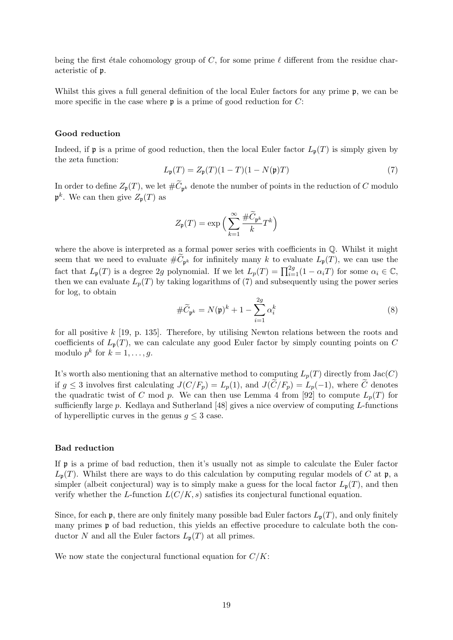being the first étale cohomology group of C, for some prime  $\ell$  different from the residue characteristic of p.

Whilst this gives a full general definition of the local Euler factors for any prime  $\mathfrak{p}$ , we can be more specific in the case where  $\mathfrak p$  is a prime of good reduction for C:

#### Good reduction

Indeed, if **p** is a prime of good reduction, then the local Euler factor  $L_p(T)$  is simply given by the zeta function:

$$
L_{\mathfrak{p}}(T) = Z_{\mathfrak{p}}(T)(1 - T)(1 - N(\mathfrak{p})T)
$$
\n(7)

In order to define  $Z_{\mathfrak{p}}(T)$ , we let  $\#C_{\mathfrak{p}^k}$  denote the number of points in the reduction of C modulo  $\mathfrak{p}^k$ . We can then give  $Z_{\mathfrak{p}}(T)$  as

$$
Z_{\mathfrak{p}}(T) = \exp\Big(\sum_{k=1}^{\infty} \frac{\# \widetilde{C}_{\mathfrak{p}^k}}{k} T^k\Big)
$$

where the above is interpreted as a formal power series with coefficients in  $\mathbb{Q}$ . Whilst it might seem that we need to evaluate  $\#C_{\mathfrak{p}^k}$  for infinitely many k to evaluate  $L_{\mathfrak{p}}(T)$ , we can use the fact that  $L_{\mathfrak{p}}(T)$  is a degree 2g polynomial. If we let  $L_p(T) = \prod_{i=1}^{2g} (1 - \alpha_i T)$  for some  $\alpha_i \in \mathbb{C}$ , then we can evaluate  $L_p(T)$  by taking logarithms of (7) and subsequently using the power series for log, to obtain

$$
\#\widetilde{C}_{\mathfrak{p}^k} = N(\mathfrak{p})^k + 1 - \sum_{i=1}^{2g} \alpha_i^k \tag{8}
$$

for all positive  $k$  [19, p. 135]. Therefore, by utilising Newton relations between the roots and coefficients of  $L_{\mathfrak{p}}(T)$ , we can calculate any good Euler factor by simply counting points on C modulo  $p^k$  for  $k = 1, \ldots, g$ .

It's worth also mentioning that an alternative method to computing  $L_p(T)$  directly from  $Jac(C)$ if  $g \leq 3$  involves first calculating  $J(C/F_p) = L_p(1)$ , and  $J(\tilde{C}/F_p) = L_p(-1)$ , where  $\tilde{C}$  denotes the quadratic twist of C mod p. We can then use Lemma 4 from [92] to compute  $L_p(T)$  for sufficienfly large p. Kedlaya and Sutherland [48] gives a nice overview of computing L-functions of hyperelliptic curves in the genus  $g \leq 3$  case.

#### Bad reduction

If p is a prime of bad reduction, then it's usually not as simple to calculate the Euler factor  $L_{\mathfrak{p}}(T)$ . Whilst there are ways to do this calculation by computing regular models of C at  $\mathfrak{p}$ , a simpler (albeit conjectural) way is to simply make a guess for the local factor  $L_{\mathfrak{p}}(T)$ , and then verify whether the L-function  $L(C/K, s)$  satisfies its conjectural functional equation.

Since, for each  $\mathfrak p$ , there are only finitely many possible bad Euler factors  $L_{\mathfrak p}(T)$ , and only finitely many primes  $\mathfrak p$  of bad reduction, this yields an effective procedure to calculate both the conductor N and all the Euler factors  $L_{\mathfrak{p}}(T)$  at all primes.

We now state the conjectural functional equation for  $C/K$ :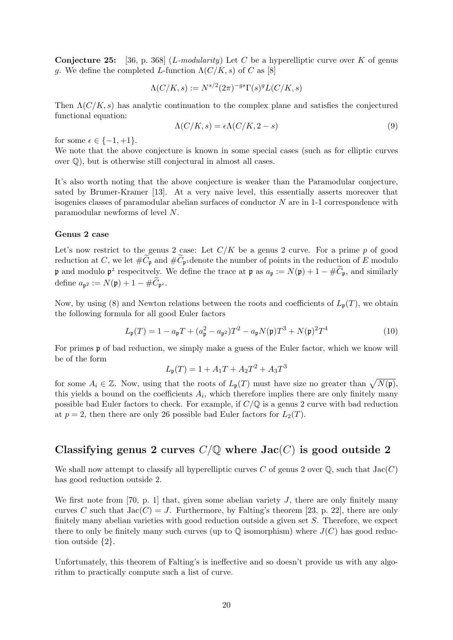**Conjecture 25:** [36, p. 368] (*L-modularity*) Let C be a hyperelliptic curve over K of genus g. We define the completed L-function  $\Lambda(C/K, s)$  of C as [8]

$$
\Lambda(C/K,s) := N^{s/2} (2\pi)^{-gs} \Gamma(s)^g L(C/K,s)
$$

Then  $\Lambda(C/K, s)$  has analytic continuation to the complex plane and satisfies the conjectured functional equation:

$$
\Lambda(C/K, s) = \epsilon \Lambda(C/K, 2 - s)
$$
\n(9)

for some  $\epsilon \in \{-1, +1\}.$ 

We note that the above conjecture is known in some special cases (such as for elliptic curves over Q), but is otherwise still conjectural in almost all cases.

It's also worth noting that the above conjecture is weaker than the Paramodular conjecture, sated by Brumer-Kramer [13]. At a very naive level, this essentially asserts moreover that isogenies classes of paramodular abelian surfaces of conductor  $N$  are in 1-1 correspondence with paramodular newforms of level N.

#### Genus 2 case

Let's now restrict to the genus 2 case: Let  $C/K$  be a genus 2 curve. For a prime p of good reduction at C, we let  $\#C_{\mathfrak{p}}$  and  $\#C_{\mathfrak{p}^2}$  denote the number of points in the reduction of E modulo p and modulo  $p^2$  respecitvely. We define the trace at p as  $a_p := N(p) + 1 - \#\widetilde{C}_p$ , and similarly define  $a_{\mathfrak{p}^2} := N(\mathfrak{p}) + 1 - \#C_{\mathfrak{p}^2}$ .

Now, by using (8) and Newton relations between the roots and coefficients of  $L_p(T)$ , we obtain the following formula for all good Euler factors

$$
L_{\mathfrak{p}}(T) = 1 - a_{\mathfrak{p}}T + (a_{\mathfrak{p}}^2 - a_{\mathfrak{p}^2})T^2 - a_{\mathfrak{p}}N(\mathfrak{p})T^3 + N(\mathfrak{p})^2T^4
$$
 (10)

For primes p of bad reduction, we simply make a guess of the Euler factor, which we know will be of the form

$$
L_{\mathfrak{p}}(T) = 1 + A_1 T + A_2 T^2 + A_3 T^3
$$

for some  $A_i \in \mathbb{Z}$ . Now, using that the roots of  $L_{\mathfrak{p}}(T)$  must have size no greater than  $\sqrt{N(\mathfrak{p})}$ , this yields a bound on the coefficients  $A_i$ , which therefore implies there are only finitely many possible bad Euler factors to check. For example, if  $C/\mathbb{Q}$  is a genus 2 curve with bad reduction at  $p = 2$ , then there are only 26 possible bad Euler factors for  $L_2(T)$ .

# Classifying genus 2 curves  $C/\mathbb{Q}$  where  $Jac(C)$  is good outside 2

We shall now attempt to classify all hyperelliptic curves C of genus 2 over  $\mathbb Q$ , such that  $Jac(C)$ has good reduction outside 2.

We first note from [70, p. 1] that, given some abelian variety  $J$ , there are only finitely many curves C such that  $Jac(C) = J$ . Furthermore, by Falting's theorem [23, p. 22], there are only finitely many abelian varieties with good reduction outside a given set S. Therefore, we expect there to only be finitely many such curves (up to  $\mathbb Q$  isomorphism) where  $J(C)$  has good reduction outside {2}.

Unfortunately, this theorem of Falting's is ineffective and so doesn't provide us with any algorithm to practically compute such a list of curve.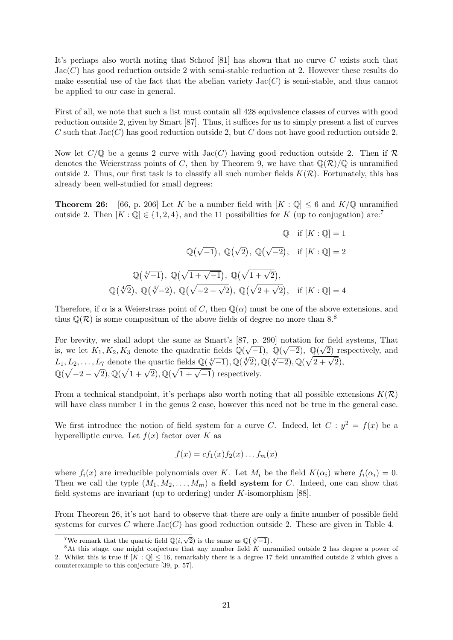It's perhaps also worth noting that Schoof [81] has shown that no curve C exists such that  $Jac(C)$  has good reduction outside 2 with semi-stable reduction at 2. However these results do make essential use of the fact that the abelian variety  $Jac(C)$  is semi-stable, and thus cannot be applied to our case in general.

First of all, we note that such a list must contain all 428 equivalence classes of curves with good reduction outside 2, given by Smart [87]. Thus, it suffices for us to simply present a list of curves C such that  $Jac(C)$  has good reduction outside 2, but C does not have good reduction outside 2.

Now let  $C/\mathbb{Q}$  be a genus 2 curve with  $Jac(C)$  having good reduction outside 2. Then if R denotes the Weierstrass points of C, then by Theorem 9, we have that  $\mathbb{Q}(\mathcal{R})/\mathbb{Q}$  is unramified outside 2. Thus, our first task is to classify all such number fields  $K(\mathcal{R})$ . Fortunately, this has already been well-studied for small degrees:

**Theorem 26:** [66, p. 206] Let K be a number field with  $[K: \mathbb{Q}] \leq 6$  and  $K/\mathbb{Q}$  unramified outside 2. Then  $[K : \mathbb{Q}] \in \{1, 2, 4\}$ , and the 11 possibilities for K (up to conjugation) are:

$$
\mathbb{Q} \quad \text{if } [K : \mathbb{Q}] = 1
$$

$$
\mathbb{Q}(\sqrt{-1}), \mathbb{Q}(\sqrt{2}), \mathbb{Q}(\sqrt{-2}), \quad \text{if } [K : \mathbb{Q}] = 2
$$

$$
\mathbb{Q}(\sqrt[4]{-1}), \mathbb{Q}(\sqrt{1+\sqrt{-1}}), \mathbb{Q}(\sqrt{1+\sqrt{2}}),
$$

$$
\mathbb{Q}(\sqrt[4]{2}), \mathbb{Q}(\sqrt[4]{-2}), \mathbb{Q}(\sqrt{-2-\sqrt{2}}), \mathbb{Q}(\sqrt{2+\sqrt{2}}), \quad \text{if } [K : \mathbb{Q}] = 4
$$

Therefore, if  $\alpha$  is a Weierstrass point of C, then  $\mathbb{Q}(\alpha)$  must be one of the above extensions, and thus  $\mathbb{Q}(\mathcal{R})$  is some compositum of the above fields of degree no more than 8.<sup>8</sup>

For brevity, we shall adopt the same as Smart's [87, p. 290] notation for field systems, That is, we let  $K_1, K_2, K_3$  denote the quadratic fields  $\mathbb{Q}(\sqrt{-1}), \mathbb{Q}(\sqrt{-2}), \mathbb{Q}(\sqrt{2})$  respectively, and L<sub>1</sub>, L<sub>2</sub>, ..., L<sub>7</sub> denote the quartic fields  $\mathbb{Q}(\sqrt[4]{-1})$ ,  $\mathbb{Q}(\sqrt[4]{-2})$ ,  $\mathbb{Q}(\sqrt[4]{-2})$ ,  $\mathbb{Q}(\sqrt[4]{2}+\sqrt{2})$ ,  $\mathbb{Q}(\sqrt{-2-\sqrt{2}}), \mathbb{Q}(\sqrt{1+\sqrt{2}}), \mathbb{Q}(\sqrt{1+\sqrt{-1}})$  respectively.

From a technical standpoint, it's perhaps also worth noting that all possible extensions  $K(\mathcal{R})$ will have class number 1 in the genus 2 case, however this need not be true in the general case.

We first introduce the notion of field system for a curve C. Indeed, let  $C: y^2 = f(x)$  be a hyperelliptic curve. Let  $f(x)$  factor over K as

$$
f(x) = cf_1(x)f_2(x)...f_m(x)
$$

where  $f_i(x)$  are irreducible polynomials over K. Let  $M_i$  be the field  $K(\alpha_i)$  where  $f_i(\alpha_i) = 0$ . Then we call the typle  $(M_1, M_2, \ldots, M_m)$  a field system for C. Indeed, one can show that field systems are invariant (up to ordering) under  $K$ -isomorphism [88].

From Theorem 26, it's not hard to observe that there are only a finite number of possible field systems for curves C where  $Jac(C)$  has good reduction outside 2. These are given in Table 4.

<sup>&</sup>lt;sup>7</sup>We remark that the quartic field  $\mathbb{Q}(i, \sqrt{2})$  is the same as  $\mathbb{Q}(\sqrt[4]{-1})$ .

 $8$ At this stage, one might conjecture that any number field K unramified outside 2 has degree a power of 2. Whilst this is true if  $[K: \mathbb{Q}] \leq 16$ , remarkably there is a degree 17 field unramified outside 2 which gives a counterexample to this conjecture [39, p. 57].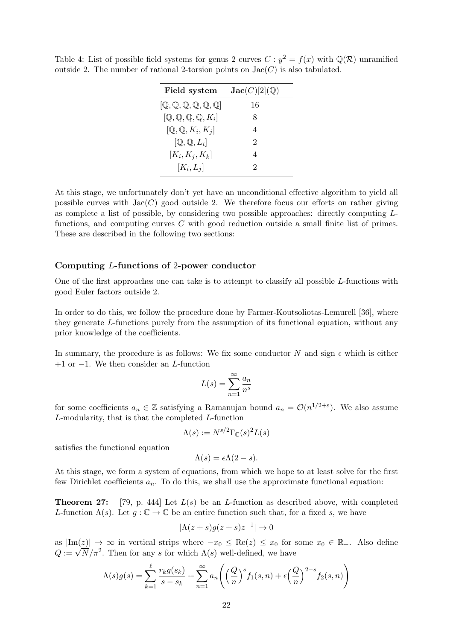| Field system                                            | $\mathbf{Jac}(C)[2]({\mathbb Q})$ |
|---------------------------------------------------------|-----------------------------------|
| [Q, Q, Q, Q, Q, Q]                                      | 16                                |
| $[{\mathbb Q},{\mathbb Q},{\mathbb Q},{\mathbb Q},K_i]$ | 8                                 |
| $[\mathbb{Q}, \mathbb{Q}, K_i, K_j]$                    | 4                                 |
| $[Q, Q, L_i]$                                           | $\mathcal{D}_{\mathcal{L}}$       |
| $[K_i, K_j, K_k]$                                       | 4                                 |
| $[K_i, L_i]$                                            | 2                                 |
|                                                         |                                   |

Table 4: List of possible field systems for genus 2 curves  $C : y^2 = f(x)$  with  $\mathbb{Q}(\mathcal{R})$  unramified outside 2. The number of rational 2-torsion points on  $Jac(C)$  is also tabulated.

At this stage, we unfortunately don't yet have an unconditional effective algorithm to yield all possible curves with  $Jac(C)$  good outside 2. We therefore focus our efforts on rather giving as complete a list of possible, by considering two possible approaches: directly computing Lfunctions, and computing curves C with good reduction outside a small finite list of primes. These are described in the following two sections:

#### Computing L-functions of 2-power conductor

One of the first approaches one can take is to attempt to classify all possible L-functions with good Euler factors outside 2.

In order to do this, we follow the procedure done by Farmer-Koutsoliotas-Lemurell [36], where they generate L-functions purely from the assumption of its functional equation, without any prior knowledge of the coefficients.

In summary, the procedure is as follows: We fix some conductor N and sign  $\epsilon$  which is either  $+1$  or  $-1$ . We then consider an *L*-function

$$
L(s) = \sum_{n=1}^{\infty} \frac{a_n}{n^s}
$$

for some coefficients  $a_n \in \mathbb{Z}$  satisfying a Ramanujan bound  $a_n = \mathcal{O}(n^{1/2+\epsilon})$ . We also assume L-modularity, that is that the completed L-function

$$
\Lambda(s) := N^{s/2} \Gamma_{\mathbb{C}}(s)^2 L(s)
$$

satisfies the functional equation

$$
\Lambda(s) = \epsilon \Lambda(2 - s).
$$

At this stage, we form a system of equations, from which we hope to at least solve for the first few Dirichlet coefficients  $a_n$ . To do this, we shall use the approximate functional equation:

**Theorem 27:** [79, p. 444] Let  $L(s)$  be an L-function as described above, with completed L-function  $\Lambda(s)$ . Let  $q : \mathbb{C} \to \mathbb{C}$  be an entire function such that, for a fixed s, we have

$$
|\Lambda(z+s)g(z+s)z^{-1}| \to 0
$$

as  $|\text{Im}(z)| \to \infty$  in vertical strips where  $-x_0 \leq \text{Re}(z) \leq x_0$  for some  $x_0 \in \mathbb{R}_+$ . Also define as  $\left|\text{Im}(z)\right| \to \infty$  in vertical strips where  $-x_0 \leq \text{Re}(z) \leq x_0$  for  $\Omega := \sqrt{N/\pi^2}$ . Then for any s for which  $\Lambda(s)$  well-defined, we have

$$
\Lambda(s)g(s) = \sum_{k=1}^{\ell} \frac{r_k g(s_k)}{s - s_k} + \sum_{n=1}^{\infty} a_n \left( \left(\frac{Q}{n}\right)^s f_1(s, n) + \epsilon \left(\frac{Q}{n}\right)^{2-s} f_2(s, n) \right)
$$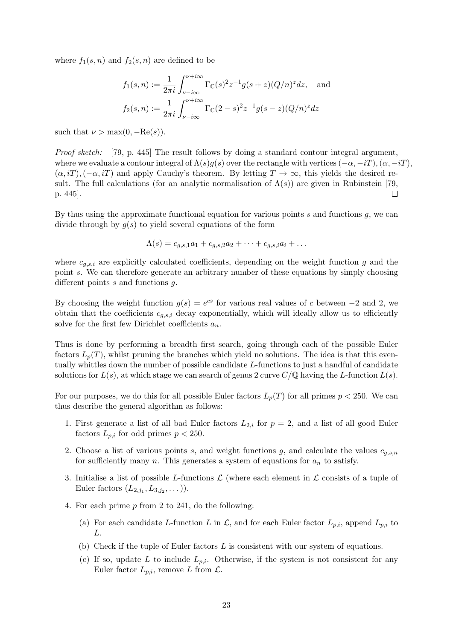where  $f_1(s, n)$  and  $f_2(s, n)$  are defined to be

$$
f_1(s,n) := \frac{1}{2\pi i} \int_{\nu - i\infty}^{\nu + i\infty} \Gamma_{\mathbb{C}}(s)^2 z^{-1} g(s+z) (Q/n)^z dz, \text{ and}
$$
  

$$
f_2(s,n) := \frac{1}{2\pi i} \int_{\nu - i\infty}^{\nu + i\infty} \Gamma_{\mathbb{C}}(2-s)^2 z^{-1} g(s-z) (Q/n)^z dz
$$

such that  $\nu > \max(0, -\text{Re}(s)).$ 

Proof sketch: [79, p. 445] The result follows by doing a standard contour integral argument, where we evaluate a contour integral of  $\Lambda(s)g(s)$  over the rectangle with vertices  $(-\alpha, -iT), (\alpha, -iT)$ ,  $(\alpha, i), (-\alpha, i)$  and apply Cauchy's theorem. By letting  $T \to \infty$ , this yields the desired result. The full calculations (for an analytic normalisation of  $\Lambda(s)$ ) are given in Rubinstein [79, p. 445].  $\Box$ 

By thus using the approximate functional equation for various points  $s$  and functions  $g$ , we can divide through by  $q(s)$  to yield several equations of the form

$$
\Lambda(s) = c_{g,s,1}a_1 + c_{g,s,2}a_2 + \dots + c_{g,s,i}a_i + \dots
$$

where  $c_{g,s,i}$  are explicitly calculated coefficients, depending on the weight function g and the point s. We can therefore generate an arbitrary number of these equations by simply choosing different points  $s$  and functions  $q$ .

By choosing the weight function  $g(s) = e^{cs}$  for various real values of c between -2 and 2, we obtain that the coefficients  $c_{q,s,i}$  decay exponentially, which will ideally allow us to efficiently solve for the first few Dirichlet coefficients  $a_n$ .

Thus is done by performing a breadth first search, going through each of the possible Euler factors  $L_p(T)$ , whilst pruning the branches which yield no solutions. The idea is that this eventually whittles down the number of possible candidate L-functions to just a handful of candidate solutions for  $L(s)$ , at which stage we can search of genus 2 curve  $C/\mathbb{Q}$  having the L-function  $L(s)$ .

For our purposes, we do this for all possible Euler factors  $L_p(T)$  for all primes  $p < 250$ . We can thus describe the general algorithm as follows:

- 1. First generate a list of all bad Euler factors  $L_{2,i}$  for  $p=2$ , and a list of all good Euler factors  $L_{p,i}$  for odd primes  $p < 250$ .
- 2. Choose a list of various points s, and weight functions g, and calculate the values  $c_{g,s,n}$ for sufficiently many n. This generates a system of equations for  $a_n$  to satisfy.
- 3. Initialise a list of possible L-functions  $\mathcal L$  (where each element in  $\mathcal L$  consists of a tuple of Euler factors  $(L_{2,j_1}, L_{3,j_2}, \dots)$ .
- 4. For each prime p from 2 to 241, do the following:
	- (a) For each candidate L-function L in  $\mathcal{L}$ , and for each Euler factor  $L_{p,i}$ , append  $L_{p,i}$  to L.
	- (b) Check if the tuple of Euler factors  $L$  is consistent with our system of equations.
	- (c) If so, update L to include  $L_{p,i}$ . Otherwise, if the system is not consistent for any Euler factor  $L_{p,i}$ , remove L from  $\mathcal{L}$ .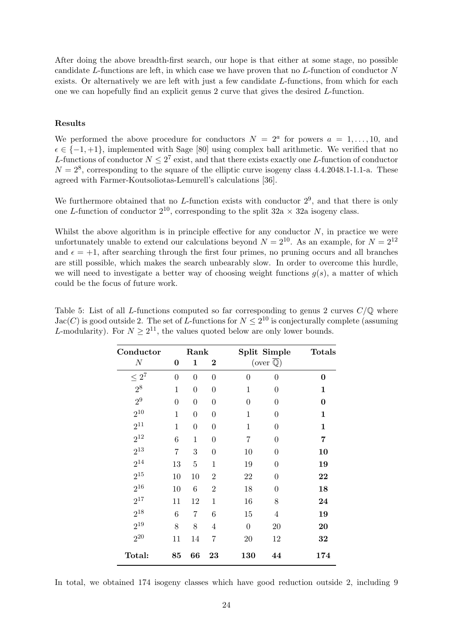After doing the above breadth-first search, our hope is that either at some stage, no possible candidate L-functions are left, in which case we have proven that no L-function of conductor N exists. Or alternatively we are left with just a few candidate L-functions, from which for each one we can hopefully find an explicit genus 2 curve that gives the desired L-function.

#### Results

We performed the above procedure for conductors  $N = 2^a$  for powers  $a = 1, \ldots, 10$ , and  $\epsilon \in \{-1, +1\}$ , implemented with Sage [80] using complex ball arithmetic. We verified that no L-functions of conductor  $N \leq 2^7$  exist, and that there exists exactly one L-function of conductor  $N = 2<sup>8</sup>$ , corresponding to the square of the elliptic curve isogeny class 4.4.2048.1-1.1-a. These agreed with Farmer-Koutsoliotas-Lemurell's calculations [36].

We furthermore obtained that no L-function exists with conductor  $2^9$ , and that there is only one L-function of conductor  $2^{10}$ , corresponding to the split  $32a \times 32a$  isogeny class.

Whilst the above algorithm is in principle effective for any conductor  $N$ , in practice we were unfortunately unable to extend our calculations beyond  $N = 2^{10}$ . As an example, for  $N = 2^{12}$ and  $\epsilon = +1$ , after searching through the first four primes, no pruning occurs and all branches are still possible, which makes the search unbearably slow. In order to overcome this hurdle, we will need to investigate a better way of choosing weight functions  $g(s)$ , a matter of which could be the focus of future work.

| Table 5: List of all L-functions computed so far corresponding to genus 2 curves $C/\mathbb{Q}$ where      |
|------------------------------------------------------------------------------------------------------------|
| $Jac(C)$ is good outside 2. The set of L-functions for $N \leq 2^{10}$ is conjecturally complete (assuming |
| L-modularity). For $N > 2^{11}$ , the values quoted below are only lower bounds.                           |
|                                                                                                            |

| Conductor      |                | Rank           |                  |                  | Split Simple                    | <b>Totals</b> |
|----------------|----------------|----------------|------------------|------------------|---------------------------------|---------------|
| $\cal N$       | 0              | 1              | $\bf{2}$         |                  | (over $\overline{\mathbb{Q}}$ ) |               |
| $\leq 2^7$     | $\overline{0}$ | $\overline{0}$ | $\boldsymbol{0}$ | $\overline{0}$   | $\theta$                        | 0             |
| $2^8$          | $\mathbf{1}$   | $\overline{0}$ | $\overline{0}$   | $\mathbf{1}$     | $\theta$                        | 1             |
| 2 <sup>9</sup> | $\overline{0}$ | $\overline{0}$ | $\boldsymbol{0}$ | $\boldsymbol{0}$ | $\boldsymbol{0}$                | $\bf{0}$      |
| $2^{10}$       | $\mathbf{1}$   | $\overline{0}$ | $\boldsymbol{0}$ | $\mathbf{1}$     | $\boldsymbol{0}$                | 1             |
| $2^{11}$       | $\mathbf{1}$   | $\overline{0}$ | $\boldsymbol{0}$ | $\mathbf{1}$     | $\theta$                        | $\mathbf{1}$  |
| $2^{12}$       | 6              | $\mathbf{1}$   | $\overline{0}$   | $\overline{7}$   | $\overline{0}$                  | 7             |
| $2^{13}$       | $\overline{7}$ | 3              | $\overline{0}$   | 10               | $\boldsymbol{0}$                | 10            |
| $2^{14}$       | 13             | $\overline{5}$ | $\mathbf{1}$     | 19               | 0                               | 19            |
| $2^{15}$       | 10             | 10             | $\overline{2}$   | 22               | 0                               | 22            |
| $2^{16}$       | 10             | 6              | $\overline{2}$   | 18               | $\theta$                        | 18            |
| $2^{17}$       | 11             | 12             | $\mathbf{1}$     | 16               | 8                               | 24            |
| $2^{18}$       | 6              | 7              | 6                | 15               | $\overline{4}$                  | 19            |
| $2^{19}$       | 8              | 8              | $\overline{4}$   | $\boldsymbol{0}$ | 20                              | 20            |
| $2^{20}$       | 11             | 14             | 7                | 20               | 12                              | 32            |
| Total:         | 85             | 66             | 23               | 130              | 44                              | 174           |

In total, we obtained 174 isogeny classes which have good reduction outside 2, including 9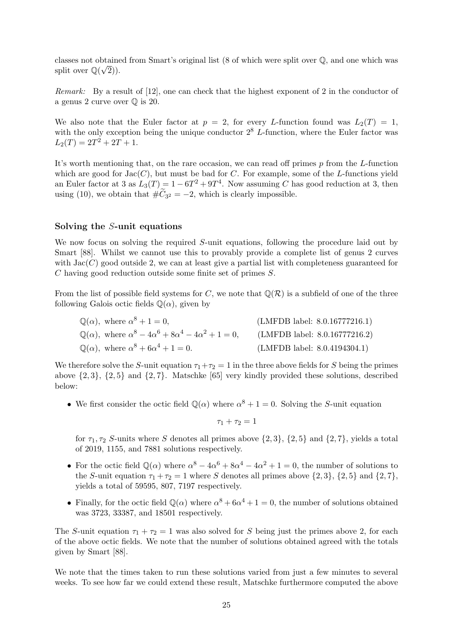classes not obtained from Smart's original list (8 of which were split over  $\mathbb{Q}$ , and one which was split over  $\mathbb{Q}(\sqrt{2})$ .

Remark: By a result of [12], one can check that the highest exponent of 2 in the conductor of a genus 2 curve over Q is 20.

We also note that the Euler factor at  $p = 2$ , for every L-function found was  $L_2(T) = 1$ , with the only exception being the unique conductor  $2^8$  L-function, where the Euler factor was  $L_2(T) = 2T^2 + 2T + 1.$ 

It's worth mentioning that, on the rare occasion, we can read off primes  $p$  from the  $L$ -function which are good for  $Jac(C)$ , but must be bad for C. For example, some of the L-functions yield an Euler factor at 3 as  $L_3(T) = 1 - 6T^2 + 9T^4$ . Now assuming C has good reduction at 3, then using (10), we obtain that  $\#C_{3^2} = -2$ , which is clearly impossible.

#### Solving the S-unit equations

We now focus on solving the required S-unit equations, following the procedure laid out by Smart [88]. Whilst we cannot use this to provably provide a complete list of genus 2 curves with  $Jac(C)$  good outside 2, we can at least give a partial list with completeness guaranteed for C having good reduction outside some finite set of primes S.

From the list of possible field systems for C, we note that  $\mathbb{Q}(\mathcal{R})$  is a subfield of one of the three following Galois octic fields  $\mathbb{Q}(\alpha)$ , given by

| $\mathbb{Q}(\alpha)$ , where $\alpha^8 + 1 = 0$ ,                                     | (LMFDB label: 8.0.16777216.1)    |
|---------------------------------------------------------------------------------------|----------------------------------|
| $\mathbb{Q}(\alpha)$ , where $\alpha^8 - 4\alpha^6 + 8\alpha^4 - 4\alpha^2 + 1 = 0$ , | (LMFDB label: $8.0.16777216.2$ ) |
| $\mathbb{Q}(\alpha)$ , where $\alpha^8 + 6\alpha^4 + 1 = 0$ .                         | (LMFDB label: 8.0.4194304.1)     |

We therefore solve the S-unit equation  $\tau_1+\tau_2=1$  in the three above fields for S being the primes above  $\{2, 3\}$ ,  $\{2, 5\}$  and  $\{2, 7\}$ . Matschke [65] very kindly provided these solutions, described below:

• We first consider the octic field  $\mathbb{Q}(\alpha)$  where  $\alpha^{8} + 1 = 0$ . Solving the S-unit equation

$$
\tau_1+\tau_2=1
$$

for  $\tau_1, \tau_2$  S-units where S denotes all primes above  $\{2, 3\}$ ,  $\{2, 5\}$  and  $\{2, 7\}$ , yields a total of 2019, 1155, and 7881 solutions respectively.

- For the octic field  $\mathbb{Q}(\alpha)$  where  $\alpha^8 4\alpha^6 + 8\alpha^4 4\alpha^2 + 1 = 0$ , the number of solutions to the S-unit equation  $\tau_1 + \tau_2 = 1$  where S denotes all primes above  $\{2, 3\}$ ,  $\{2, 5\}$  and  $\{2, 7\}$ , yields a total of 59595, 807, 7197 respectively.
- Finally, for the octic field  $\mathbb{Q}(\alpha)$  where  $\alpha^8 + 6\alpha^4 + 1 = 0$ , the number of solutions obtained was 3723, 33387, and 18501 respectively.

The S-unit equation  $\tau_1 + \tau_2 = 1$  was also solved for S being just the primes above 2, for each of the above octic fields. We note that the number of solutions obtained agreed with the totals given by Smart [88].

We note that the times taken to run these solutions varied from just a few minutes to several weeks. To see how far we could extend these result, Matschke furthermore computed the above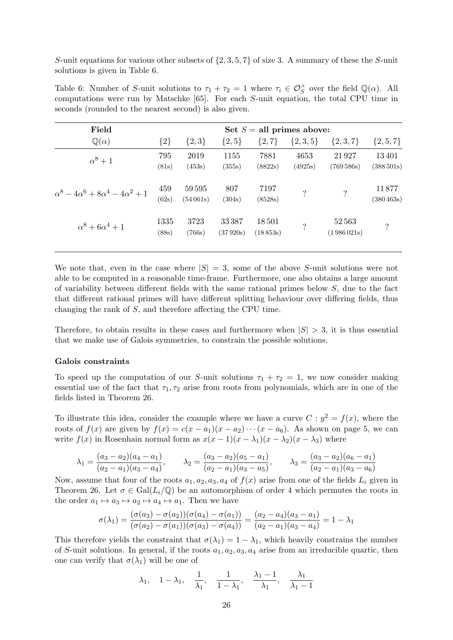S-unit equations for various other subsets of  $\{2, 3, 5, 7\}$  of size 3. A summary of these the S-unit solutions is given in Table 6.

Table 6: Number of S-unit solutions to  $\tau_1 + \tau_2 = 1$  where  $\tau_i \in \mathcal{O}_S^{\times}$  over the field  $\mathbb{Q}(\alpha)$ . All computations were run by Matschke [65]. For each S-unit equation, the total CPU time in seconds (rounded to the nearest second) is also given.

| Field                                              | Set $S =$ all primes above: |                       |                   |                   |                    |                          |                        |
|----------------------------------------------------|-----------------------------|-----------------------|-------------------|-------------------|--------------------|--------------------------|------------------------|
| $\mathbb{Q}(\alpha)$                               | ${2}$                       | $\{2,3\}$             | $\{2, 5\}$        | $\{2,7\}$         | $\{2,3,5\}$        | $\{2,3,7\}$              | $\{2, 5, 7\}$          |
| $\alpha^8+1$                                       | 795<br>(81s)                | 2019<br>(453s)        | 1155<br>(355s)    | 7881<br>(8822s)   | 4653<br>(4925s)    | 21927<br>(769586s)       | 13401<br>(388501s)     |
| $\alpha^8 - 4\alpha^6 + 8\alpha^4 - 4\alpha^2 + 1$ | 459<br>(62s)                | 59595<br>$(54\,061s)$ | 807<br>(304s)     | 7197<br>(8528s)   | $\overline{\cdot}$ | $\overline{\mathcal{E}}$ | 11877<br>$(380\,463s)$ |
| $\alpha^8 + 6\alpha^4 + 1$                         | 1335<br>(88s)               | 3723<br>(766s)        | 33387<br>(37920s) | 18501<br>(18853s) | $\overline{\cdot}$ | 52563<br>(1986021s)      | $\overline{\cdot}$     |

We note that, even in the case where  $|S| = 3$ , some of the above S-unit solutions were not able to be computed in a reasonable time-frame. Furthermore, one also obtains a large amount of variability between different fields with the same rational primes below  $S$ , due to the fact that different rational primes will have different splitting behaviour over differing fields, thus changing the rank of S, and therefore affecting the CPU time.

Therefore, to obtain results in these cases and furthermore when  $|S| > 3$ , it is thus essential that we make use of Galois symmetries, to constrain the possible solutions.

#### Galois constraints

To speed up the computation of our S-unit solutions  $\tau_1 + \tau_2 = 1$ , we now consider making essential use of the fact that  $\tau_1, \tau_2$  arise from roots from polynomials, which are in one of the fields listed in Theorem 26.

To illustrate this idea, consider the example where we have a curve  $C: y^2 = f(x)$ , where the roots of  $f(x)$  are given by  $f(x) = c(x - a_1)(x - a_2) \cdots (x - a_6)$ . As shown on page 5, we can write  $f(x)$  in Rosenhain normal form as  $x(x-1)(x-\lambda_1)(x-\lambda_2)(x-\lambda_3)$  where

$$
\lambda_1 = \frac{(a_3 - a_2)(a_4 - a_1)}{(a_2 - a_1)(a_3 - a_4)}, \qquad \lambda_2 = \frac{(a_3 - a_2)(a_5 - a_1)}{(a_2 - a_1)(a_3 - a_5)}, \qquad \lambda_3 = \frac{(a_3 - a_2)(a_6 - a_1)}{(a_2 - a_1)(a_3 - a_6)}
$$

Now, assume that four of the roots  $a_1, a_2, a_3, a_4$  of  $f(x)$  arise from one of the fields  $L_i$  given in Theorem 26. Let  $\sigma \in \text{Gal}(L_i/\mathbb{Q})$  be an automorphism of order 4 which permutes the roots in the order  $a_1 \mapsto a_3 \mapsto a_2 \mapsto a_4 \mapsto a_1$ . Then we have

$$
\sigma(\lambda_1) = \frac{(\sigma(a_3) - \sigma(a_2))(\sigma(a_4) - \sigma(a_1))}{(\sigma(a_2) - \sigma(a_1))(\sigma(a_3) - \sigma(a_4))} = \frac{(a_2 - a_4)(a_3 - a_1)}{(a_2 - a_1)(a_3 - a_4)} = 1 - \lambda_1
$$

This therefore yields the constraint that  $\sigma(\lambda_1) = 1 - \lambda_1$ , which heavily constrains the number of S-unit solutions. In general, if the roots  $a_1, a_2, a_3, a_4$  arise from an irreducible quartic, then one can verify that  $\sigma(\lambda_1)$  will be one of

$$
\lambda_1, \quad 1-\lambda_1, \quad \frac{1}{\lambda_1}, \quad \frac{1}{1-\lambda_1}, \quad \frac{\lambda_1-1}{\lambda_1}, \quad \frac{\lambda_1}{\lambda_1-1}
$$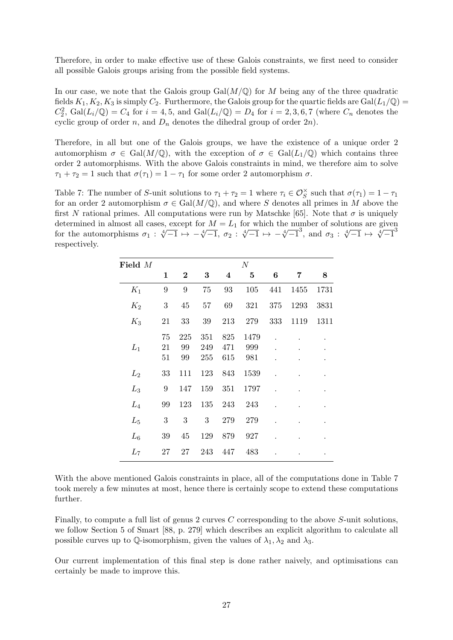Therefore, in order to make effective use of these Galois constraints, we first need to consider all possible Galois groups arising from the possible field systems.

In our case, we note that the Galois group  $Gal(M/\mathbb{O})$  for M being any of the three quadratic fields  $K_1, K_2, K_3$  is simply  $C_2$ . Furthermore, the Galois group for the quartic fields are Gal $(L_1/\mathbb{Q})$  $C_2^2$ ,  $Gal(L_i/\mathbb{Q}) = C_4$  for  $i = 4, 5$ , and  $Gal(L_i/\mathbb{Q}) = D_4$  for  $i = 2, 3, 6, 7$  (where  $C_n$  denotes the cyclic group of order n, and  $D_n$  denotes the dihedral group of order  $2n$ ).

Therefore, in all but one of the Galois groups, we have the existence of a unique order 2 automorphism  $\sigma \in \text{Gal}(M/\mathbb{Q})$ , with the exception of  $\sigma \in \text{Gal}(L_1/\mathbb{Q})$  which contains three order 2 automorphisms. With the above Galois constraints in mind, we therefore aim to solve  $\tau_1 + \tau_2 = 1$  such that  $\sigma(\tau_1) = 1 - \tau_1$  for some order 2 automorphism  $\sigma$ .

Table 7: The number of S-unit solutions to  $\tau_1 + \tau_2 = 1$  where  $\tau_i \in \mathcal{O}_S^{\times}$  such that  $\sigma(\tau_1) = 1 - \tau_1$ for an order 2 automorphism  $\sigma \in \text{Gal}(M/\mathbb{Q})$ , and where S denotes all primes in M above the first N rational primes. All computations were run by Matschke [65]. Note that  $\sigma$  is uniquely determined in almost all cases, except for  $M = L_1$  for which the number of solutions are given determined in almost an cases, except for  $M = L_1$  for which the number of solutions are given<br>for the automorphisms  $\sigma_1 : \sqrt[4]{-1} \mapsto -\sqrt[4]{-1}$ ,  $\sigma_2 : \sqrt[4]{-1} \mapsto -\sqrt[4]{-1}$ , and  $\sigma_3 : \sqrt[4]{-1} \mapsto \sqrt[4]{-1}$ respectively.

| Field M |                  |                 |                   |                   | N                  |     |      |      |
|---------|------------------|-----------------|-------------------|-------------------|--------------------|-----|------|------|
|         | $\mathbf 1$      | $\bf{2}$        | 3                 | 4                 | 5                  | 6   | 7    | 8    |
| $K_1$   | 9                | 9               | 75                | 93                | 105                | 441 | 1455 | 1731 |
| $K_2$   | $\boldsymbol{3}$ | 45              | 57                | 69                | 321                | 375 | 1293 | 3831 |
| $K_3$   | 21               | 33              | 39                | 213               | 279                | 333 | 1119 | 1311 |
| $L_1$   | 75<br>21<br>51   | 225<br>99<br>99 | 351<br>249<br>255 | 825<br>471<br>615 | 1479<br>999<br>981 |     |      |      |
| $L_2$   | 33               | 111             | 123               | 843               | 1539               |     |      |      |
| $L_3$   | 9                | 147             | 159               | 351               | 1797               |     |      |      |
| $L_4$   | 99               | 123             | 135               | 243               | 243                |     |      |      |
| $L_5$   | $\boldsymbol{3}$ | 3               | 3                 | 279               | 279                |     |      |      |
| $L_6$   | 39               | 45              | 129               | 879               | 927                |     |      |      |
| $L_7$   | 27               | 27              | 243               | 447               | 483                |     |      |      |

With the above mentioned Galois constraints in place, all of the computations done in Table 7 took merely a few minutes at most, hence there is certainly scope to extend these computations further.

Finally, to compute a full list of genus 2 curves C corresponding to the above S-unit solutions, we follow Section 5 of Smart [88, p. 279] which describes an explicit algorithm to calculate all possible curves up to Q-isomorphism, given the values of  $\lambda_1, \lambda_2$  and  $\lambda_3$ .

Our current implementation of this final step is done rather naively, and optimisations can certainly be made to improve this.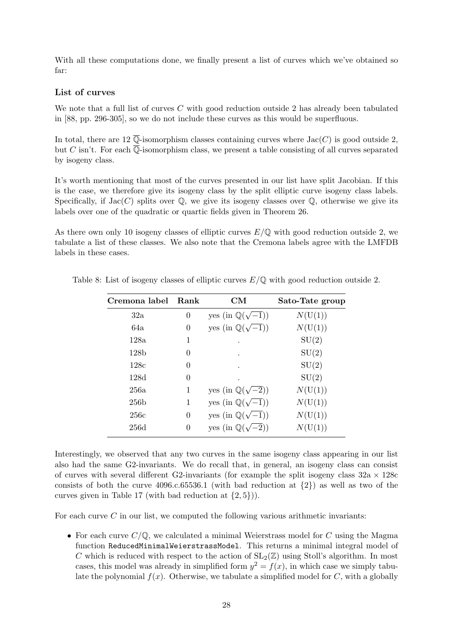With all these computations done, we finally present a list of curves which we've obtained so far:

#### List of curves

We note that a full list of curves C with good reduction outside 2 has already been tabulated in [88, pp. 296-305], so we do not include these curves as this would be superfluous.

In total, there are 12  $\overline{\mathbb{O}}$ -isomorphism classes containing curves where Jac(C) is good outside 2. but C isn't. For each  $\overline{\mathbb{O}}$ -isomorphism class, we present a table consisting of all curves separated by isogeny class.

It's worth mentioning that most of the curves presented in our list have split Jacobian. If this is the case, we therefore give its isogeny class by the split elliptic curve isogeny class labels. Specifically, if  $Jac(C)$  splits over  $\mathbb{Q}$ , we give its isogeny classes over  $\mathbb{Q}$ , otherwise we give its labels over one of the quadratic or quartic fields given in Theorem 26.

As there own only 10 isogeny classes of elliptic curves  $E/\mathbb{Q}$  with good reduction outside 2, we tabulate a list of these classes. We also note that the Cremona labels agree with the LMFDB labels in these cases.

| Cremona label    | Rank | CM                                | Sato-Tate group |
|------------------|------|-----------------------------------|-----------------|
| 32a              | 0    | yes (in $\mathbb{Q}(\sqrt{-1})$ ) | N(U(1))         |
| 64a              | 0    | yes (in $\mathbb{Q}(\sqrt{-1})$ ) | N(U(1))         |
| 128a             | 1    |                                   | SU(2)           |
| 128 <sub>b</sub> | 0    |                                   | SU(2)           |
| 128c             | 0    |                                   | SU(2)           |
| 128d             | 0    |                                   | SU(2)           |
| 256a             | 1    | yes (in $\mathbb{Q}(\sqrt{-2})$ ) | N(U(1))         |
| 256 <sub>b</sub> | 1    | yes (in $\mathbb{Q}(\sqrt{-1})$ ) | N(U(1))         |
| 256c             | 0    | yes (in $\mathbb{Q}(\sqrt{-1})$ ) | N(U(1))         |
| 256d             | 0    | yes (in $\mathbb{Q}(\sqrt{-2})$ ) | N(U(1))         |

Table 8: List of isogeny classes of elliptic curves  $E/\mathbb{Q}$  with good reduction outside 2.

Interestingly, we observed that any two curves in the same isogeny class appearing in our list also had the same G2-invariants. We do recall that, in general, an isogeny class can consist of curves with several different G2-invariants (for example the split isogeny class  $32a \times 128c$ consists of both the curve  $4096.c.65536.1$  (with bad reduction at  $\{2\}$ ) as well as two of the curves given in Table 17 (with bad reduction at  $\{2, 5\})$ ).

For each curve  $C$  in our list, we computed the following various arithmetic invariants:

• For each curve  $C/\mathbb{Q}$ , we calculated a minimal Weierstrass model for C using the Magma function ReducedMinimalWeierstrassModel. This returns a minimal integral model of C which is reduced with respect to the action of  $SL_2(\mathbb{Z})$  using Stoll's algorithm. In most cases, this model was already in simplified form  $y^2 = f(x)$ , in which case we simply tabulate the polynomial  $f(x)$ . Otherwise, we tabulate a simplified model for C, with a globally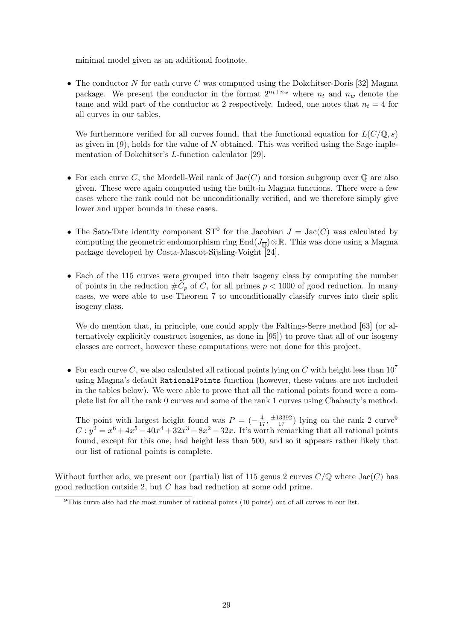minimal model given as an additional footnote.

• The conductor N for each curve C was computed using the Dokchitser-Doris [32] Magma package. We present the conductor in the format  $2^{n_t+n_w}$  where  $n_t$  and  $n_w$  denote the tame and wild part of the conductor at 2 respectively. Indeed, one notes that  $n_t = 4$  for all curves in our tables.

We furthermore verified for all curves found, that the functional equation for  $L(C/\mathbb{Q}, s)$ as given in  $(9)$ , holds for the value of N obtained. This was verified using the Sage implementation of Dokchitser's L-function calculator [29].

- For each curve C, the Mordell-Weil rank of  $Jac(C)$  and torsion subgroup over Q are also given. These were again computed using the built-in Magma functions. There were a few cases where the rank could not be unconditionally verified, and we therefore simply give lower and upper bounds in these cases.
- The Sato-Tate identity component  $ST^0$  for the Jacobian  $J = \text{Jac}(C)$  was calculated by computing the geometric endomorphism ring End $(J_{\overline{0}}) \otimes \mathbb{R}$ . This was done using a Magma package developed by Costa-Mascot-Sijsling-Voight [24].
- Each of the 115 curves were grouped into their isogeny class by computing the number of points in the reduction  $\#\widetilde{C}_p$  of C, for all primes  $p < 1000$  of good reduction. In many cases, we were able to use Theorem 7 to unconditionally classify curves into their split isogeny class.

We do mention that, in principle, one could apply the Faltings-Serre method [63] (or alternatively explicitly construct isogenies, as done in [95]) to prove that all of our isogeny classes are correct, however these computations were not done for this project.

• For each curve C, we also calculated all rational points lying on C with height less than  $10^7$ using Magma's default RationalPoints function (however, these values are not included in the tables below). We were able to prove that all the rational points found were a complete list for all the rank 0 curves and some of the rank 1 curves using Chabauty's method.

The point with largest height found was  $P = \left(-\frac{4}{17}, \frac{\pm 13392}{17}\right)$  lying on the rank 2 curve<sup>9</sup>  $C: y^2 = x^6 + 4x^5 - 40x^4 + 32x^3 + 8x^2 - 32x$ . It's worth remarking that all rational points found, except for this one, had height less than 500, and so it appears rather likely that our list of rational points is complete.

Without further ado, we present our (partial) list of 115 genus 2 curves  $C/\mathbb{Q}$  where  $Jac(C)$  has good reduction outside 2, but C has bad reduction at some odd prime.

<sup>9</sup>This curve also had the most number of rational points (10 points) out of all curves in our list.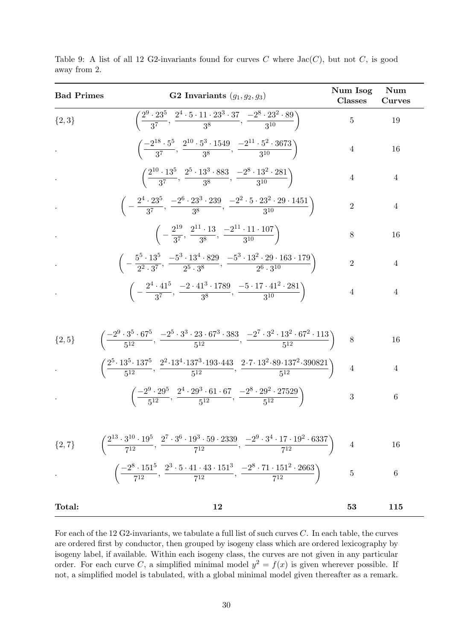| <b>Bad Primes</b> | <b>G2</b> Invariants $(g_1, g_2, g_3)$                                                                                                                                                     | Num Isog<br><b>Classes</b> | Num<br><b>Curves</b> |  |
|-------------------|--------------------------------------------------------------------------------------------------------------------------------------------------------------------------------------------|----------------------------|----------------------|--|
| $\{2,3\}$         | $\left(\frac{2^9\cdot 23^5}{3^7},\, \frac{2^4\cdot 5\cdot 11\cdot 23^3\cdot 37}{3^8},\, \frac{-2^8\cdot 23^2\cdot 89}{3^{10}}\right)$                                                      | $\overline{5}$             | 19                   |  |
|                   | $\left(\frac{-2^{18}\cdot 5^5}{3^7},\ \frac{2^{10}\cdot 5^3\cdot 1549}{3^8},\ \frac{-2^{11}\cdot 5^2\cdot 3673}{3^{10}}\right)$                                                            | $\overline{4}$             | 16                   |  |
|                   | $\left(\frac{2^{10} \cdot 13^5}{3^7}, \frac{2^5 \cdot 13^3 \cdot 883}{3^8}, \frac{-2^8 \cdot 13^2 \cdot 281}{3^{10}}\right)$                                                               | $\overline{4}$             | 4                    |  |
|                   | $\bigg(-\frac{2^{\mathrm{4}} \cdot 23^{\mathrm{5}}}{3^7},\,\frac{-2^{\mathrm{b}} \cdot 23^{\mathrm{3}} \cdot 239}{3^8},\,\frac{-2^2 \cdot 5 \cdot 23^2 \cdot 29 \cdot 1451}{3^{10}}\bigg)$ | $\mathbf{2}$               | $\overline{4}$       |  |
|                   | $\left(-\frac{2^{19}}{3^7},\frac{2^{11}\cdot13}{3^8},\frac{-2^{11}\cdot11\cdot107}{3^{10}}\right)$                                                                                         | 8                          | 16                   |  |
|                   | $\left(-\frac{5^5 \cdot 13^5}{2^2 \cdot 3^7}, \frac{-5^3 \cdot 13^4 \cdot 829}{2^5 \cdot 3^8}, \frac{-5^3 \cdot 13^2 \cdot 29 \cdot 163 \cdot 179}{2^6 \cdot 3^{10}}\right)$               | $\sqrt{2}$                 | $\overline{4}$       |  |
|                   | $\left(-\frac{2^4 \cdot 41^5}{3^7}, \frac{-2 \cdot 41^3 \cdot 1789}{3^8}, \frac{-5 \cdot 17 \cdot 41^2 \cdot 281}{3^{10}}\right)$                                                          | $\overline{4}$             | $\overline{4}$       |  |
|                   |                                                                                                                                                                                            |                            |                      |  |
| $\{2,5\}$         | $\left(\frac{-2^9\cdot 3^5\cdot 67^5}{5^{12}},\, \frac{-2^5\cdot 3^3\cdot 23\cdot 67^3\cdot 383}{5^{12}},\, \frac{-2^7\cdot 3^2\cdot 13^2\cdot 67^2\cdot 113}{5^{12}}\right)$              | 8                          | 16                   |  |
|                   | $\left(\frac{2^5\cdot13^5\cdot137^5}{5^{12}},\,\frac{2^2\cdot13^4\cdot137^3\cdot193\cdot443}{5^{12}},\,\frac{2\cdot7\cdot13^2\cdot89\cdot137^2\cdot390821}{5^{12}}\right)$                 | $\overline{4}$             | 4                    |  |
|                   | $\left(\frac{-2^9\cdot 29^5}{5^{12}},\frac{2^4\cdot 29^3\cdot 61\cdot 67}{5^{12}},\frac{-2^8\cdot 29^2\cdot 27529}{5^{12}}\right)$                                                         | $\sqrt{3}$                 | $\,6\,$              |  |
|                   |                                                                                                                                                                                            |                            |                      |  |
| $\{2,7\}$         | $\left(\frac{2^{13}\cdot 3^{10}\cdot 19^5}{7^{12}},\,\frac{2^7\cdot 3^6\cdot 19^3\cdot 59\cdot 2339}{7^{12}},\,\frac{-2^9\cdot 3^4\cdot 17\cdot 19^2\cdot 6337}{7^{12}}\right)$            | $\overline{4}$             | 16                   |  |
|                   | $\left(\frac{-2^8 \cdot 151^5}{7^{12}}, \frac{2^3 \cdot 5 \cdot 41 \cdot 43 \cdot 151^3}{7^{12}}, \frac{-2^8 \cdot 71 \cdot 151^2 \cdot 2663}{7^{12}}\right)$                              | $\overline{5}$             | 6                    |  |
| Total:            | 12                                                                                                                                                                                         | 53                         | 115                  |  |

Table 9: A list of all 12 G2-invariants found for curves C where  $Jac(C)$ , but not C, is good away from 2.

For each of the 12 G2-invariants, we tabulate a full list of such curves  $C$ . In each table, the curves are ordered first by conductor, then grouped by isogeny class which are ordered lexicography by isogeny label, if available. Within each isogeny class, the curves are not given in any particular order. For each curve C, a simplified minimal model  $y^2 = f(x)$  is given wherever possible. If not, a simplified model is tabulated, with a global minimal model given thereafter as a remark.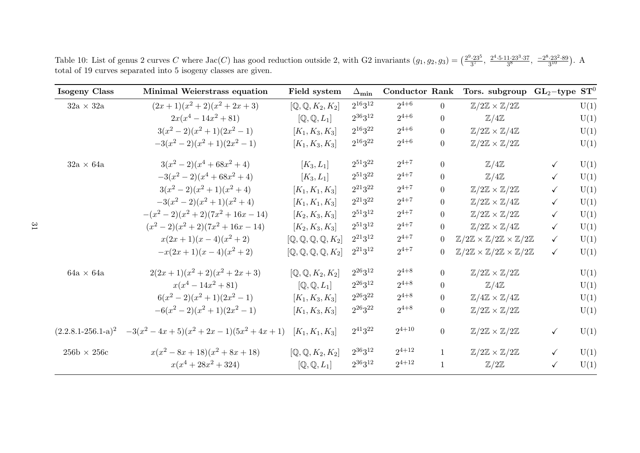Table 10: List of genus 2 curves C where  $Jac(C)$  has good reduction outside 2, with G2 invariants  $(g_1, g_2, g_3) = \left(\frac{2^9 \cdot 23^5}{3^7}, \frac{2^4 \cdot 5 \cdot 11 \cdot 23^3 \cdot 37}{3^8}, \frac{-2^8 \cdot 23^2 \cdot 89}{3^{10}}\right)$ . A total of <sup>19</sup> curves separated into <sup>5</sup> isogeny classes are <sup>g</sup>iven.

| <b>Isogeny Class</b>                   | Minimal Weierstrass equation                                                | Field system                                            | $\Delta_{\textbf{min}}$ | <b>Conductor Rank</b> |                | Tors. subgroup                                                                       | $GL_2$ -type | $\mathbf{ST}^0$ |
|----------------------------------------|-----------------------------------------------------------------------------|---------------------------------------------------------|-------------------------|-----------------------|----------------|--------------------------------------------------------------------------------------|--------------|-----------------|
| $32a \times 32a$                       | $(2x+1)(x^2+2)(x^2+2x+3)$                                                   | $[\mathbb{Q}, \mathbb{Q}, K_2, K_2]$                    | $2^{16}3^{12}$          | $2^{4+6}$             | $\Omega$       | $\mathbb{Z}/2\mathbb{Z} \times \mathbb{Z}/2\mathbb{Z}$                               |              | U(1)            |
|                                        | $2x(x^4-14x^2+81)$                                                          | $[Q, Q, L_1]$                                           | $2^{36}3^{12}$          | $2^{4+6}$             | $\overline{0}$ | $\mathbb{Z}/4\mathbb{Z}$                                                             |              | U(1)            |
|                                        | $3(x^2-2)(x^2+1)(2x^2-1)$                                                   | $[K_1, K_3, K_3]$                                       | $2^{16}3^{22}$          | $2^{4+6}$             | $\overline{0}$ | $\mathbb{Z}/2\mathbb{Z} \times \mathbb{Z}/4\mathbb{Z}$                               |              | U(1)            |
|                                        | $-3(x^2-2)(x^2+1)(2x^2-1)$                                                  | $[K_1, K_3, K_3]$                                       | $2^{16}3^{22}$          | $2^{4+6}$             | $\overline{0}$ | $\mathbb{Z}/2\mathbb{Z} \times \mathbb{Z}/2\mathbb{Z}$                               |              | U(1)            |
| $32a \times 64a$                       | $3(x^2-2)(x^4+68x^2+4)$                                                     | $[K_3, L_1]$                                            | $2^{51}3^{22}$          | $2^{4+7}$             | $\overline{0}$ | $\mathbb{Z}/4\mathbb{Z}$                                                             | $\checkmark$ | U(1)            |
|                                        | $-3(x^2-2)(x^4+68x^2+4)$                                                    | $[K_3, L_1]$                                            | $2^{51}3^{22}$          | $2^{4+7}$             | $\overline{0}$ | $\mathbb{Z}/4\mathbb{Z}$                                                             | $\checkmark$ | U(1)            |
|                                        | $3(x^2-2)(x^2+1)(x^2+4)$                                                    | $[K_1, K_1, K_3]$                                       | $2^{21}3^{22}$          | $2^{4+7}$             | $\overline{0}$ | $\mathbb{Z}/2\mathbb{Z} \times \mathbb{Z}/2\mathbb{Z}$                               | $\checkmark$ | U(1)            |
|                                        | $-3(x^2-2)(x^2+1)(x^2+4)$                                                   | $[K_1, K_1, K_3]$                                       | $2^{21}3^{22}$          | $2^{4+7}$             | $\overline{0}$ | $\mathbb{Z}/2\mathbb{Z} \times \mathbb{Z}/4\mathbb{Z}$                               | $\checkmark$ | U(1)            |
|                                        | $-(x^2-2)(x^2+2)(7x^2+16x-14)$                                              | $[K_2, K_3, K_3]$                                       | $2^{51}3^{12}$          | $2^{4+7}$             | $\overline{0}$ | $\mathbb{Z}/2\mathbb{Z} \times \mathbb{Z}/2\mathbb{Z}$                               | $\checkmark$ | U(1)            |
|                                        | $(x^{2}-2)(x^{2}+2)(7x^{2}+16x-14)$                                         | $[K_2, K_3, K_3]$                                       | $2^{51}3^{12}$          | $2^{4+7}$             | $\overline{0}$ | $\mathbb{Z}/2\mathbb{Z} \times \mathbb{Z}/4\mathbb{Z}$                               | $\checkmark$ | U(1)            |
|                                        | $x(2x+1)(x-4)(x^2+2)$                                                       | $[{\mathbb Q},{\mathbb Q},{\mathbb Q},{\mathbb Q},K_2]$ | $2^{21}3^{12}$          | $2^{4+7}$             | $\overline{0}$ | $\mathbb{Z}/2\mathbb{Z} \times \mathbb{Z}/2\mathbb{Z} \times \mathbb{Z}/2\mathbb{Z}$ | $\checkmark$ | U(1)            |
|                                        | $-x(2x+1)(x-4)(x^2+2)$                                                      | $[{\mathbb Q},{\mathbb Q},{\mathbb Q},{\mathbb Q},K_2]$ | $2^{21}3^{12}$          | $2^{4+7}$             | $\overline{0}$ | $\mathbb{Z}/2\mathbb{Z} \times \mathbb{Z}/2\mathbb{Z} \times \mathbb{Z}/2\mathbb{Z}$ | $\checkmark$ | U(1)            |
| $64a \times 64a$                       | $2(2x+1)(x^2+2)(x^2+2x+3)$                                                  | $[{\mathbb Q},{\mathbb Q},K_2,K_2]$                     | $2^{26}3^{12}$          | $2^{4+8}$             | $\theta$       | $\mathbb{Z}/2\mathbb{Z} \times \mathbb{Z}/2\mathbb{Z}$                               |              | U(1)            |
|                                        | $x(x^4-14x^2+81)$                                                           | $[Q, Q, L_1]$                                           | $2^{26}3^{12}$          | $2^{4+8}$             | $\overline{0}$ | $\mathbb{Z}/4\mathbb{Z}$                                                             |              | U(1)            |
|                                        | $6(x^2-2)(x^2+1)(2x^2-1)$                                                   | $[K_1, K_3, K_3]$                                       | $2^{26}3^{22}$          | $2^{4+8}$             | $\overline{0}$ | $\mathbb{Z}/4\mathbb{Z} \times \mathbb{Z}/4\mathbb{Z}$                               |              | U(1)            |
|                                        | $-6(x^2-2)(x^2+1)(2x^2-1)$                                                  | $[K_1, K_3, K_3]$                                       | $2^{26}3^{22}$          | $2^{4+8}$             | $\overline{0}$ | $\mathbb{Z}/2\mathbb{Z} \times \mathbb{Z}/2\mathbb{Z}$                               |              | U(1)            |
|                                        | $(2.2.8.1-256.1-a)^2$ $-3(x^2-4x+5)(x^2+2x-1)(5x^2+4x+1)$ $[K_1, K_1, K_3]$ |                                                         | $2^{41}3^{22}$          | $2^{4+10}$            | $\overline{0}$ | $\mathbb{Z}/2\mathbb{Z} \times \mathbb{Z}/2\mathbb{Z}$                               | $\checkmark$ | U(1)            |
| $256\mathrm{b}\,\times\,256\mathrm{c}$ | $x(x^2-8x+18)(x^2+8x+18)$                                                   | $[{\mathbb Q},{\mathbb Q},K_2,K_2]$                     | $2^{36}3^{12}$          | $2^{4+12}$            | $\mathbf{1}$   | $\mathbb{Z}/2\mathbb{Z} \times \mathbb{Z}/2\mathbb{Z}$                               | $\checkmark$ | U(1)            |
|                                        | $x(x^4+28x^2+324)$                                                          | $[Q, Q, L_1]$                                           | $2^{36}3^{12}$          | $2^{4+12}$            | $\mathbf{1}$   | $\mathbb{Z}/2\mathbb{Z}$                                                             | $\checkmark$ | U(1)            |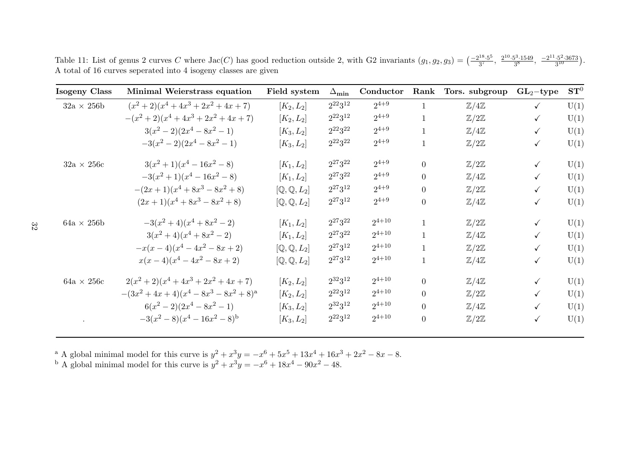Table 11: List of genus 2 curves C where  $Jac(C)$  has good reduction outside 2, with G2 invariants  $(g_1, g_2, g_3) = \left(\frac{-2^{18} \cdot 5^5}{3^7}, \frac{2^{10} \cdot 5^3 \cdot 1549}{3^8}, \frac{-2^{11} \cdot 5^2 \cdot 3673}{3^{10}}\right)$ . <sup>A</sup> total of <sup>16</sup> curves seperated into <sup>4</sup> isogeny classes are <sup>g</sup>iven

| <b>Isogeny Class</b> | Minimal Weierstrass equation           | Field system  | $\Delta_{\textbf{min}}$ | Conductor  | Rank           | Tors. subgroup           | $GL_2$ -type | $\mathbf{ST}^0$ |
|----------------------|----------------------------------------|---------------|-------------------------|------------|----------------|--------------------------|--------------|-----------------|
| $32a \times 256b$    | $(x^{2}+2)(x^{4}+4x^{3}+2x^{2}+4x+7)$  | $[K_2, L_2]$  | $2^{22}3^{12}$          | $2^{4+9}$  | -1             | $\mathbb{Z}/4\mathbb{Z}$ | $\checkmark$ | U(1)            |
|                      | $-(x^{2}+2)(x^{4}+4x^{3}+2x^{2}+4x+7)$ | $[K_2, L_2]$  | $2^{22}3^{12}$          | $2^{4+9}$  | $\mathbf{1}$   | $\mathbb{Z}/2\mathbb{Z}$ | $\checkmark$ | U(1)            |
|                      | $3(x^2-2)(2x^4-8x^2-1)$                | $[K_3, L_2]$  | $2^{22}3^{22}$          | $2^{4+9}$  |                | $\mathbb{Z}/4\mathbb{Z}$ |              | U(1)            |
|                      | $-3(x^2-2)(2x^4-8x^2-1)$               | $[K_3, L_2]$  | $2^{22}3^{22}$          | $2^{4+9}$  |                | $\mathbb{Z}/2\mathbb{Z}$ | $\checkmark$ | U(1)            |
| $32a \times 256c$    | $3(x^2+1)(x^4-16x^2-8)$                | $[K_1, L_2]$  | $2^{27}3^{22}$          | $2^{4+9}$  | $\theta$       | $\mathbb{Z}/2\mathbb{Z}$ | $\checkmark$ | U(1)            |
|                      | $-3(x^{2}+1)(x^{4}-16x^{2}-8)$         | $[K_1, L_2]$  | $2^{27}3^{22}$          | $2^{4+9}$  | $\theta$       | $\mathbb{Z}/4\mathbb{Z}$ |              | U(1)            |
|                      | $-(2x+1)(x^4+8x^3-8x^2+8)$             | $[Q, Q, L_2]$ | $2^{27}3^{12}$          | $2^{4+9}$  | $\Omega$       | $\mathbb{Z}/2\mathbb{Z}$ | $\checkmark$ | U(1)            |
|                      | $(2x+1)(x^4+8x^3-8x^2+8)$              | $[Q, Q, L_2]$ | $2^{27}3^{12}$          | $2^{4+9}$  | $\overline{0}$ | $\mathbb{Z}/4\mathbb{Z}$ | $\checkmark$ | U(1)            |
| $64a \times 256b$    | $-3(x^2+4)(x^4+8x^2-2)$                | $[K_1, L_2]$  | $2^{27}3^{22}$          | $2^{4+10}$ |                | $\mathbb{Z}/2\mathbb{Z}$ | $\checkmark$ | U(1)            |
|                      | $3(x^2+4)(x^4+8x^2-2)$                 | $[K_1, L_2]$  | $2^{27}3^{22}$          | $2^{4+10}$ |                | $\mathbb{Z}/4\mathbb{Z}$ | $\checkmark$ | U(1)            |
|                      | $-x(x-4)(x^4-4x^2-8x+2)$               | $[Q, Q, L_2]$ | $2^{27}3^{12}$          | $2^{4+10}$ |                | $\mathbb{Z}/2\mathbb{Z}$ | $\checkmark$ | U(1)            |
|                      | $x(x-4)(x^4-4x^2-8x+2)$                | $[Q, Q, L_2]$ | $2^{27}3^{12}$          | $2^{4+10}$ | $\mathbf{1}$   | $\mathbb{Z}/4\mathbb{Z}$ | $\checkmark$ | U(1)            |
| $64a \times 256c$    | $2(x^{2}+2)(x^{4}+4x^{3}+2x^{2}+4x+7)$ | $[K_2,L_2]$   | $2^{32}3^{12}$          | $2^{4+10}$ | $\Omega$       | $\mathbb{Z}/4\mathbb{Z}$ |              | U(1)            |
|                      | $-(3x^2+4x+4)(x^4-8x^3-8x^2+8)^a$      | $[K_2,L_2]$   | $2^{22}3^{12}$          | $2^{4+10}$ | $\Omega$       | $\mathbb{Z}/2\mathbb{Z}$ | $\checkmark$ | U(1)            |
|                      | $6(x^2-2)(2x^4-8x^2-1)$                | $[K_3, L_2]$  | $2^{32}3^{12}$          | $2^{4+10}$ | $\theta$       | $\mathbb{Z}/4\mathbb{Z}$ | ✓            | U(1)            |
|                      | $-3(x^2-8)(x^4-16x^2-8)^{b}$           | $[K_3, L_2]$  | $2^{22}3^{12}$          | $2^{4+10}$ | $\theta$       | $\mathbb{Z}/2\mathbb{Z}$ | $\checkmark$ | U(1)            |

<sup>a</sup> A global minimal model for this curve is  $y^2 + x^3y = -x^6 + 5x^5 + 13x^4 + 16x^3 + 2x^2 - 8x - 8$ .<br><sup>b</sup> A global minimal model for this curve is  $y^2 + x^3y = -x^6 + 18x^4 - 90x^2 - 48$ .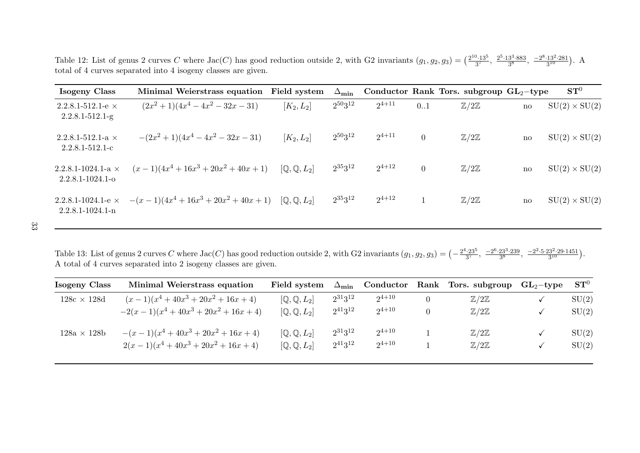Table 12: List of genus 2 curves C where Jac(C) has good reduction outside 2, with G2 invariants  $(g_1, g_2, g_3) = \left(\frac{2^{10} \cdot 13^5}{3^7}, \frac{2^{5} \cdot 13^3 \cdot 883}{3^8}, \frac{-2^{8} \cdot 13^2 \cdot 281}{3^{10}}\right)$ . A total of <sup>4</sup> curves separated into <sup>4</sup> isogeny classes are <sup>g</sup>iven.

| Isogeny Class                                           | Minimal Weierstrass equation     | Field system                    | $\Delta_{\textbf{min}}$ |            |                | Conductor Rank Tors. subgroup $GL_2$ -type |    | $\mathbf{ST}^0$      |
|---------------------------------------------------------|----------------------------------|---------------------------------|-------------------------|------------|----------------|--------------------------------------------|----|----------------------|
| $2.2.8.1 - 512.1 - e \times$<br>$2.2.8.1 - 512.1-g$     | $(2x^2+1)(4x^4-4x^2-32x-31)$     | $[K_2, L_2]$                    | $2^{50}3^{12}$          | $2^{4+11}$ | 0.1            | $\mathbb{Z}/2\mathbb{Z}$                   | no | $SU(2) \times SU(2)$ |
| $2.2.8.1 - 512.1 - a \times$<br>$2.2.8.1 - 512.1 - c$   | $-(2x^2+1)(4x^4-4x^2-32x-31)$    | $[K_2, L_2]$                    | $2^{50}3^{12}$          | $2^{4+11}$ | $\overline{0}$ | $\mathbb{Z}/2\mathbb{Z}$                   | no | $SU(2) \times SU(2)$ |
| $2.2.8.1 - 1024.1 - a \times$<br>$2.2.8.1 - 1024.1 - 0$ | $(x-1)(4x^4+16x^3+20x^2+40x+1)$  | $[Q, Q, L_2]$                   | $2^{35}3^{12}$          | $2^{4+12}$ | $\overline{0}$ | $\mathbb{Z}/2\mathbb{Z}$                   | no | $SU(2) \times SU(2)$ |
| $2.2.8.1 - 1024.1 - e \times$<br>$2.2.8.1 - 1024.1 - n$ | $-(x-1)(4x^4+16x^3+20x^2+40x+1)$ | $[\mathbb{Q}, \mathbb{Q}, L_2]$ | $2^{35}3^{12}$          | $2^{4+12}$ | $\mathbf{1}$   | $\mathbb{Z}/2\mathbb{Z}$                   | no | $SU(2) \times SU(2)$ |

Table 13: List of genus 2 curves C where Jac(C) has good reduction outside 2, with G2 invariants  $(g_1, g_2, g_3) = \left(-\frac{2^4 \cdot 23^5}{3^7}, \frac{-2^6 \cdot 23^3 \cdot 239}{3^8}, \frac{-2^2 \cdot 5 \cdot 23^2 \cdot 29 \cdot 1451}{3^{10}}\right)$ . <sup>A</sup> total of <sup>4</sup> curves separated into <sup>2</sup> isogeny classes are <sup>g</sup>iven.

| Isogeny Class      | Minimal Weierstrass equation     | Field system                    | $\Delta_{\textbf{min}}$ | Conductor  | $\operatorname{Rank}$ | Tors. subgroup           | $GL_2$ -type | $\mathbf{ST}^0$ |
|--------------------|----------------------------------|---------------------------------|-------------------------|------------|-----------------------|--------------------------|--------------|-----------------|
| $128c \times 128d$ | $(x-1)(x^4+40x^3+20x^2+16x+4)$   | $[Q, Q, L_2]$                   | $2^{31}3^{12}$          | $2^{4+10}$ | $\overline{0}$        | $\mathbb{Z}/2\mathbb{Z}$ |              | SU(2)           |
|                    | $-2(x-1)(x^4+40x^3+20x^2+16x+4)$ | $[\mathbb{Q}, \mathbb{Q}, L_2]$ | $2^{41}3^{12}$          | $2^{4+10}$ | $\overline{0}$        | $\mathbb{Z}/2\mathbb{Z}$ |              | SU(2)           |
| $128a \times 128b$ | $-(x-1)(x^4+40x^3+20x^2+16x+4)$  | $[\mathbb{Q}, \mathbb{Q}, L_2]$ | $2^{31}3^{12}$          | $2^{4+10}$ |                       | $\mathbb{Z}/2\mathbb{Z}$ |              | SU(2)           |
|                    | $2(x-1)(x^4+40x^3+20x^2+16x+4)$  | $[Q, Q, L_2]$                   | $2^{41}3^{12}$          | $2^{4+10}$ |                       | $\mathbb{Z}/2\mathbb{Z}$ |              | SU(2)           |
|                    |                                  |                                 |                         |            |                       |                          |              |                 |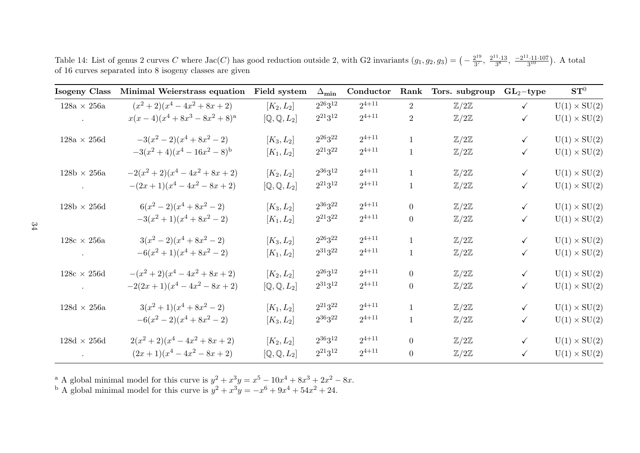Table 14: List of genus 2 curves C where  $Jac(C)$  has good reduction outside 2, with G2 invariants  $(g_1, g_2, g_3) = \left(-\frac{2^{19}}{3^7}, \frac{2^{11}\cdot13}{3^8}, \frac{-2^{11}\cdot11\cdot107}{3^{10}}\right)$ . A total of <sup>16</sup> curves separated into <sup>8</sup> isogeny classes are <sup>g</sup>iven

| <b>Isogeny Class</b>               | Minimal Weierstrass equation       | Field system                    | $\Delta_{\textbf{min}}$ | Conductor  | Rank           | Tors. subgroup           | $GL_2$ -type | $\mathbf{ST}^0$     |
|------------------------------------|------------------------------------|---------------------------------|-------------------------|------------|----------------|--------------------------|--------------|---------------------|
| $128a \, \times \, 256a$           | $(x^{2}+2)(x^{4}-4x^{2}+8x+2)$     | $[K_2, L_2]$                    | $2^{26}3^{12}$          | $2^{4+11}$ | $\overline{2}$ | $\mathbb{Z}/2\mathbb{Z}$ | $\checkmark$ | $U(1) \times SU(2)$ |
|                                    | $x(x-4)(x^4+8x^3-8x^2+8)^a$        | $[{\mathbb Q},{\mathbb Q},L_2]$ | $2^{21}3^{12}$          | $2^{4+11}$ | $\overline{2}$ | $\mathbb{Z}/2\mathbb{Z}$ | $\checkmark$ | $U(1) \times SU(2)$ |
| $128a \times 256d$                 | $-3(x^2-2)(x^4+8x^2-2)$            | $[K_3, L_2]$                    | $2^{26}3^{22}$          | $2^{4+11}$ | $\mathbf{1}$   | $\mathbb{Z}/2\mathbb{Z}$ | $\checkmark$ | $U(1) \times SU(2)$ |
|                                    | $-3(x^{2}+4)(x^{4}-16x^{2}-8)^{b}$ | $[K_1, L_2]$                    | $2^{21}3^{22}$          | $2^{4+11}$ | $\mathbf{1}$   | $\mathbb{Z}/2\mathbb{Z}$ | $\checkmark$ | $U(1) \times SU(2)$ |
| $128\text{b}\,\times\,256\text{a}$ | $-2(x^{2}+2)(x^{4}-4x^{2}+8x+2)$   | $[K_2, L_2]$                    | $2^{36}3^{12}$          | $2^{4+11}$ | $\mathbf{1}$   | $\mathbb{Z}/2\mathbb{Z}$ | $\checkmark$ | $U(1) \times SU(2)$ |
| $\sim$                             | $-(2x+1)(x^4-4x^2-8x+2)$           | $[Q, Q, L_2]$                   | $2^{21}3^{12}$          | $2^{4+11}$ | 1              | $\mathbb{Z}/2\mathbb{Z}$ | $\checkmark$ | $U(1) \times SU(2)$ |
| $128\text{b}\,\times\,256\text{d}$ | $6(x^2-2)(x^4+8x^2-2)$             | $[K_3, L_2]$                    | 236322                  | $2^{4+11}$ | $\overline{0}$ | $\mathbb{Z}/2\mathbb{Z}$ | $\checkmark$ | $U(1) \times SU(2)$ |
|                                    | $-3(x^2+1)(x^4+8x^2-2)$            | $[K_1, L_2]$                    | $2^{21}3^{22}$          | $2^{4+11}$ | $\overline{0}$ | $\mathbb{Z}/2\mathbb{Z}$ | $\checkmark$ | $U(1) \times SU(2)$ |
| $128c \times 256a$                 | $3(x^2-2)(x^4+8x^2-2)$             | $[K_3, L_2]$                    | $2^{26}3^{22}$          | $2^{4+11}$ | $\mathbf{1}$   | $\mathbb{Z}/2\mathbb{Z}$ | $\checkmark$ | $U(1) \times SU(2)$ |
| <b>Contractor</b>                  | $-6(x^2+1)(x^4+8x^2-2)$            | $[K_1, L_2]$                    | $2^{31}3^{22}$          | $2^{4+11}$ | $\mathbf{1}$   | $\mathbb{Z}/2\mathbb{Z}$ | $\checkmark$ | $U(1) \times SU(2)$ |
| $128c \times 256d$                 | $-(x^{2}+2)(x^{4}-4x^{2}+8x+2)$    | $[K_2, L_2]$                    | $2^{26}3^{12}$          | $2^{4+11}$ | $\overline{0}$ | $\mathbb{Z}/2\mathbb{Z}$ | $\checkmark$ | $U(1) \times SU(2)$ |
|                                    | $-2(2x+1)(x^4-4x^2-8x+2)$          | $[Q, Q, L_2]$                   | $2^{31}3^{12}$          | $2^{4+11}$ | $\overline{0}$ | $\mathbb{Z}/2\mathbb{Z}$ | $\checkmark$ | $U(1) \times SU(2)$ |
| $128d \times 256a$                 | $3(x^2+1)(x^4+8x^2-2)$             | $[K_1, L_2]$                    | $2^{21}3^{22}$          | $2^{4+11}$ | $\mathbf{1}$   | $\mathbb{Z}/2\mathbb{Z}$ | $\checkmark$ | $U(1) \times SU(2)$ |
|                                    | $-6(x^2-2)(x^4+8x^2-2)$            | $[K_3, L_2]$                    | $2^{36}3^{22}$          | $2^{4+11}$ | $\mathbf{1}$   | $\mathbb{Z}/2\mathbb{Z}$ | $\checkmark$ | $U(1) \times SU(2)$ |
| $128d \times 256d$                 | $2(x^{2}+2)(x^{4}-4x^{2}+8x+2)$    | $[K_2, L_2]$                    | $2^{36}3^{12}$          | $2^{4+11}$ | $\overline{0}$ | $\mathbb{Z}/2\mathbb{Z}$ | $\checkmark$ | $U(1) \times SU(2)$ |
| $\sim$ $\sim$                      | $(2x+1)(x^4-4x^2-8x+2)$            | $[Q, Q, L_2]$                   | $2^{21}3^{12}$          | $2^{4+11}$ | $\overline{0}$ | $\mathbb{Z}/2\mathbb{Z}$ | $\checkmark$ | $U(1) \times SU(2)$ |

<sup>a</sup> A global minimal model for this curve is  $y^2 + x^3y = x^5 - 10x^4 + 8x^3 + 2x^2 - 8x$ .<br><sup>b</sup> A global minimal model for this curve is  $y^2 + x^3y = -x^6 + 9x^4 + 54x^2 + 24$ .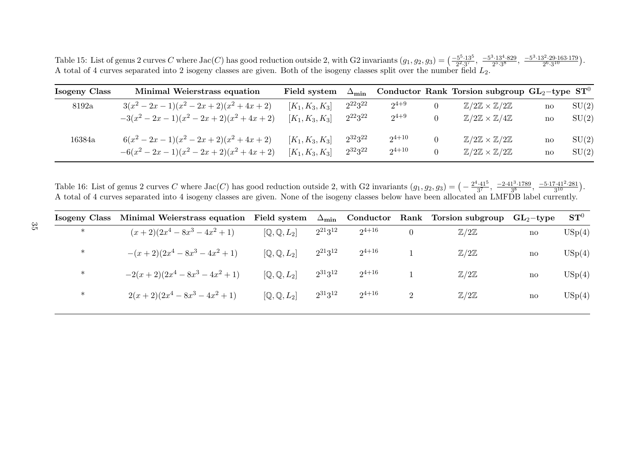Table 15: List of genus 2 curves C where Jac(C) has good reduction outside 2, with G2 invariants  $(g_1, g_2, g_3) = \left(\frac{-5^5 \cdot 13^5}{2^2 \cdot 3^7}, \frac{-5^3 \cdot 13^4 \cdot 829}{2^5 \cdot 3^8}, \frac{-5^3 \cdot 13^2 \cdot 29 \cdot 163 \cdot 179}{2^6 \cdot 3^{10}}\right)$ . A total of 4 curves separated into 2 isogeny classes are given. Both of the isogeny classes split over the number field  $L_2$ .

| Isogeny Class | Minimal Weierstrass equation       | Field system      | $\Delta_{\min}$ |            | Conductor Rank Torsion subgroup $GL_2$ -type $ST^0$    |    |       |
|---------------|------------------------------------|-------------------|-----------------|------------|--------------------------------------------------------|----|-------|
| 8192a         | $3(x^2-2x-1)(x^2-2x+2)(x^2+4x+2)$  | $[K_1, K_3, K_3]$ | $2^{22}3^{22}$  | $2^{4+9}$  | $\mathbb{Z}/2\mathbb{Z} \times \mathbb{Z}/2\mathbb{Z}$ | no | SU(2) |
|               | $-3(x^2-2x-1)(x^2-2x+2)(x^2+4x+2)$ | $[K_1, K_3, K_3]$ | $2^{22}3^{22}$  | $2^{4+9}$  | $\mathbb{Z}/2\mathbb{Z} \times \mathbb{Z}/4\mathbb{Z}$ | no | SU(2) |
| 16384a        | $6(x^2-2x-1)(x^2-2x+2)(x^2+4x+2)$  | $[K_1, K_3, K_3]$ | $2^{32}3^{22}$  | $2^{4+10}$ | $\mathbb{Z}/2\mathbb{Z}\times\mathbb{Z}/2\mathbb{Z}$   | no | SU(2) |
|               | $-6(x^2-2x-1)(x^2-2x+2)(x^2+4x+2)$ | $[K_1, K_3, K_3]$ | $2^{32}3^{22}$  | $2^{4+10}$ | $\mathbb{Z}/2\mathbb{Z}\times\mathbb{Z}/2\mathbb{Z}$   | no | SU(2) |

Table 16: List of genus 2 curves C where  $Jac(C)$  has good reduction outside 2, with G2 invariants  $(g_1, g_2, g_3) = \left(-\frac{2^4 \cdot 41^5}{3^7}, \frac{-2 \cdot 41^3 \cdot 1789}{3^8}, \frac{-5 \cdot 17 \cdot 41^2 \cdot 281}{3^{10}}\right)$ . <sup>A</sup> total of <sup>4</sup> curves separated into <sup>4</sup> isogeny classes are <sup>g</sup>iven. None of the isogeny classes below have been allocated an LMFDB label currently.

| Isogeny Class | Minimal Weierstrass equation | Field system                    | $\Delta_{\min}$ | Conductor  |   | Rank Torsion subgroup    | $GL_2$ -type | $\mathbf{ST}^0$ |
|---------------|------------------------------|---------------------------------|-----------------|------------|---|--------------------------|--------------|-----------------|
| $\ast$        | $(x+2)(2x^4-8x^3-4x^2+1)$    | $[Q, Q, L_2]$                   | $2^{21}3^{12}$  | $2^{4+16}$ | 0 | $\mathbb{Z}/2\mathbb{Z}$ | $\mathbf{n}$ | USp(4)          |
| $\ast$        | $-(x+2)(2x^4-8x^3-4x^2+1)$   | $[{\mathbb Q},{\mathbb Q},L_2]$ | $2^{21}3^{12}$  | $2^{4+16}$ |   | $\mathbb{Z}/2\mathbb{Z}$ | $\mathbf{n}$ | USp(4)          |
| $\ast$        | $-2(x+2)(2x^4-8x^3-4x^2+1)$  | $[Q, Q, L_2]$                   | $2^{31}3^{12}$  | $2^{4+16}$ |   | $\mathbb{Z}/2\mathbb{Z}$ | $\mathbf{n}$ | USp(4)          |
| $\ast$        | $2(x+2)(2x^4-8x^3-4x^2+1)$   | $[Q, Q, L_2]$                   | $2^{31}3^{12}$  | $2^{4+16}$ | ົ | $\mathbb{Z}/2\mathbb{Z}$ | $\mathbf{n}$ | USp(4)          |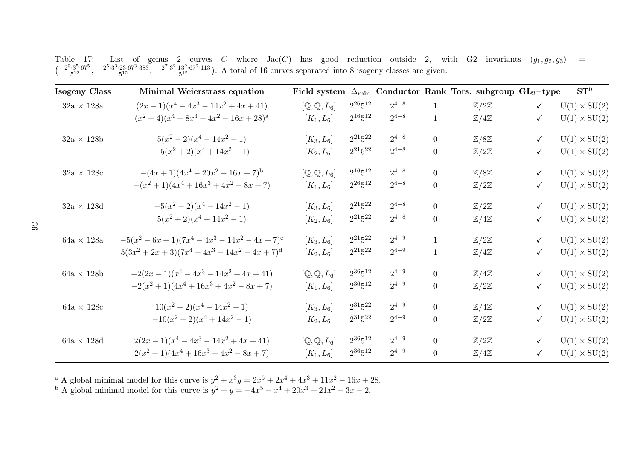| Isogeny Class     | Minimal Weierstrass equation                                 | Field system                    |                |           |                  | $\Delta_{\min}$ Conductor Rank Tors. subgroup GL <sub>2</sub> -type |              | $\mathbf{ST}^0$     |
|-------------------|--------------------------------------------------------------|---------------------------------|----------------|-----------|------------------|---------------------------------------------------------------------|--------------|---------------------|
| $32a \times 128a$ | $(2x-1)(x^4-4x^3-14x^2+4x+41)$                               | $[Q, Q, L_6]$                   | $2^{26}5^{12}$ | $2^{4+8}$ | 1                | $\mathbb{Z}/2\mathbb{Z}$                                            | $\checkmark$ | $U(1) \times SU(2)$ |
|                   | $(x^{2}+4)(x^{4}+8x^{3}+4x^{2}-16x+28)^{a}$                  | $[K_1, L_6]$                    | $2^{16}5^{12}$ | $2^{4+8}$ | $\mathbf{1}$     | $\mathbb{Z}/4\mathbb{Z}$                                            | $\checkmark$ | $U(1) \times SU(2)$ |
| $32a \times 128b$ | $5(x^2-2)(x^4-14x^2-1)$                                      | $[K_3, L_6]$                    | $2^{21}5^{22}$ | $2^{4+8}$ | $\overline{0}$   | $\mathbb{Z}/8\mathbb{Z}$                                            | $\checkmark$ | $U(1) \times SU(2)$ |
|                   | $-5(x^{2}+2)(x^{4}+14x^{2}-1)$                               | $[K_2, L_6]$                    | $2^{21}5^{22}$ | $2^{4+8}$ | $\overline{0}$   | $\mathbb{Z}/2\mathbb{Z}$                                            | $\checkmark$ | $U(1) \times SU(2)$ |
| $32a \times 128c$ | $-(4x+1)(4x^4-20x^2-16x+7)^{b}$                              | $[Q, Q, L_6]$                   | $2^{16}5^{12}$ | $2^{4+8}$ | $\overline{0}$   | $\mathbb{Z}/8\mathbb{Z}$                                            | $\checkmark$ | $U(1) \times SU(2)$ |
|                   | $-(x^{2}+1)(4x^{4}+16x^{3}+4x^{2}-8x+7)$                     | $[K_1, L_6]$                    | $2^{26}5^{12}$ | $2^{4+8}$ | $\boldsymbol{0}$ | $\mathbb{Z}/2\mathbb{Z}$                                            | $\checkmark$ | $U(1) \times SU(2)$ |
| $32a \times 128d$ | $-5(x^2-2)(x^4-14x^2-1)$                                     | $[K_3, L_6]$                    | $2^{21}5^{22}$ | $2^{4+8}$ | $\overline{0}$   | $\mathbb{Z}/2\mathbb{Z}$                                            | $\checkmark$ | $U(1) \times SU(2)$ |
|                   | $5(x^2+2)(x^4+14x^2-1)$                                      | $[K_2, L_6]$                    | $2^{21}5^{22}$ | $2^{4+8}$ | $\overline{0}$   | $\mathbb{Z}/4\mathbb{Z}$                                            | $\checkmark$ | $U(1) \times SU(2)$ |
| $64a \times 128a$ | $-5(x^{2}-6x+1)(7x^{4}-4x^{3}-14x^{2}-4x+7)^{c}$             | $[K_3, L_6]$                    | $2^{21}5^{22}$ | $2^{4+9}$ | $\mathbf{1}$     | $\mathbb{Z}/2\mathbb{Z}$                                            | $\checkmark$ | $U(1) \times SU(2)$ |
|                   | $5(3x^{2} + 2x + 3)(7x^{4} - 4x^{3} - 14x^{2} - 4x + 7)^{d}$ | $[K_2, L_6]$                    | $2^{21}5^{22}$ | $2^{4+9}$ | $\mathbf{1}$     | $\mathbb{Z}/4\mathbb{Z}$                                            | $\checkmark$ | $U(1) \times SU(2)$ |
| $64a \times 128b$ | $-2(2x-1)(x^4-4x^3-14x^2+4x+41)$                             | $[Q, Q, L_6]$                   | $2^{36}5^{12}$ | $2^{4+9}$ | $\overline{0}$   | $\mathbb{Z}/4\mathbb{Z}$                                            | $\checkmark$ | $U(1) \times SU(2)$ |
|                   | $-2(x^{2}+1)(4x^{4}+16x^{3}+4x^{2}-8x+7)$                    | $[K_1, L_6]$                    | $2^{36}5^{12}$ | $2^{4+9}$ | $\overline{0}$   | $\mathbb{Z}/2\mathbb{Z}$                                            | $\checkmark$ | $U(1) \times SU(2)$ |
| $64a \times 128c$ | $10(x^{2}-2)(x^{4}-14x^{2}-1)$                               | $[K_3, L_6]$                    | $2^{31}5^{22}$ | $2^{4+9}$ | $\overline{0}$   | $\mathbb{Z}/4\mathbb{Z}$                                            | $\checkmark$ | $U(1) \times SU(2)$ |
|                   | $-10(x^{2}+2)(x^{4}+14x^{2}-1)$                              | $[K_2, L_6]$                    | $2^{31}5^{22}$ | $2^{4+9}$ | $\boldsymbol{0}$ | $\mathbb{Z}/2\mathbb{Z}$                                            | $\checkmark$ | $U(1) \times SU(2)$ |
| $64a \times 128d$ | $2(2x-1)(x^4-4x^3-14x^2+4x+41)$                              | $[{\mathbb Q},{\mathbb Q},L_6]$ | $2^{36}5^{12}$ | $2^{4+9}$ | $\overline{0}$   | $\mathbb{Z}/2\mathbb{Z}$                                            | $\checkmark$ | $U(1) \times SU(2)$ |
|                   | $2(x^{2}+1)(4x^{4}+16x^{3}+4x^{2}-8x+7)$                     | $[K_1, L_6]$                    | $2^{36}5^{12}$ | $2^{4+9}$ | $\overline{0}$   | $\mathbb{Z}/4\mathbb{Z}$                                            | $\checkmark$ | $U(1) \times SU(2)$ |

Table 17: List of genus 2 curves C where  $Jac(C)$  has good reduction outside 2, with G2 invariants  $(g_1, g_2, g_3) =$ <br> $\left(\frac{-2^9 \cdot 3^5 \cdot 67^5}{5^{12}}, \frac{-2^5 \cdot 3^3 \cdot 23 \cdot 67^3 \cdot 383}{5^{12}}, \frac{-2^7 \cdot 3^2 \cdot 13^2 \cdot 67^2 \cdot 113}{5^{12}}\right)$ . A

<sup>a</sup> A global minimal model for this curve is  $y^2 + x^3y = 2x^5 + 2x^4 + 4x^3 + 11x^2 - 16x + 28$ .<br><sup>b</sup> A global minimal model for this curve is  $y^2 + y = -4x^5 - x^4 + 20x^3 + 21x^2 - 3x - 2$ .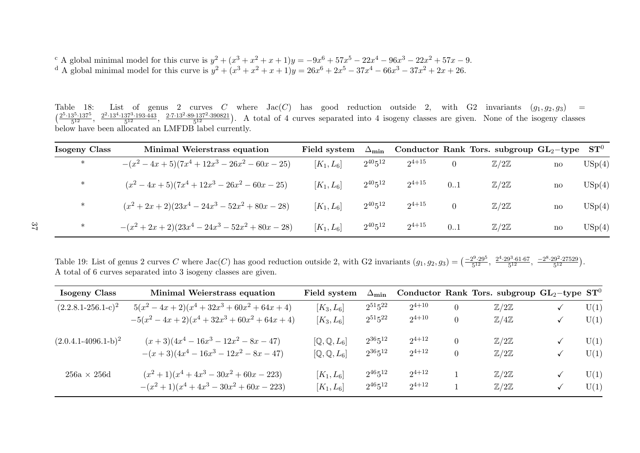c A global minimal model for this curve is  $y^2 + (x^3 + x^2 + x + 1)y = -9x^6 + 57x^5 - 22x^4 - 96x^3 - 22x^2 + 57x - 9$ .<br>d A global minimal model for this curve is  $y^2 + (x^3 + x^2 + x + 1)y = 26x^6 + 2x^5 - 37x^4 - 66x^3 - 37x^2 + 2x + 26$ .

Table 18: List of genus 2 curves C where  $Jac(C)$  has good reduction outside 2, with G2 invariants  $(g_1, g_2, g_3) =$ <br> $\left(\frac{2^{5} \cdot 13^{5} \cdot 137^{5}}{5^{12}}, \frac{2^{2} \cdot 13^{4} \cdot 137^{3} \cdot 193 \cdot 443}{5^{12}}, \frac{2^{7} \cdot 13^{2} \cdot 89 \cdot 137^{2} \cdot 39$ List of genus 2 curves C where  $Jac(C)$  has good reduction outside 2, with G2 invariants  $(g_1, g_2, g_3)$  = below have been allocated an LMFDB label currently.

| Isogeny Class | Minimal Weierstrass equation                               | Field system | $\Delta_{\text{min}}$ |            |     | Conductor Rank Tors. subgroup $GL_2$ -type |                        | $\mathbf{ST}^0$   |
|---------------|------------------------------------------------------------|--------------|-----------------------|------------|-----|--------------------------------------------|------------------------|-------------------|
| $\ast$        | $-(x^2-4x+5)(7x^4+12x^3-26x^2-60x-25)$                     | $[K_1, L_6]$ | $2^{40}5^{12}$        | $2^{4+15}$ |     | $\mathbb{Z}/2\mathbb{Z}$                   | $\mathbf{n}$           | $\mathrm{USp}(4)$ |
| $\ast$        | $(x^{2} - 4x + 5)(7x^{4} + 12x^{3} - 26x^{2} - 60x - 25)$  | $[K_1, L_6]$ | $2^{40}5^{12}$        | $2^{4+15}$ | 0.1 | $\mathbb{Z}/2\mathbb{Z}$                   | $\operatorname{no}$    | USp(4)            |
| $\ast$        | $(x^{2} + 2x + 2)(23x^{4} - 24x^{3} - 52x^{2} + 80x - 28)$ | $[K_1, L_6]$ | $2^{40}5^{12}$        | $2^{4+15}$ | 0   | $\mathbb{Z}/2\mathbb{Z}$                   | no                     | USp(4)            |
| $\ast$        | $-(x^{2}+2x+2)(23x^{4}-24x^{3}-52x^{2}+80x-28)$            | $[K_1, L_6]$ | $2^{40}5^{12}$        | $2^{4+15}$ | 0.1 | $\mathbb{Z}/2\mathbb{Z}$                   | $\mathbf{n}\mathbf{o}$ | USp(4)            |

Table 19: List of genus 2 curves C where  $Jac(C)$  has good reduction outside 2, with G2 invariants  $(g_1, g_2, g_3) = \left(\frac{-2^9 \cdot 29^5}{5^{12}}, \frac{2^4 \cdot 29^3 \cdot 61 \cdot 67}{5^{12}}, \frac{-2^8 \cdot 29^2 \cdot 27529}{5^{12}}\right)$ . <sup>A</sup> total of <sup>6</sup> curves separated into <sup>3</sup> isogeny classes are <sup>g</sup>iven.

| Isogeny Class             | Minimal Weierstrass equation                             | Field system  | $\Delta_{\textbf{min}}$ |            |          | Conductor Rank Tors. subgroup $GL_2$ -type $ST^0$ |      |
|---------------------------|----------------------------------------------------------|---------------|-------------------------|------------|----------|---------------------------------------------------|------|
| $(2.2.8.1 - 256.1 - c)^2$ | $5(x^{2} - 4x + 2)(x^{4} + 32x^{3} + 60x^{2} + 64x + 4)$ | $[K_3, L_6]$  | $2^{51}5^{22}$          | $2^{4+10}$ |          | $\mathbb{Z}/2\mathbb{Z}$                          | U(1) |
|                           | $-5(x^2-4x+2)(x^4+32x^3+60x^2+64x+4)$                    | $[K_3, L_6]$  | $2^{51}5^{22}$          | $2^{4+10}$ |          | $\mathbb{Z}/4\mathbb{Z}$                          | U(1) |
| $(2.0.4.1-4096.1-b)^2$    | $(x+3)(4x^4-16x^3-12x^2-8x-47)$                          | $[Q, Q, L_6]$ | $2^{36}5^{12}$          | $2^{4+12}$ |          | $\mathbb{Z}/2\mathbb{Z}$                          | U(1) |
|                           | $-(x+3)(4x^4-16x^3-12x^2-8x-47)$                         | $[Q, Q, L_6]$ | $2^{36}5^{12}$          | $2^{4+12}$ | $\Omega$ | $\mathbb{Z}/2\mathbb{Z}$                          | U(1) |
| $256a \times 256d$        | $(x^{2}+1)(x^{4}+4x^{3}-30x^{2}+60x-223)$                | $[K_1, L_6]$  | $2^{46}5^{12}$          | $2^{4+12}$ |          | $\mathbb{Z}/2\mathbb{Z}$                          | U(1) |
|                           | $-(x^{2}+1)(x^{4}+4x^{3}-30x^{2}+60x-223)$               | $[K_1, L_6]$  | $2^{46}5^{12}$          | $2^{4+12}$ |          | $\mathbb{Z}/2\mathbb{Z}$                          | U(1) |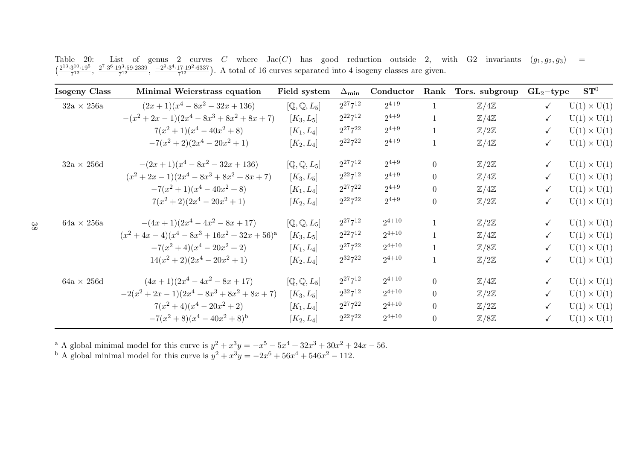| <b>Isogeny Class</b> | Minimal Weierstrass equation                                | Field system  | $\Delta_{\textbf{min}}$ | Conductor  | Rank           | Tors. subgroup           | $GL_2$ -type | $\mathbf{ST}^0$    |
|----------------------|-------------------------------------------------------------|---------------|-------------------------|------------|----------------|--------------------------|--------------|--------------------|
| $32a \times 256a$    | $(2x+1)(x^4-8x^2-32x+136)$                                  | $[Q, Q, L_5]$ | $2^{27}7^{12}$          | $2^{4+9}$  | $\mathbf{1}$   | $\mathbb{Z}/4\mathbb{Z}$ | $\checkmark$ | $U(1) \times U(1)$ |
|                      | $-(x^{2}+2x-1)(2x^{4}-8x^{3}+8x^{2}+8x+7)$                  | $[K_3, L_5]$  | $2^{22}7^{12}$          | $2^{4+9}$  | 1              | $\mathbb{Z}/4\mathbb{Z}$ | $\checkmark$ | $U(1) \times U(1)$ |
|                      | $7(x^{2}+1)(x^{4}-40x^{2}+8)$                               | $[K_1, L_4]$  | $2^{27}7^{22}$          | $2^{4+9}$  | $\mathbf{1}$   | $\mathbb{Z}/2\mathbb{Z}$ | $\checkmark$ | $U(1) \times U(1)$ |
|                      | $-7(x^{2}+2)(2x^{4}-20x^{2}+1)$                             | $[K_2, L_4]$  | $2^{22}7^{22}$          | $2^{4+9}$  |                | $\mathbb{Z}/4\mathbb{Z}$ | $\checkmark$ | $U(1) \times U(1)$ |
| $32a \times 256d$    | $-(2x+1)(x^4-8x^2-32x+136)$                                 | $[Q, Q, L_5]$ | $2^{27}7^{12}$          | $2^{4+9}$  | $\theta$       | $\mathbb{Z}/2\mathbb{Z}$ | $\checkmark$ | $U(1) \times U(1)$ |
|                      | $(x^{2}+2x-1)(2x^{4}-8x^{3}+8x^{2}+8x+7)$                   | $[K_3, L_5]$  | $2^{22}7^{12}$          | $2^{4+9}$  | $\Omega$       | $\mathbb{Z}/4\mathbb{Z}$ | $\checkmark$ | $U(1) \times U(1)$ |
|                      | $-7(x^{2}+1)(x^{4}-40x^{2}+8)$                              | $[K_1, L_4]$  | $2^{27}7^{22}$          | $2^{4+9}$  | $\overline{0}$ | $\mathbb{Z}/4\mathbb{Z}$ | $\checkmark$ | $U(1) \times U(1)$ |
|                      | $7(x^2+2)(2x^4-20x^2+1)$                                    | $[K_2, L_4]$  | $2^{22}7^{22}$          | $2^{4+9}$  | $\theta$       | $\mathbb{Z}/2\mathbb{Z}$ | $\checkmark$ | $U(1) \times U(1)$ |
| $64a \times 256a$    | $-(4x+1)(2x^4-4x^2-8x+17)$                                  | $[Q, Q, L_5]$ | $2^{27}7^{12}$          | $2^{4+10}$ | $\mathbf{1}$   | $\mathbb{Z}/2\mathbb{Z}$ | $\checkmark$ | $U(1) \times U(1)$ |
|                      | $(x^{2} + 4x - 4)(x^{4} - 8x^{3} + 16x^{2} + 32x + 56)^{a}$ | $[K_3, L_5]$  | $2^{22}7^{12}$          | $2^{4+10}$ | $\mathbf{1}$   | $\mathbb{Z}/4\mathbb{Z}$ | $\checkmark$ | $U(1) \times U(1)$ |
|                      | $-7(x^2+4)(x^4-20x^2+2)$                                    | $[K_1, L_4]$  | $2^{27}7^{22}$          | $2^{4+10}$ |                | $\mathbb{Z}/8\mathbb{Z}$ | $\checkmark$ | $U(1) \times U(1)$ |
|                      | $14(x^{2}+2)(2x^{4}-20x^{2}+1)$                             | $[K_2, L_4]$  | $2^{32}7^{22}$          | $2^{4+10}$ |                | $\mathbb{Z}/2\mathbb{Z}$ | $\checkmark$ | $U(1) \times U(1)$ |
| $64a \times 256d$    | $(4x+1)(2x^4-4x^2-8x+17)$                                   | $[Q, Q, L_5]$ | $2^{27}7^{12}$          | $2^{4+10}$ | $\theta$       | $\mathbb{Z}/4\mathbb{Z}$ | $\checkmark$ | $U(1) \times U(1)$ |
|                      | $-2(x^{2}+2x-1)(2x^{4}-8x^{3}+8x^{2}+8x+7)$                 | $[K_3, L_5]$  | $2^{32}7^{12}$          | $2^{4+10}$ | $\theta$       | $\mathbb{Z}/2\mathbb{Z}$ | $\checkmark$ | $U(1) \times U(1)$ |
|                      | $7(x^{2}+4)(x^{4}-20x^{2}+2)$                               | $[K_1, L_4]$  | $2^{27}7^{22}$          | $2^{4+10}$ | $\overline{0}$ | $\mathbb{Z}/2\mathbb{Z}$ | $\checkmark$ | $U(1) \times U(1)$ |
|                      | $-7(x^{2}+8)(x^{4}-40x^{2}+8)^{b}$                          | $[K_2, L_4]$  | $2^{22}7^{22}$          | $2^{4+10}$ | $\theta$       | $\mathbb{Z}/8\mathbb{Z}$ | $\checkmark$ | $U(1) \times U(1)$ |

Table 20: List of genus 2 curves C where  $Jac(C)$  has good reduction outside 2, with G2 invariants  $(g_1, g_2, g_3) = (\frac{2^{13} \cdot 3^{10} \cdot 19^5}{7^{12}}, \frac{2^{7} \cdot 3^{6} \cdot 19^{3} \cdot 59 \cdot 2339}{7^{12}}, \frac{-2^{9} \cdot 3^{4} \cdot 17 \cdot 19^{2} \cdot 6337}{7^{12}})$ 

<sup>a</sup> A global minimal model for this curve is  $y^2 + x^3y = -x^5 - 5x^4 + 32x^3 + 30x^2 + 24x - 56$ .<br><sup>b</sup> A global minimal model for this curve is  $y^2 + x^3y = -2x^6 + 56x^4 + 546x^2 - 112$ .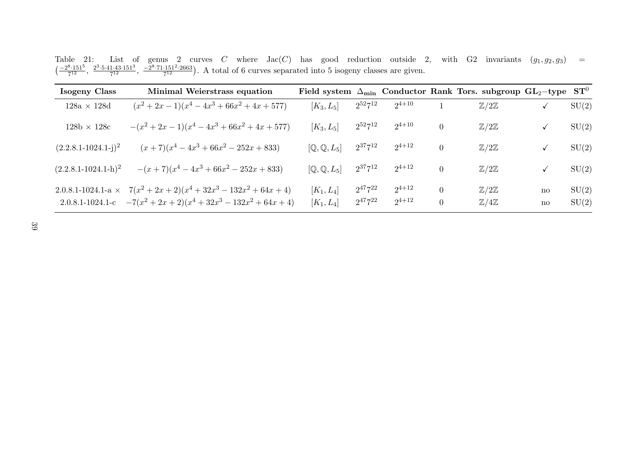Table 21: List of genus 2 curves C where  $Jac(C)$  has good reduction outside 2, with G2 invariants  $(g_1, g_2, g_3) = \left(\frac{-2^8 \cdot 151^5}{7^{12}}, \frac{2^3 \cdot 5 \cdot 41 \cdot 43 \cdot 151^3}{7^{12}}, \frac{-2^8 \cdot 71 \cdot 151^2 \cdot 2663}{7^{12}}\right)$ . A total of 6 curv

| Isogeny Class              | Minimal Weierstrass equation                                                                                                           |                              |                                  |                          |                                  | Field system $\Delta_{\text{min}}$ Conductor Rank Tors. subgroup GL <sub>2</sub> -type |                                        | $\mathbf{ST}^0$ |
|----------------------------|----------------------------------------------------------------------------------------------------------------------------------------|------------------------------|----------------------------------|--------------------------|----------------------------------|----------------------------------------------------------------------------------------|----------------------------------------|-----------------|
| $128a \times 128d$         | $(x^{2} + 2x - 1)(x^{4} - 4x^{3} + 66x^{2} + 4x + 577)$                                                                                | $[K_3, L_5]$                 | $2^{52}7^{12}$                   | $2^{4+10}$               |                                  | $\mathbb{Z}/2\mathbb{Z}$                                                               |                                        | SU(2)           |
| $128b \times 128c$         | $-(x^{2}+2x-1)(x^{4}-4x^{3}+66x^{2}+4x+577)$                                                                                           | $[K_3, L_5]$                 | $2^{52}7^{12}$                   | $2^{4+10}$               | $\overline{0}$                   | $\mathbb{Z}/2\mathbb{Z}$                                                               | ✓                                      | SU(2)           |
| $(2.2.8.1 - 1024.1 - j)^2$ | $(x+7)(x^4-4x^3+66x^2-252x+833)$                                                                                                       | $[Q, Q, L_5]$                | $2^{37}7^{12}$                   | $2^{4+12}$               | $\overline{0}$                   | $\mathbb{Z}/2\mathbb{Z}$                                                               |                                        | SU(2)           |
| $(2.2.8.1 - 1024.1 - h)^2$ | $-(x+7)(x^4-4x^3+66x^2-252x+833)$                                                                                                      | $[Q, Q, L_5]$                | $2^{37}7^{12}$                   | $2^{4+12}$               | $\overline{0}$                   | $\mathbb{Z}/2\mathbb{Z}$                                                               | ✓                                      | SU(2)           |
|                            | 2.0.8.1-1024.1-a $\times$ 7( $x^2 + 2x + 2(x^4 + 32x^3 - 132x^2 + 64x + 4)$<br>2.0.8.1-1024.1-c $-7(x^2+2x+2)(x^4+32x^3-132x^2+64x+4)$ | $[K_1, L_4]$<br>$[K_1, L_4]$ | $2^{47}7^{22}$<br>$2^{47}7^{22}$ | $2^{4+12}$<br>$2^{4+12}$ | $\overline{0}$<br>$\overline{0}$ | $\mathbb{Z}/2\mathbb{Z}$<br>$\mathbb{Z}/4\mathbb{Z}$                                   | $\mathbf{n}$<br>$\mathbf{n}\mathbf{o}$ | SU(2)<br>SU(2)  |

39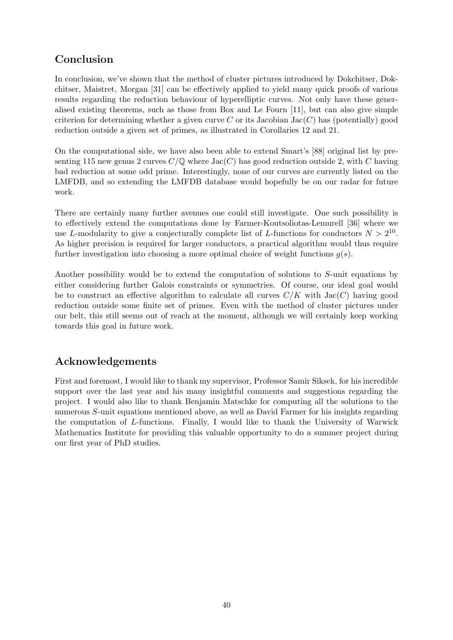# Conclusion

In conclusion, we've shown that the method of cluster pictures introduced by Dokchitser, Dokchitser, Maistret, Morgan [31] can be effectively applied to yield many quick proofs of various results regarding the reduction behaviour of hyperelliptic curves. Not only have these generalised existing theorems, such as those from Box and Le Fourn [11], but can also give simple criterion for determining whether a given curve  $C$  or its Jacobian Jac $(C)$  has (potentially) good reduction outside a given set of primes, as illustrated in Corollaries 12 and 21.

On the computational side, we have also been able to extend Smart's [88] original list by presenting 115 new genus 2 curves  $C/\mathbb{Q}$  where Jac $(C)$  has good reduction outside 2, with C having bad reduction at some odd prime. Interestingly, none of our curves are currently listed on the LMFDB, and so extending the LMFDB database would hopefully be on our radar for future work.

There are certainly many further avenues one could still investigate. One such possibility is to effectively extend the computations done by Farmer-Koutsoliotas-Lemurell [36] where we use L-modularity to give a conjecturally complete list of L-functions for conductors  $N > 2^{10}$ . As higher precision is required for larger conductors, a practical algorithm would thus require further investigation into choosing a more optimal choice of weight functions  $q(s)$ .

Another possibility would be to extend the computation of solutions to S-unit equations by either considering further Galois constraints or symmetries. Of course, our ideal goal would be to construct an effective algorithm to calculate all curves  $C/K$  with  $Jac(C)$  having good reduction outside some finite set of primes. Even with the method of cluster pictures under our belt, this still seems out of reach at the moment, although we will certainly keep working towards this goal in future work.

# Acknowledgements

First and foremost, I would like to thank my supervisor, Professor Samir Siksek, for his incredible support over the last year and his many insightful comments and suggestions regarding the project. I would also like to thank Benjamin Matschke for computing all the solutions to the numerous S-unit equations mentioned above, as well as David Farmer for his insights regarding the computation of L-functions. Finally, I would like to thank the University of Warwick Mathematics Institute for providing this valuable opportunity to do a summer project during our first year of PhD studies.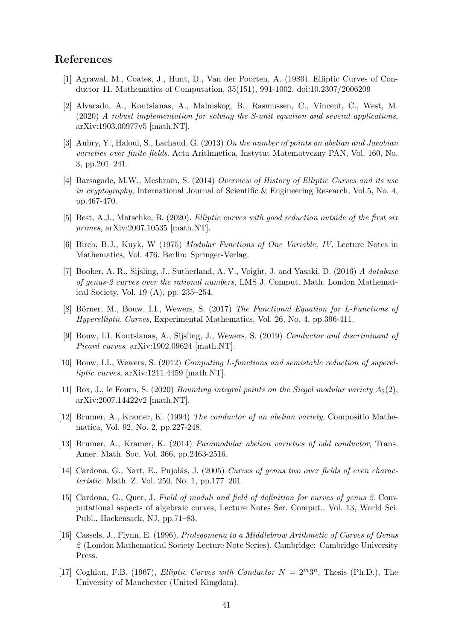### References

- [1] Agrawal, M., Coates, J., Hunt, D., Van der Poorten, A. (1980). Elliptic Curves of Conductor 11. Mathematics of Computation, 35(151), 991-1002. doi:10.2307/2006209
- [2] Alvarado, A., Koutsianas, A., Malmskog, B., Rasmussen, C., Vincent, C., West, M. (2020) A robust implementation for solving the S-unit equation and several applications, arXiv:1903.00977v5 [math.NT].
- [3] Aubry, Y., Haloui, S., Lachaud, G. (2013) On the number of points on abelian and Jacobian varieties over finite fields. Acta Arithmetica, Instytut Matematyczny PAN, Vol. 160, No. 3, pp.201–241.
- [4] Barsagade, M.W., Meshram, S. (2014) Overview of History of Elliptic Curves and its use in cryptography, International Journal of Scientific & Engineering Research, Vol.5, No. 4, pp.467-470.
- [5] Best, A.J., Matschke, B. (2020). Elliptic curves with good reduction outside of the first six primes, arXiv:2007.10535 [math.NT].
- [6] Birch, B.J., Kuyk, W (1975) Modular Functions of One Variable, IV, Lecture Notes in Mathematics, Vol. 476. Berlin: Springer-Verlag.
- [7] Booker, A. R., Sijsling, J., Sutherland, A. V., Voight, J. and Yasaki, D. (2016) A database of genus-2 curves over the rational numbers, LMS J. Comput. Math. London Mathematical Society, Vol. 19 (A), pp. 235–254.
- [8] Börner, M., Bouw, I.I., Wewers, S. (2017) The Functional Equation for L-Functions of Hyperelliptic Curves, Experimental Mathematics, Vol. 26, No. 4, pp.396-411.
- [9] Bouw, I.I, Koutsianas, A., Sijsling, J., Wewers, S. (2019) Conductor and discriminant of Picard curves,  $arXiv:1902.09624$  [math.NT].
- [10] Bouw, I.I., Wewers, S. (2012) Computing L-functions and semistable reduction of superelliptic curves, arXiv:1211.4459 [math.NT].
- [11] Box, J., le Fourn, S. (2020) *Bounding integral points on the Siegel modular variety*  $A_2(2)$ , arXiv:2007.14422v2 [math.NT].
- [12] Brumer, A., Kramer, K. (1994) The conductor of an abelian variety, Compositio Mathematica, Vol. 92, No. 2, pp.227-248.
- [13] Brumer, A., Kramer, K. (2014) Paramodular abelian varieties of odd conductor, Trans. Amer. Math. Soc. Vol. 366, pp.2463-2516.
- [14] Cardona, G., Nart, E., Pujolás, J. (2005) Curves of genus two over fields of even characteristic. Math. Z. Vol. 250, No. 1, pp.177–201.
- [15] Cardona, G., Quer, J. Field of moduli and field of definition for curves of genus 2. Computational aspects of algebraic curves, Lecture Notes Ser. Comput., Vol. 13, World Sci. Publ., Hackensack, NJ, pp.71–83.
- [16] Cassels, J., Flynn, E. (1996). Prolegomena to a Middlebrow Arithmetic of Curves of Genus 2 (London Mathematical Society Lecture Note Series). Cambridge: Cambridge University Press.
- [17] Coghlan, F.B. (1967), *Elliptic Curves with Conductor*  $N = 2^m 3^n$ , Thesis (Ph.D.), The University of Manchester (United Kingdom).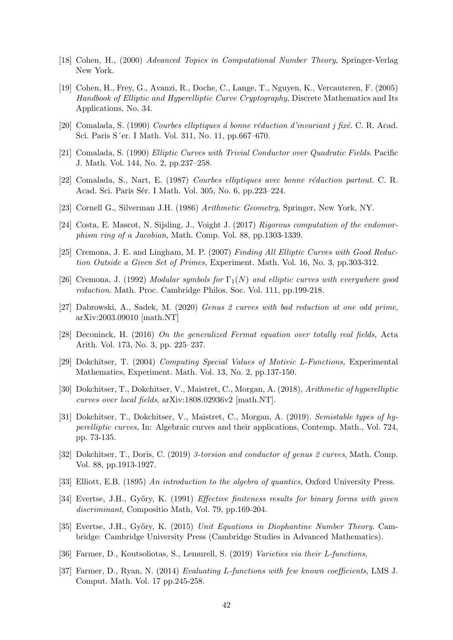- [18] Cohen, H., (2000) Advanced Topics in Computational Number Theory, Springer-Verlag New York.
- [19] Cohen, H., Frey, G., Avanzi, R., Doche, C., Lange, T., Nguyen, K., Vercauteren, F. (2005) Handbook of Elliptic and Hyperelliptic Curve Cryptography, Discrete Mathematics and Its Applications, No. 34.
- [20] Comalada, S. (1990) Courbes elliptiques á bonne réduction d'invariant j fixé. C. R. Acad. Sci. Paris S´er. I Math. Vol. 311, No. 11, pp.667–670.
- [21] Comalada, S. (1990) Elliptic Curves with Trivial Conductor over Quadratic Fields. Pacific J. Math. Vol. 144, No. 2, pp.237–258.
- [22] Comalada, S., Nart, E. (1987) Courbes elliptiques avec bonne réduction partout. C. R. Acad. Sci. Paris Sér. I Math. Vol. 305, No. 6, pp.223–224.
- [23] Cornell G., Silverman J.H. (1986) Arithmetic Geometry, Springer, New York, NY.
- [24] Costa, E. Mascot, N. Sijsling, J., Voight J. (2017) Rigorous computation of the endomorphism ring of a Jacobian, Math. Comp. Vol. 88, pp.1303-1339.
- [25] Cremona, J. E. and Lingham, M. P. (2007) Finding All Elliptic Curves with Good Reduction Outside a Given Set of Primes, Experiment. Math. Vol. 16, No. 3, pp.303-312.
- [26] Cremona, J. (1992) Modular symbols for  $\Gamma_1(N)$  and elliptic curves with everywhere good reduction. Math. Proc. Cambridge Philos. Soc. Vol. 111, pp.199-218.
- [27] Dabrowski, A., Sadek, M. (2020) Genus 2 curves with bad reduction at one odd prime, arXiv:2003.09010 [math.NT]
- [28] Deconinck, H. (2016) On the generalized Fermat equation over totally real fields, Acta Arith. Vol. 173, No. 3, pp. 225–237.
- [29] Dokchitser, T. (2004) Computing Special Values of Motivic L-Functions, Experimental Mathematics, Experiment. Math. Vol. 13, No. 2, pp.137-150.
- [30] Dokchitser, T., Dokchitser, V., Maistret, C., Morgan, A. (2018), Arithmetic of hyperelliptic curves over local fields, arXiv:1808.02936v2 [math.NT].
- [31] Dokchitser, T., Dokchitser, V., Maistret, C., Morgan, A. (2019). Semistable types of hyperelliptic curves, In: Algebraic curves and their applications, Contemp. Math., Vol. 724, pp. 73-135.
- [32] Dokchitser, T., Doris, C. (2019) 3-torsion and conductor of genus 2 curves, Math. Comp. Vol. 88, pp.1913-1927.
- [33] Elliott, E.B. (1895) An introduction to the algebra of quantics, Oxford University Press.
- [34] Evertse, J.H., Győry, K. (1991) *Effective finiteness results for binary forms with given* discriminant, Compositio Math, Vol. 79, pp.169-204.
- [35] Evertse, J.H., Győry, K. (2015) Unit Equations in Diophantine Number Theory. Cambridge: Cambridge University Press (Cambridge Studies in Advanced Mathematics).
- [36] Farmer, D., Koutsoliotas, S., Lemurell, S. (2019) Varieties via their L-functions,
- [37] Farmer, D., Ryan, N. (2014) Evaluating L-functions with few known coefficients, LMS J. Comput. Math. Vol. 17 pp.245-258.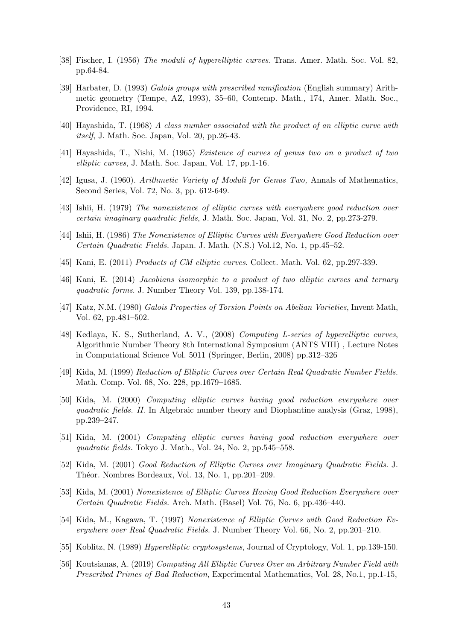- [38] Fischer, I. (1956) The moduli of hyperelliptic curves. Trans. Amer. Math. Soc. Vol. 82, pp.64-84.
- [39] Harbater, D. (1993) Galois groups with prescribed ramification (English summary) Arithmetic geometry (Tempe, AZ, 1993), 35–60, Contemp. Math., 174, Amer. Math. Soc., Providence, RI, 1994.
- [40] Hayashida, T. (1968) A class number associated with the product of an elliptic curve with itself, J. Math. Soc. Japan, Vol. 20, pp.26-43.
- [41] Hayashida, T., Nishi, M. (1965) Existence of curves of genus two on a product of two elliptic curves, J. Math. Soc. Japan, Vol. 17, pp.1-16.
- [42] Igusa, J. (1960). Arithmetic Variety of Moduli for Genus Two, Annals of Mathematics, Second Series, Vol. 72, No. 3, pp. 612-649.
- [43] Ishii, H. (1979) The nonexistence of elliptic curves with everywhere good reduction over certain imaginary quadratic fields, J. Math. Soc. Japan, Vol. 31, No. 2, pp.273-279.
- [44] Ishii, H. (1986) The Nonexistence of Elliptic Curves with Everywhere Good Reduction over Certain Quadratic Fields. Japan. J. Math. (N.S.) Vol.12, No. 1, pp.45–52.
- [45] Kani, E. (2011) Products of CM elliptic curves. Collect. Math. Vol. 62, pp.297-339.
- [46] Kani, E. (2014) Jacobians isomorphic to a product of two elliptic curves and ternary quadratic forms. J. Number Theory Vol. 139, pp.138-174.
- [47] Katz, N.M. (1980) Galois Properties of Torsion Points on Abelian Varieties, Invent Math, Vol. 62, pp.481–502.
- [48] Kedlaya, K. S., Sutherland, A. V., (2008) Computing L-series of hyperelliptic curves, Algorithmic Number Theory 8th International Symposium (ANTS VIII) , Lecture Notes in Computational Science Vol. 5011 (Springer, Berlin, 2008) pp.312–326
- [49] Kida, M. (1999) Reduction of Elliptic Curves over Certain Real Quadratic Number Fields. Math. Comp. Vol. 68, No. 228, pp.1679–1685.
- [50] Kida, M. (2000) Computing elliptic curves having good reduction everywhere over quadratic fields. II. In Algebraic number theory and Diophantine analysis (Graz, 1998), pp.239–247.
- [51] Kida, M. (2001) Computing elliptic curves having good reduction everywhere over quadratic fields. Tokyo J. Math., Vol. 24, No. 2, pp.545–558.
- [52] Kida, M. (2001) Good Reduction of Elliptic Curves over Imaginary Quadratic Fields. J. Théor. Nombres Bordeaux, Vol. 13, No. 1, pp.201–209.
- [53] Kida, M. (2001) Nonexistence of Elliptic Curves Having Good Reduction Everywhere over Certain Quadratic Fields. Arch. Math. (Basel) Vol. 76, No. 6, pp.436–440.
- [54] Kida, M., Kagawa, T. (1997) Nonexistence of Elliptic Curves with Good Reduction Everywhere over Real Quadratic Fields. J. Number Theory Vol. 66, No. 2, pp.201–210.
- [55] Koblitz, N. (1989) Hyperelliptic cryptosystems, Journal of Cryptology, Vol. 1, pp.139-150.
- [56] Koutsianas, A. (2019) Computing All Elliptic Curves Over an Arbitrary Number Field with Prescribed Primes of Bad Reduction, Experimental Mathematics, Vol. 28, No.1, pp.1-15,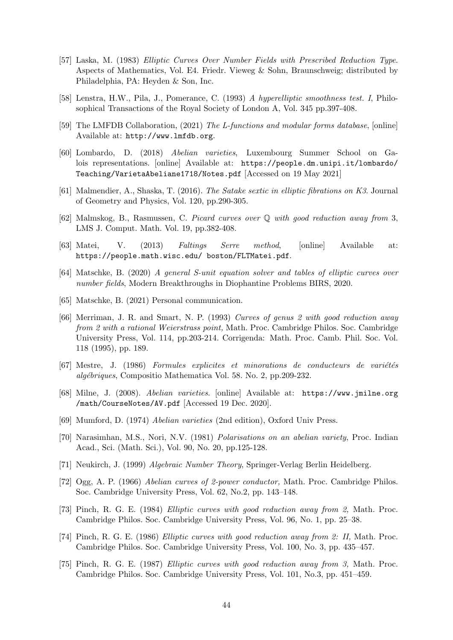- [57] Laska, M. (1983) Elliptic Curves Over Number Fields with Prescribed Reduction Type. Aspects of Mathematics, Vol. E4. Friedr. Vieweg & Sohn, Braunschweig; distributed by Philadelphia, PA: Heyden & Son, Inc.
- [58] Lenstra, H.W., Pila, J., Pomerance, C. (1993) A hyperelliptic smoothness test. I, Philosophical Transactions of the Royal Society of London A, Vol. 345 pp.397-408.
- [59] The LMFDB Collaboration, (2021) The L-functions and modular forms database, [online] Available at: http://www.lmfdb.org.
- [60] Lombardo, D. (2018) Abelian varieties, Luxembourg Summer School on Galois representations. [online] Available at: https://people.dm.unipi.it/lombardo/ Teaching/VarietaAbeliane1718/Notes.pdf [Accessed on 19 May 2021]
- [61] Malmendier, A., Shaska, T. (2016). The Satake sextic in elliptic fibrations on K3. Journal of Geometry and Physics, Vol. 120, pp.290-305.
- [62] Malmskog, B., Rasmussen, C. Picard curves over Q with good reduction away from 3, LMS J. Comput. Math. Vol. 19, pp.382-408.
- [63] Matei, V. (2013) Faltings Serre method, [online] Available at: https://people.math.wisc.edu/ boston/FLTMatei.pdf.
- [64] Matschke, B. (2020) A general S-unit equation solver and tables of elliptic curves over number fields, Modern Breakthroughs in Diophantine Problems BIRS, 2020.
- [65] Matschke, B. (2021) Personal communication.
- [66] Merriman, J. R. and Smart, N. P. (1993) Curves of genus 2 with good reduction away from 2 with a rational Weierstrass point, Math. Proc. Cambridge Philos. Soc. Cambridge University Press, Vol. 114, pp.203-214. Corrigenda: Math. Proc. Camb. Phil. Soc. Vol. 118 (1995), pp. 189.
- $[67]$  Mestre, J.  $(1986)$  Formules explicites et minorations de conducteurs de variétés algébriques, Compositio Mathematica Vol. 58. No. 2, pp.209-232.
- [68] Milne, J. (2008). Abelian varieties. [online] Available at: https://www.jmilne.org /math/CourseNotes/AV.pdf [Accessed 19 Dec. 2020].
- [69] Mumford, D. (1974) Abelian varieties (2nd edition), Oxford Univ Press.
- [70] Narasimhan, M.S., Nori, N.V. (1981) Polarisations on an abelian variety, Proc. Indian Acad., Sci. (Math. Sci.), Vol. 90, No. 20, pp.125-128.
- [71] Neukirch, J. (1999) Algebraic Number Theory, Springer-Verlag Berlin Heidelberg.
- [72] Ogg, A. P. (1966) Abelian curves of 2-power conductor, Math. Proc. Cambridge Philos. Soc. Cambridge University Press, Vol. 62, No.2, pp. 143–148.
- [73] Pinch, R. G. E. (1984) Elliptic curves with good reduction away from 2, Math. Proc. Cambridge Philos. Soc. Cambridge University Press, Vol. 96, No. 1, pp. 25–38.
- [74] Pinch, R. G. E. (1986) Elliptic curves with good reduction away from 2: II, Math. Proc. Cambridge Philos. Soc. Cambridge University Press, Vol. 100, No. 3, pp. 435–457.
- [75] Pinch, R. G. E. (1987) Elliptic curves with good reduction away from 3, Math. Proc. Cambridge Philos. Soc. Cambridge University Press, Vol. 101, No.3, pp. 451–459.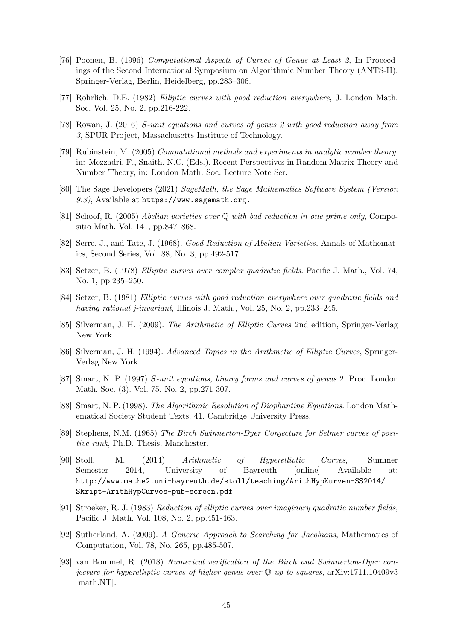- [76] Poonen, B. (1996) Computational Aspects of Curves of Genus at Least 2, In Proceedings of the Second International Symposium on Algorithmic Number Theory (ANTS-II). Springer-Verlag, Berlin, Heidelberg, pp.283–306.
- [77] Rohrlich, D.E. (1982) Elliptic curves with good reduction everywhere, J. London Math. Soc. Vol. 25, No. 2, pp.216-222.
- [78] Rowan, J. (2016) S-unit equations and curves of genus 2 with good reduction away from 3, SPUR Project, Massachusetts Institute of Technology.
- [79] Rubinstein, M. (2005) Computational methods and experiments in analytic number theory, in: Mezzadri, F., Snaith, N.C. (Eds.), Recent Perspectives in Random Matrix Theory and Number Theory, in: London Math. Soc. Lecture Note Ser.
- [80] The Sage Developers (2021) SageMath, the Sage Mathematics Software System (Version 9.3), Available at https://www.sagemath.org.
- [81] Schoof, R. (2005) Abelian varieties over Q with bad reduction in one prime only, Compositio Math. Vol. 141, pp.847–868.
- [82] Serre, J., and Tate, J. (1968). Good Reduction of Abelian Varieties, Annals of Mathematics, Second Series, Vol. 88, No. 3, pp.492-517.
- [83] Setzer, B. (1978) Elliptic curves over complex quadratic fields. Pacific J. Math., Vol. 74, No. 1, pp.235–250.
- [84] Setzer, B. (1981) Elliptic curves with good reduction everywhere over quadratic fields and having rational *j*-invariant, Illinois J. Math., Vol. 25, No. 2, pp.233–245.
- [85] Silverman, J. H. (2009). The Arithmetic of Elliptic Curves 2nd edition, Springer-Verlag New York.
- [86] Silverman, J. H. (1994). Advanced Topics in the Arithmetic of Elliptic Curves, Springer-Verlag New York.
- [87] Smart, N. P. (1997) S-unit equations, binary forms and curves of genus 2, Proc. London Math. Soc. (3). Vol. 75, No. 2, pp.271-307.
- [88] Smart, N. P. (1998). The Algorithmic Resolution of Diophantine Equations. London Mathematical Society Student Texts. 41. Cambridge University Press.
- [89] Stephens, N.M. (1965) The Birch Swinnerton-Dyer Conjecture for Selmer curves of positive rank, Ph.D. Thesis, Manchester.
- [90] Stoll, M. (2014) Arithmetic of Hyperelliptic Curves, Summer Semester 2014, University of Bayreuth [online] Available at: http://www.mathe2.uni-bayreuth.de/stoll/teaching/ArithHypKurven-SS2014/ Skript-ArithHypCurves-pub-screen.pdf.
- [91] Stroeker, R. J. (1983) Reduction of elliptic curves over imaginary quadratic number fields, Pacific J. Math. Vol. 108, No. 2, pp.451-463.
- [92] Sutherland, A. (2009). A Generic Approach to Searching for Jacobians, Mathematics of Computation, Vol. 78, No. 265, pp.485-507.
- [93] van Bommel, R. (2018) Numerical verification of the Birch and Swinnerton-Dyer conjecture for hyperelliptic curves of higher genus over  $\mathbb Q$  up to squares, arXiv:1711.10409v3 [math.NT].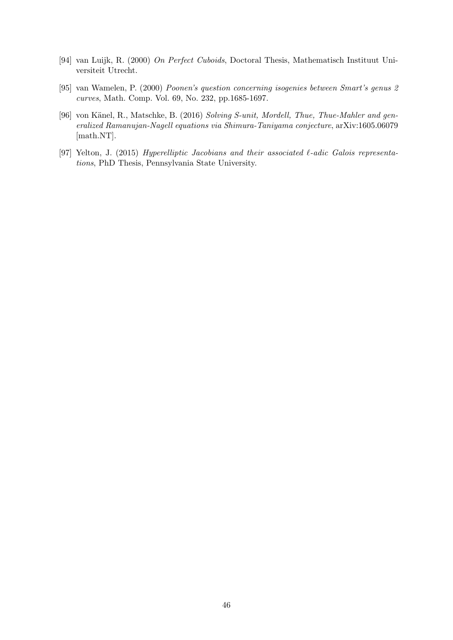- [94] van Luijk, R. (2000) On Perfect Cuboids, Doctoral Thesis, Mathematisch Instituut Universiteit Utrecht.
- [95] van Wamelen, P. (2000) Poonen's question concerning isogenies between Smart's genus 2 curves, Math. Comp. Vol. 69, No. 232, pp.1685-1697.
- [96] von Känel, R., Matschke, B. (2016) Solving S-unit, Mordell, Thue, Thue-Mahler and generalized Ramanujan-Nagell equations via Shimura-Taniyama conjecture, arXiv:1605.06079 [math.NT].
- [97] Yelton, J. (2015) Hyperelliptic Jacobians and their associated  $\ell$ -adic Galois representations, PhD Thesis, Pennsylvania State University.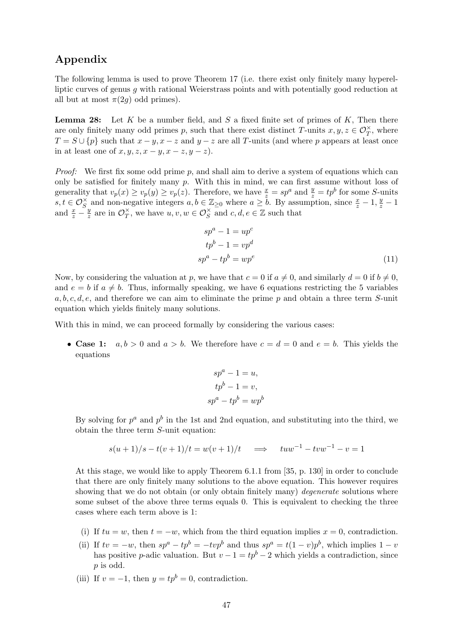## Appendix

The following lemma is used to prove Theorem 17 (i.e. there exist only finitely many hyperelliptic curves of genus q with rational Weierstrass points and with potentially good reduction at all but at most  $\pi(2q)$  odd primes).

**Lemma 28:** Let  $K$  be a number field, and  $S$  a fixed finite set of primes of  $K$ , Then there are only finitely many odd primes p, such that there exist distinct T-units  $x, y, z \in \mathcal{O}_T^{\times}$ , where  $T = S \cup \{p\}$  such that  $x - y$ ,  $x - z$  and  $y - z$  are all T-units (and where p appears at least once in at least one of  $x, y, z, x - y, x - z, y - z$ .

*Proof:* We first fix some odd prime p, and shall aim to derive a system of equations which can only be satisfied for finitely many  $p$ . With this in mind, we can first assume without loss of generality that  $v_p(x) \ge v_p(y) \ge v_p(z)$ . Therefore, we have  $\frac{x}{z} = sp^a$  and  $\frac{y}{z} = tp^b$  for some *S*-units  $s, t \in \mathcal{O}_S^{\times}$  and non-negative integers  $a, b \in \mathbb{Z}_{\geq 0}$  where  $a \geq b$ . By assumption, since  $\frac{x}{z} - 1, \frac{y}{z} - 1$ and  $\frac{x}{z} - \frac{y}{z}$  $\frac{y}{z}$  are in  $\mathcal{O}_T^{\times}$  $\overline{T}$ , we have  $u, v, w \in \mathcal{O}_S^{\times}$  and  $c, d, e \in \mathbb{Z}$  such that

$$
spa - 1 = upc
$$
  
\n
$$
tpb - 1 = vpd
$$
  
\n
$$
spa - tpb = upe
$$
 (11)

Now, by considering the valuation at p, we have that  $c = 0$  if  $a \neq 0$ , and similarly  $d = 0$  if  $b \neq 0$ , and  $e = b$  if  $a \neq b$ . Thus, informally speaking, we have 6 equations restricting the 5 variables a, b, c, d, e, and therefore we can aim to eliminate the prime p and obtain a three term  $S$ -unit equation which yields finitely many solutions.

With this in mind, we can proceed formally by considering the various cases:

• Case 1:  $a, b > 0$  and  $a > b$ . We therefore have  $c = d = 0$  and  $e = b$ . This yields the equations

$$
spa - 1 = u,
$$
  
\n
$$
tpb - 1 = v,
$$
  
\n
$$
spa - tpb = wpb
$$

By solving for  $p^a$  and  $p^b$  in the 1st and 2nd equation, and substituting into the third, we obtain the three term S-unit equation:

$$
s(u+1)/s - t(v+1)/t = w(v+1)/t \implies tuw^{-1} - tvw^{-1} - v = 1
$$

At this stage, we would like to apply Theorem 6.1.1 from [35, p. 130] in order to conclude that there are only finitely many solutions to the above equation. This however requires showing that we do not obtain (or only obtain finitely many) *degenerate* solutions where some subset of the above three terms equals 0. This is equivalent to checking the three cases where each term above is 1:

- (i) If  $tu = w$ , then  $t = -w$ , which from the third equation implies  $x = 0$ , contradiction.
- (ii) If  $tv = -w$ , then  $sp^a tp^b = -tvp^b$  and thus  $sp^a = t(1-v)p^b$ , which implies  $1-v$ has positive p-adic valuation. But  $v - 1 = tp^b - 2$  which yields a contradiction, since p is odd.
- (iii) If  $v = -1$ , then  $y = tp^b = 0$ , contradiction.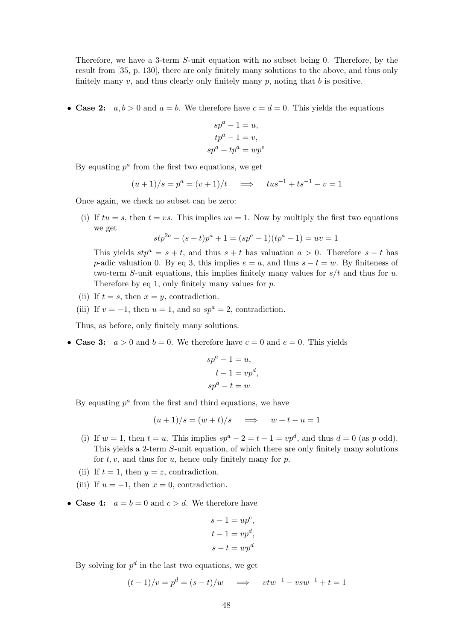Therefore, we have a 3-term S-unit equation with no subset being 0. Therefore, by the result from [35, p. 130], there are only finitely many solutions to the above, and thus only finitely many  $v$ , and thus clearly only finitely many  $p$ , noting that  $b$  is positive.

• Case 2:  $a, b > 0$  and  $a = b$ . We therefore have  $c = d = 0$ . This yields the equations

$$
spa - 1 = u,
$$
  
\n
$$
tpa - 1 = v,
$$
  
\n
$$
spa - tpa = wpe
$$

By equating  $p^a$  from the first two equations, we get

$$
(u+1)/s = p^a = (v+1)/t \implies tus^{-1} + ts^{-1} - v = 1
$$

Once again, we check no subset can be zero:

(i) If  $tu = s$ , then  $t = vs$ . This implies  $uv = 1$ . Now by multiply the first two equations we get

$$
stp^{2a} - (s+t)p^{a} + 1 = (sp^{a} - 1)(tp^{a} - 1) = uv = 1
$$

This yields  $stp^a = s + t$ , and thus  $s + t$  has valuation  $a > 0$ . Therefore  $s - t$  has p-adic valuation 0. By eq 3, this implies  $e = a$ , and thus  $s - t = w$ . By finiteness of two-term S-unit equations, this implies finitely many values for  $s/t$  and thus for u. Therefore by eq 1, only finitely many values for  $p$ .

- (ii) If  $t = s$ , then  $x = y$ , contradiction.
- (iii) If  $v = -1$ , then  $u = 1$ , and so  $sp^a = 2$ , contradiction.

Thus, as before, only finitely many solutions.

• Case 3:  $a > 0$  and  $b = 0$ . We therefore have  $c = 0$  and  $e = 0$ . This yields

$$
spa - 1 = u,
$$
  
\n
$$
t - 1 = vpd
$$
  
\n
$$
spa - t = w
$$

,

By equating  $p^a$  from the first and third equations, we have

$$
(u+1)/s = (w+t)/s \quad \implies \quad w+t-u = 1
$$

- (i) If  $w = 1$ , then  $t = u$ . This implies  $sp^a 2 = t 1 = vp^d$ , and thus  $d = 0$  (as p odd). This yields a 2-term S-unit equation, of which there are only finitely many solutions for  $t, v$ , and thus for  $u$ , hence only finitely many for  $p$ .
- (ii) If  $t = 1$ , then  $y = z$ , contradiction.
- (iii) If  $u = -1$ , then  $x = 0$ , contradiction.
- Case 4:  $a = b = 0$  and  $c > d$ . We therefore have

$$
s - 1 = upc,
$$
  
\n
$$
t - 1 = vpd,
$$
  
\n
$$
s - t = wpd
$$

By solving for  $p^d$  in the last two equations, we get

$$
(t-1)/v = p^d = (s-t)/w \quad \implies \quad vtw^{-1} - vsw^{-1} + t = 1
$$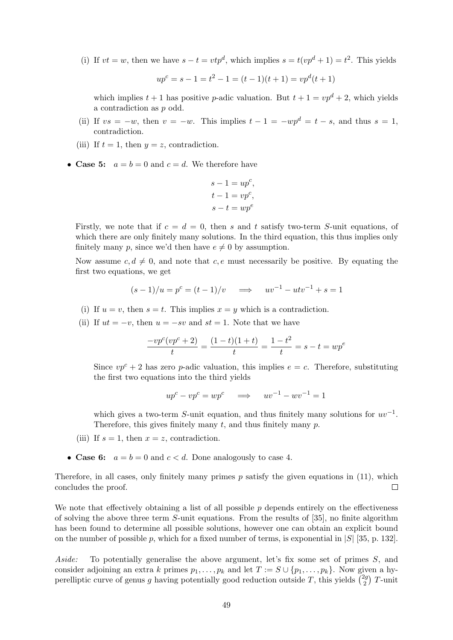(i) If  $vt = w$ , then we have  $s - t = vtp^d$ , which implies  $s = t(vp^d + 1) = t^2$ . This yields

 $up^c = s - 1 = t^2 - 1 = (t - 1)(t + 1) = vp^d(t + 1)$ 

which implies  $t + 1$  has positive *p*-adic valuation. But  $t + 1 = v p^d + 2$ , which yields a contradiction as p odd.

- (ii) If  $vs = -w$ , then  $v = -w$ . This implies  $t 1 = -wp^d = t s$ , and thus  $s = 1$ , contradiction.
- (iii) If  $t = 1$ , then  $y = z$ , contradiction.
- Case 5:  $a = b = 0$  and  $c = d$ . We therefore have

$$
s - 1 = upc,\n t - 1 = vpc,\n s - t = upe
$$

Firstly, we note that if  $c = d = 0$ , then s and t satisfy two-term S-unit equations, of which there are only finitely many solutions. In the third equation, this thus implies only finitely many p, since we'd then have  $e \neq 0$  by assumption.

Now assume  $c, d \neq 0$ , and note that c, e must necessarily be positive. By equating the first two equations, we get

$$
(s-1)/u = p^{c} = (t-1)/v \implies uv^{-1} - utv^{-1} + s = 1
$$

- (i) If  $u = v$ , then  $s = t$ . This implies  $x = y$  which is a contradiction.
- (ii) If  $ut = -v$ , then  $u = -sv$  and  $st = 1$ . Note that we have

$$
\frac{-vp^c(vp^c+2)}{t} = \frac{(1-t)(1+t)}{t} = \frac{1-t^2}{t} = s-t = wp^e
$$

Since  $vp^{c} + 2$  has zero p-adic valuation, this implies  $e = c$ . Therefore, substituting the first two equations into the third yields

$$
up^{c} - vp^{c} = wp^{c} \implies uv^{-1} - wv^{-1} = 1
$$

which gives a two-term S-unit equation, and thus finitely many solutions for  $uv^{-1}$ . Therefore, this gives finitely many  $t$ , and thus finitely many  $p$ .

- (iii) If  $s = 1$ , then  $x = z$ , contradiction.
- Case 6:  $a = b = 0$  and  $c < d$ . Done analogously to case 4.

Therefore, in all cases, only finitely many primes  $p$  satisfy the given equations in  $(11)$ , which concludes the proof.  $\Box$ 

We note that effectively obtaining a list of all possible  $p$  depends entirely on the effectiveness of solving the above three term  $S$ -unit equations. From the results of  $[35]$ , no finite algorithm has been found to determine all possible solutions, however one can obtain an explicit bound on the number of possible p, which for a fixed number of terms, is exponential in  $|S|$  [35, p. 132].

Aside: To potentially generalise the above argument, let's fix some set of primes S, and consider adjoining an extra k primes  $p_1, \ldots, p_k$  and let  $T := S \cup \{p_1, \ldots, p_k\}$ . Now given a hyperelliptic curve of genus g having potentially good reduction outside T, this yields  $\binom{2g}{2}$  $\binom{2g}{2}$  T-unit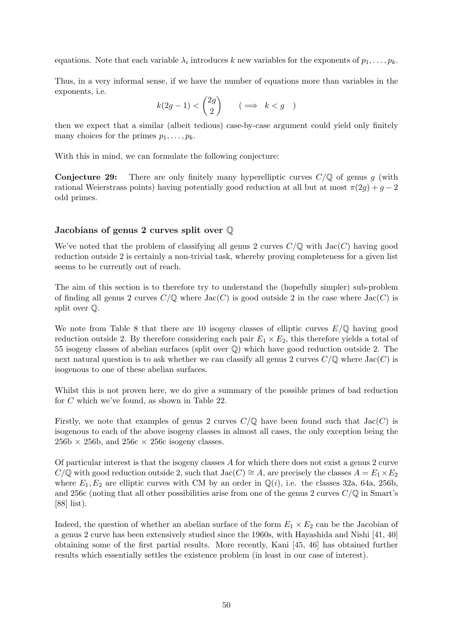equations. Note that each variable  $\lambda_i$  introduces k new variables for the exponents of  $p_1, \ldots, p_k$ .

Thus, in a very informal sense, if we have the number of equations more than variables in the exponents, i.e.

$$
k(2g-1) < \binom{2g}{2} \qquad (\implies k < g)
$$

then we expect that a similar (albeit tedious) case-by-case argument could yield only finitely many choices for the primes  $p_1, \ldots, p_k$ .

With this in mind, we can formulate the following conjecture:

**Conjecture 29:** There are only finitely many hyperelliptic curves  $C/\mathbb{Q}$  of genus g (with rational Weierstrass points) having potentially good reduction at all but at most  $\pi(2g) + g - 2$ odd primes.

#### Jacobians of genus 2 curves split over Q

We've noted that the problem of classifying all genus 2 curves  $C/\mathbb{Q}$  with  $Jac(C)$  having good reduction outside 2 is certainly a non-trivial task, whereby proving completeness for a given list seems to be currently out of reach.

The aim of this section is to therefore try to understand the (hopefully simpler) sub-problem of finding all genus 2 curves  $C/\mathbb{Q}$  where  $Jac(C)$  is good outside 2 in the case where  $Jac(C)$  is split over Q.

We note from Table 8 that there are 10 isogeny classes of elliptic curves  $E/\mathbb{Q}$  having good reduction outside 2. By therefore considering each pair  $E_1 \times E_2$ , this therefore yields a total of 55 isogeny classes of abelian surfaces (split over Q) which have good reduction outside 2. The next natural question is to ask whether we can classify all genus 2 curves  $C/\mathbb{Q}$  where  $Jac(C)$  is isogenous to one of these abelian surfaces.

Whilst this is not proven here, we do give a summary of the possible primes of bad reduction for C which we've found, as shown in Table 22.

Firstly, we note that examples of genus 2 curves  $C/\mathbb{Q}$  have been found such that  $Jac(C)$  is isogenous to each of the above isogeny classes in almost all cases, the only exception being the  $256b \times 256b$ , and  $256c \times 256c$  isogeny classes.

Of particular interest is that the isogeny classes A for which there does not exist a genus 2 curve  $C/\mathbb{Q}$  with good reduction outside 2, such that Jac( $C \cong A$ , are precisely the classes  $A = E_1 \times E_2$ where  $E_1, E_2$  are elliptic curves with CM by an order in  $\mathbb{Q}(i)$ , i.e. the classes 32a, 64a, 256b, and 256c (noting that all other possibilities arise from one of the genus 2 curves  $C/\mathbb{Q}$  in Smart's [88] list).

Indeed, the question of whether an abelian surface of the form  $E_1 \times E_2$  can be the Jacobian of a genus 2 curve has been extensively studied since the 1960s, with Hayashida and Nishi [41, 40] obtaining some of the first partial results. More recently, Kani [45, 46] has obtained further results which essentially settles the existence problem (in least in our case of interest).